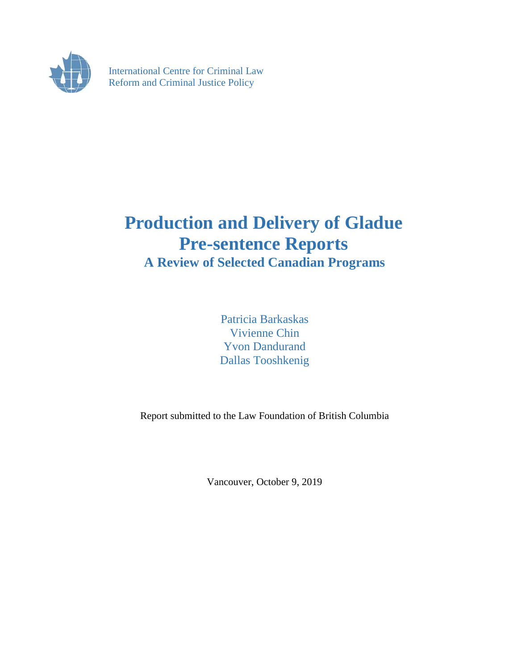

International Centre for Criminal Law Reform and Criminal Justice Policy

# **Production and Delivery of Gladue Pre-sentence Reports A Review of Selected Canadian Programs**

Patricia Barkaskas Vivienne Chin Yvon Dandurand Dallas Tooshkenig

Report submitted to the Law Foundation of British Columbia

Vancouver, October 9, 2019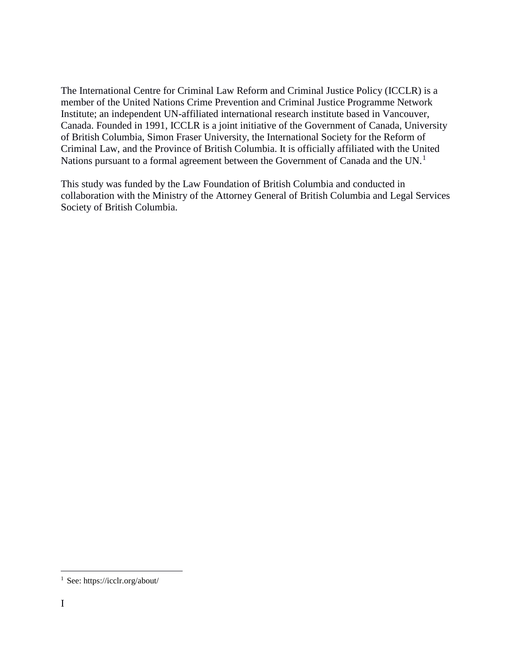The International Centre for Criminal Law Reform and Criminal Justice Policy (ICCLR) is a member of the United Nations Crime Prevention and Criminal Justice Programme Network Institute; an independent UN-affiliated international research institute based in Vancouver, Canada. Founded in 1991, ICCLR is a joint initiative of the Government of Canada, University of British Columbia, Simon Fraser University, the International Society for the Reform of Criminal Law, and the Province of British Columbia. It is officially affiliated with the United Nations pursuant to a formal agreement between the Government of Canada and the UN.<sup>[1](#page-1-0)</sup>

This study was funded by the Law Foundation of British Columbia and conducted in collaboration with the Ministry of the Attorney General of British Columbia and Legal Services Society of British Columbia.

<span id="page-1-0"></span> <sup>1</sup> See: https://icclr.org/about/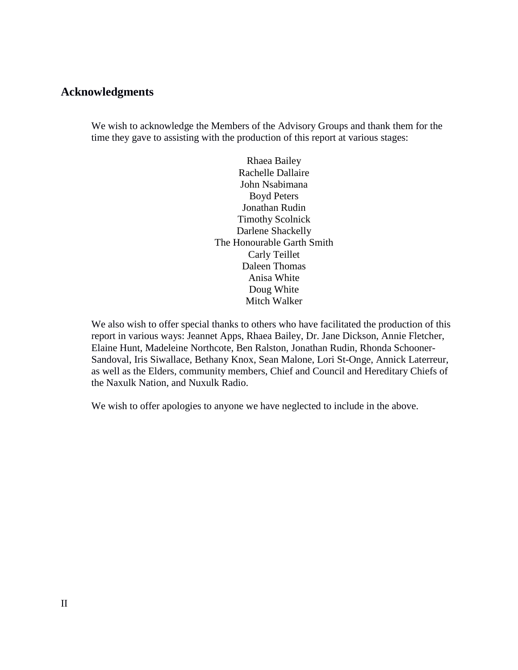#### <span id="page-2-0"></span>**Acknowledgments**

We wish to acknowledge the Members of the Advisory Groups and thank them for the time they gave to assisting with the production of this report at various stages:

> Rhaea Bailey Rachelle Dallaire John Nsabimana Boyd Peters Jonathan Rudin Timothy Scolnick Darlene Shackelly The Honourable Garth Smith Carly Teillet Daleen Thomas Anisa White Doug White Mitch Walker

We also wish to offer special thanks to others who have facilitated the production of this report in various ways: Jeannet Apps, Rhaea Bailey, Dr. Jane Dickson, Annie Fletcher, Elaine Hunt, Madeleine Northcote, Ben Ralston, Jonathan Rudin, Rhonda Schooner-Sandoval, Iris Siwallace, Bethany Knox, Sean Malone, Lori St-Onge, Annick Laterreur, as well as the Elders, community members, Chief and Council and Hereditary Chiefs of the Naxulk Nation, and Nuxulk Radio.

We wish to offer apologies to anyone we have neglected to include in the above.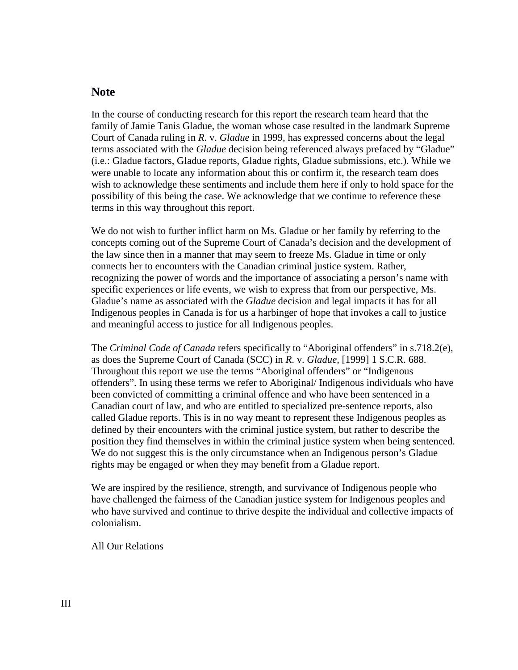#### <span id="page-3-0"></span>**Note**

In the course of conducting research for this report the research team heard that the family of Jamie Tanis Gladue, the woman whose case resulted in the landmark Supreme Court of Canada ruling in *R*. v. *Gladue* in 1999, has expressed concerns about the legal terms associated with the *Gladue* decision being referenced always prefaced by "Gladue" (i.e.: Gladue factors, Gladue reports, Gladue rights, Gladue submissions, etc.). While we were unable to locate any information about this or confirm it, the research team does wish to acknowledge these sentiments and include them here if only to hold space for the possibility of this being the case. We acknowledge that we continue to reference these terms in this way throughout this report.

We do not wish to further inflict harm on Ms. Gladue or her family by referring to the concepts coming out of the Supreme Court of Canada's decision and the development of the law since then in a manner that may seem to freeze Ms. Gladue in time or only connects her to encounters with the Canadian criminal justice system. Rather, recognizing the power of words and the importance of associating a person's name with specific experiences or life events, we wish to express that from our perspective, Ms. Gladue's name as associated with the *Gladue* decision and legal impacts it has for all Indigenous peoples in Canada is for us a harbinger of hope that invokes a call to justice and meaningful access to justice for all Indigenous peoples.

The *Criminal Code of Canada* refers specifically to "Aboriginal offenders" in s.718.2(e), as does the Supreme Court of Canada (SCC) in *R*. v. *Gladue*, [1999] 1 S.C.R. 688. Throughout this report we use the terms "Aboriginal offenders" or "Indigenous offenders". In using these terms we refer to Aboriginal/ Indigenous individuals who have been convicted of committing a criminal offence and who have been sentenced in a Canadian court of law, and who are entitled to specialized pre-sentence reports, also called Gladue reports. This is in no way meant to represent these Indigenous peoples as defined by their encounters with the criminal justice system, but rather to describe the position they find themselves in within the criminal justice system when being sentenced. We do not suggest this is the only circumstance when an Indigenous person's Gladue rights may be engaged or when they may benefit from a Gladue report.

We are inspired by the resilience, strength, and survivance of Indigenous people who have challenged the fairness of the Canadian justice system for Indigenous peoples and who have survived and continue to thrive despite the individual and collective impacts of colonialism.

All Our Relations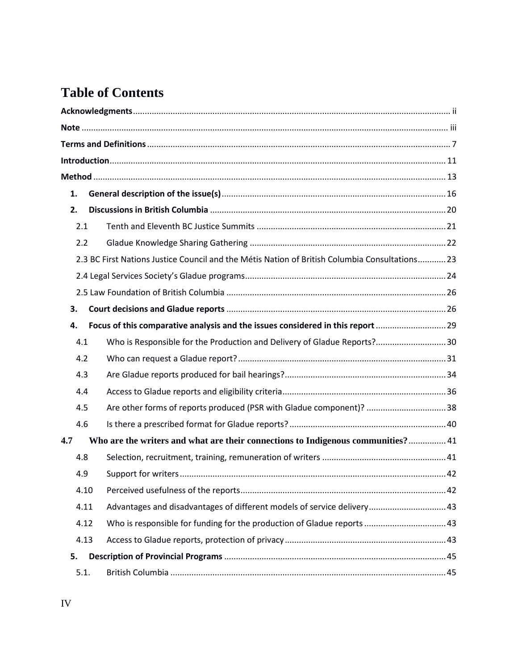## **Table of Contents**

| 1.  |      |                                                                                               |  |  |
|-----|------|-----------------------------------------------------------------------------------------------|--|--|
| 2.  |      |                                                                                               |  |  |
| 2.1 |      |                                                                                               |  |  |
| 2.2 |      |                                                                                               |  |  |
|     |      | 2.3 BC First Nations Justice Council and the Métis Nation of British Columbia Consultations23 |  |  |
|     |      |                                                                                               |  |  |
|     |      |                                                                                               |  |  |
| 3.  |      |                                                                                               |  |  |
| 4.  |      | Focus of this comparative analysis and the issues considered in this report  29               |  |  |
| 4.1 |      | Who is Responsible for the Production and Delivery of Gladue Reports? 30                      |  |  |
| 4.2 |      |                                                                                               |  |  |
| 4.3 |      |                                                                                               |  |  |
| 4.4 |      |                                                                                               |  |  |
| 4.5 |      | Are other forms of reports produced (PSR with Gladue component)?  38                          |  |  |
| 4.6 |      |                                                                                               |  |  |
| 4.7 |      | Who are the writers and what are their connections to Indigenous communities? 41              |  |  |
| 4.8 |      |                                                                                               |  |  |
| 4.9 |      |                                                                                               |  |  |
|     | 4.10 |                                                                                               |  |  |
|     | 4.11 | Advantages and disadvantages of different models of service delivery 43                       |  |  |
|     | 4.12 | Who is responsible for funding for the production of Gladue reports  43                       |  |  |
|     | 4.13 |                                                                                               |  |  |
| 5.  |      |                                                                                               |  |  |
|     | 5.1. |                                                                                               |  |  |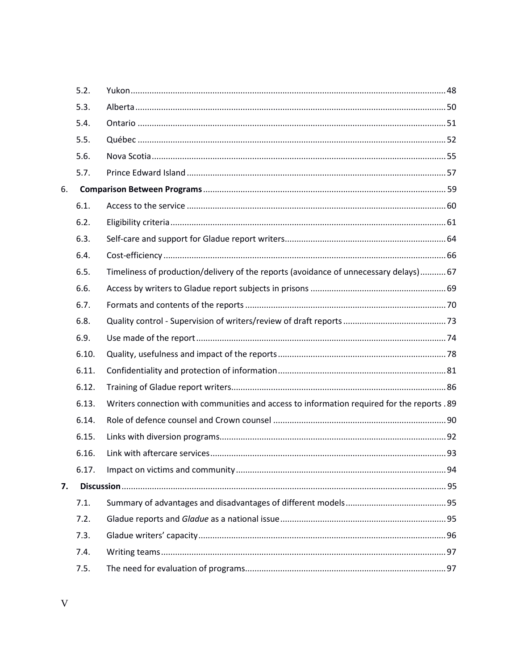|    | 5.2.  |                                                                                             |  |
|----|-------|---------------------------------------------------------------------------------------------|--|
|    | 5.3.  |                                                                                             |  |
|    | 5.4.  |                                                                                             |  |
|    | 5.5.  |                                                                                             |  |
|    | 5.6.  |                                                                                             |  |
|    | 5.7.  |                                                                                             |  |
| 6. |       |                                                                                             |  |
|    | 6.1.  |                                                                                             |  |
|    | 6.2.  |                                                                                             |  |
|    | 6.3.  |                                                                                             |  |
|    | 6.4.  |                                                                                             |  |
|    | 6.5.  | Timeliness of production/delivery of the reports (avoidance of unnecessary delays) 67       |  |
|    | 6.6.  |                                                                                             |  |
|    | 6.7.  |                                                                                             |  |
|    | 6.8.  |                                                                                             |  |
|    | 6.9.  |                                                                                             |  |
|    | 6.10. |                                                                                             |  |
|    | 6.11. |                                                                                             |  |
|    | 6.12. |                                                                                             |  |
|    | 6.13. | Writers connection with communities and access to information required for the reports . 89 |  |
|    | 6.14. |                                                                                             |  |
|    | 6.15. |                                                                                             |  |
|    | 6.16. |                                                                                             |  |
|    | 6.17. |                                                                                             |  |
| 7. |       |                                                                                             |  |
|    | 7.1.  |                                                                                             |  |
|    | 7.2.  |                                                                                             |  |
|    | 7.3.  |                                                                                             |  |
|    | 7.4.  |                                                                                             |  |
|    | 7.5.  |                                                                                             |  |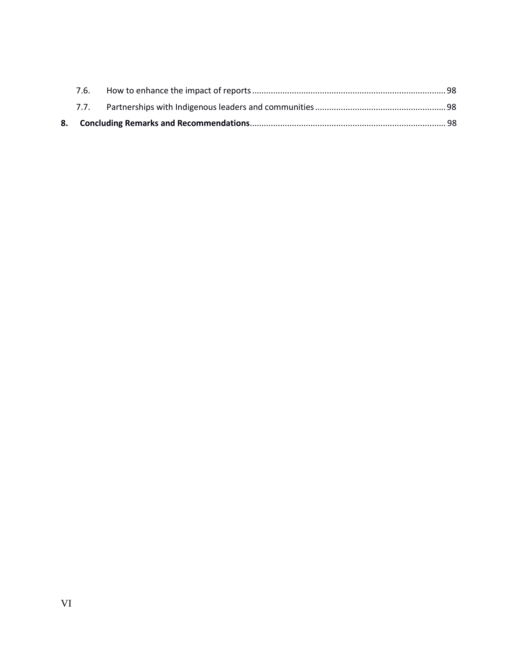| 7.6. |  |  |  |
|------|--|--|--|
|      |  |  |  |
|      |  |  |  |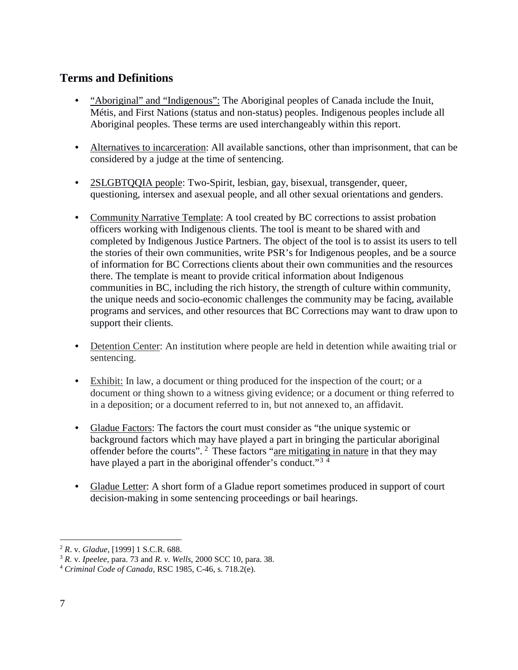## <span id="page-7-0"></span>**Terms and Definitions**

- "Aboriginal" and "Indigenous": The Aboriginal peoples of Canada include the Inuit, Métis, and First Nations (status and non-status) peoples. Indigenous peoples include all Aboriginal peoples. These terms are used interchangeably within this report.
- Alternatives to incarceration: All available sanctions, other than imprisonment, that can be considered by a judge at the time of sentencing.
- 2SLGBTQQIA people: Two-Spirit, lesbian, gay, bisexual, transgender, queer, questioning, intersex and asexual people, and all other sexual orientations and genders.
- Community Narrative Template: A tool created by BC corrections to assist probation officers working with Indigenous clients. The tool is meant to be shared with and completed by Indigenous Justice Partners. The object of the tool is to assist its users to tell the stories of their own communities, write PSR's for Indigenous peoples, and be a source of information for BC Corrections clients about their own communities and the resources there. The template is meant to provide critical information about Indigenous communities in BC, including the rich history, the strength of culture within community, the unique needs and socio-economic challenges the community may be facing, available programs and services, and other resources that BC Corrections may want to draw upon to support their clients.
- Detention Center: An institution where people are held in detention while awaiting trial or sentencing.
- Exhibit: In law, a document or thing produced for the inspection of the court; or a document or thing shown to a witness giving evidence; or a document or thing referred to in a deposition; or a document referred to in, but not annexed to, an affidavit.
- Gladue Factors: The factors the court must consider as "the unique systemic or background factors which may have played a part in bringing the particular aboriginal offender before the courts". [2](#page-7-1) These factors "are mitigating in nature in that they may have played a part in the aboriginal offender's conduct."<sup>[3](#page-7-2)[4](#page-7-3)</sup>
- Gladue Letter: A short form of a Gladue report sometimes produced in support of court decision-making in some sentencing proceedings or bail hearings.

<span id="page-7-1"></span> <sup>2</sup> *<sup>R</sup>*. v. *Gladue*, [1999] 1 S.C.R. 688.

<span id="page-7-2"></span><sup>3</sup> *R.* v. *Ipeelee*, para. 73 and *R. v. Wells*, 2000 SCC 10, para. 38. 4 *Criminal Code of Canada*, RSC 1985, C-46, s. 718.2(e).

<span id="page-7-3"></span>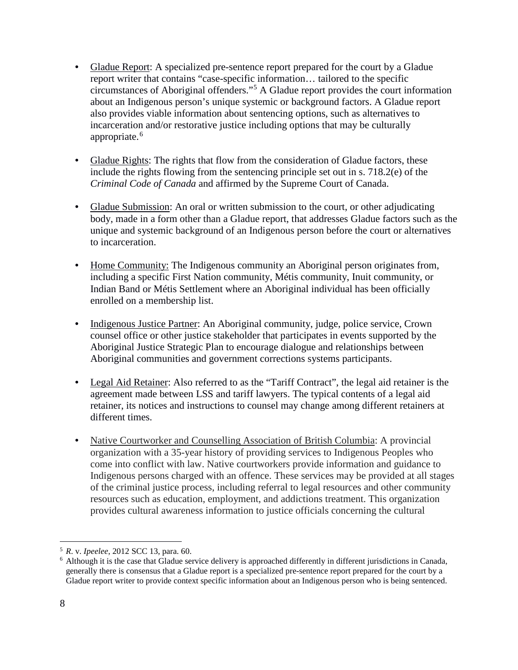- Gladue Report: A specialized pre-sentence report prepared for the court by a Gladue report writer that contains "case-specific information… tailored to the specific circumstances of Aboriginal offenders."[5](#page-8-0) A Gladue report provides the court information about an Indigenous person's unique systemic or background factors. A Gladue report also provides viable information about sentencing options, such as alternatives to incarceration and/or restorative justice including options that may be culturally appropriate.<sup>[6](#page-8-1)</sup>
- Gladue Rights: The rights that flow from the consideration of Gladue factors, these include the rights flowing from the sentencing principle set out in s. 718.2(e) of the *Criminal Code of Canada* and affirmed by the Supreme Court of Canada.
- Gladue Submission: An oral or written submission to the court, or other adjudicating body, made in a form other than a Gladue report, that addresses Gladue factors such as the unique and systemic background of an Indigenous person before the court or alternatives to incarceration.
- Home Community: The Indigenous community an Aboriginal person originates from, including a specific First Nation community, Métis community, Inuit community, or Indian Band or Métis Settlement where an Aboriginal individual has been officially enrolled on a membership list.
- Indigenous Justice Partner: An Aboriginal community, judge, police service, Crown counsel office or other justice stakeholder that participates in events supported by the Aboriginal Justice Strategic Plan to encourage dialogue and relationships between Aboriginal communities and government corrections systems participants.
- Legal Aid Retainer: Also referred to as the "Tariff Contract", the legal aid retainer is the agreement made between LSS and tariff lawyers. The typical contents of a legal aid retainer, its notices and instructions to counsel may change among different retainers at different times.
- Native Courtworker and Counselling Association of British Columbia: A provincial organization with a 35-year history of providing services to Indigenous Peoples who come into conflict with law. Native courtworkers provide information and guidance to Indigenous persons charged with an offence. These services may be provided at all stages of the criminal justice process, including referral to legal resources and other community resources such as education, employment, and addictions treatment. This organization provides cultural awareness information to justice officials concerning the cultural

<span id="page-8-0"></span> <sup>5</sup> *<sup>R</sup>*. v. *Ipeelee*, 2012 SCC 13, para. 60.

<span id="page-8-1"></span> $6$  Although it is the case that Gladue service delivery is approached differently in different jurisdictions in Canada, generally there is consensus that a Gladue report is a specialized pre-sentence report prepared for the court by a Gladue report writer to provide context specific information about an Indigenous person who is being sentenced.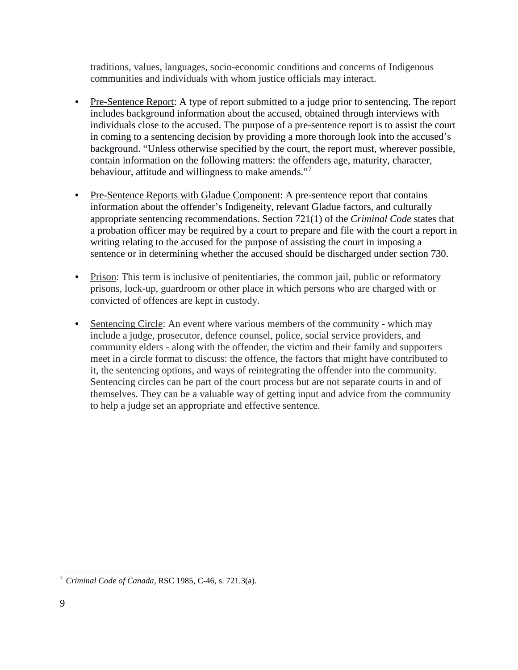traditions, values, languages, socio-economic conditions and concerns of Indigenous communities and individuals with whom justice officials may interact.

- Pre-Sentence Report: A type of report submitted to a judge prior to sentencing. The report includes background information about the accused, obtained through interviews with individuals close to the accused. The purpose of a pre-sentence report is to assist the court in coming to a sentencing decision by providing a more thorough look into the accused's background. "Unless otherwise specified by the court, the report must, wherever possible, contain information on the following matters: the offenders age, maturity, character, behaviour, attitude and willingness to make amends."[7](#page-9-0)
- Pre-Sentence Reports with Gladue Component: A pre-sentence report that contains information about the offender's Indigeneity, relevant Gladue factors, and culturally appropriate sentencing recommendations. Section 721(1) of the *Criminal Code* states that a probation officer may be required by a court to prepare and file with the court a report in writing relating to the accused for the purpose of assisting the court in imposing a sentence or in determining whether the accused should be discharged under section 730.
- Prison: This term is inclusive of penitentiaries, the common jail, public or reformatory prisons, lock-up, guardroom or other place in which persons who are charged with or convicted of offences are kept in custody.
- Sentencing Circle: An event where various members of the community which may include a judge, prosecutor, defence counsel, police, social service providers, and community elders - along with the offender, the victim and their family and supporters meet in a circle format to discuss: the offence, the factors that might have contributed to it, the sentencing options, and ways of reintegrating the offender into the community. Sentencing circles can be part of the court process but are not separate courts in and of themselves. They can be a valuable way of getting input and advice from the community to help a judge set an appropriate and effective sentence.

<span id="page-9-0"></span> <sup>7</sup> *Criminal Code of Canada*, RSC 1985, C-46, s. 721.3(a).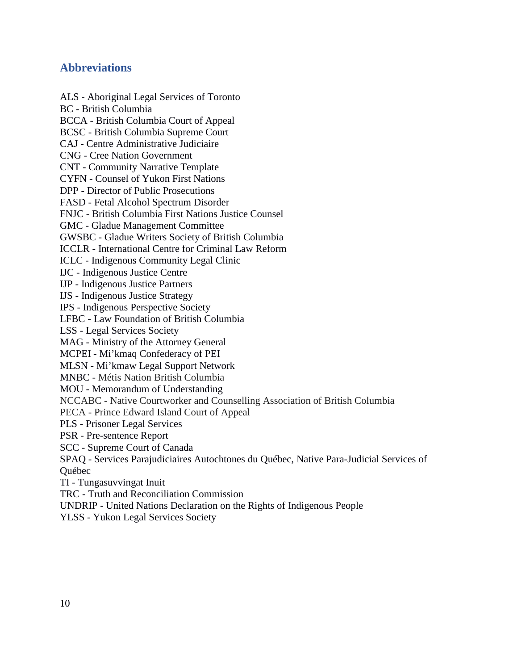## **Abbreviations**

ALS - Aboriginal Legal Services of Toronto BC - British Columbia BCCA - British Columbia Court of Appeal BCSC - British Columbia Supreme Court CAJ - Centre Administrative Judiciaire CNG - Cree Nation Government CNT - Community Narrative Template CYFN - Counsel of Yukon First Nations DPP - Director of Public Prosecutions FASD - Fetal Alcohol Spectrum Disorder FNJC - British Columbia First Nations Justice Counsel GMC - Gladue Management Committee GWSBC - Gladue Writers Society of British Columbia ICCLR - International Centre for Criminal Law Reform ICLC - Indigenous Community Legal Clinic IJC - Indigenous Justice Centre IJP - Indigenous Justice Partners IJS - Indigenous Justice Strategy IPS - Indigenous Perspective Society LFBC - Law Foundation of British Columbia LSS - Legal Services Society MAG - Ministry of the Attorney General MCPEI - Mi'kmaq Confederacy of PEI MLSN - Mi'kmaw Legal Support Network MNBC - Métis Nation British Columbia MOU - Memorandum of Understanding NCCABC - Native Courtworker and Counselling Association of British Columbia PECA - Prince Edward Island Court of Appeal PLS - Prisoner Legal Services PSR - Pre-sentence Report SCC - Supreme Court of Canada SPAQ - Services Parajudiciaires Autochtones du Québec, Native Para-Judicial Services of Québec TI - Tungasuvvingat Inuit TRC - Truth and Reconciliation Commission UNDRIP - United Nations Declaration on the Rights of Indigenous People

YLSS - Yukon Legal Services Society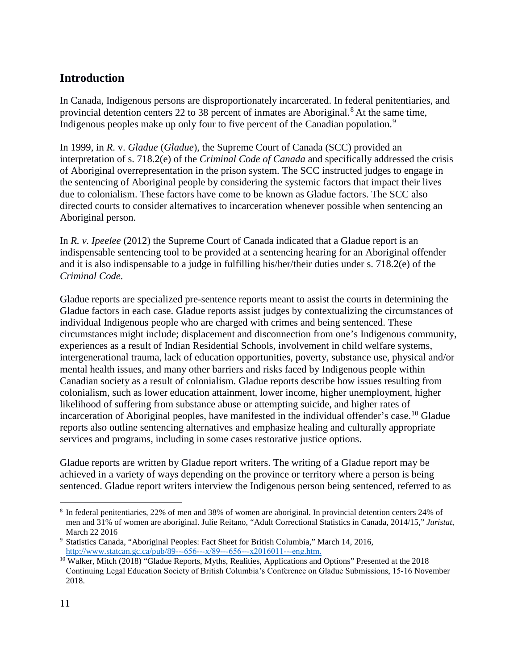## <span id="page-11-0"></span>**Introduction**

In Canada, Indigenous persons are disproportionately incarcerated. In federal penitentiaries, and provincial detention centers 22 to 3[8](#page-11-1) percent of inmates are Aboriginal.<sup>8</sup> At the same time, Indigenous peoples make up only four to five percent of the Canadian population.<sup>[9](#page-11-2)</sup>

In 1999, in *R*. v. *Gladue* (*Gladue*), the Supreme Court of Canada (SCC) provided an interpretation of s. 718.2(e) of the *Criminal Code of Canada* and specifically addressed the crisis of Aboriginal overrepresentation in the prison system. The SCC instructed judges to engage in the sentencing of Aboriginal people by considering the systemic factors that impact their lives due to colonialism. These factors have come to be known as Gladue factors. The SCC also directed courts to consider alternatives to incarceration whenever possible when sentencing an Aboriginal person.

In *R. v. Ipeelee* (2012) the Supreme Court of Canada indicated that a Gladue report is an indispensable sentencing tool to be provided at a sentencing hearing for an Aboriginal offender and it is also indispensable to a judge in fulfilling his/her/their duties under s. 718.2(e) of the *Criminal Code*.

Gladue reports are specialized pre-sentence reports meant to assist the courts in determining the Gladue factors in each case. Gladue reports assist judges by contextualizing the circumstances of individual Indigenous people who are charged with crimes and being sentenced. These circumstances might include; displacement and disconnection from one's Indigenous community, experiences as a result of Indian Residential Schools, involvement in child welfare systems, intergenerational trauma, lack of education opportunities, poverty, substance use, physical and/or mental health issues, and many other barriers and risks faced by Indigenous people within Canadian society as a result of colonialism. Gladue reports describe how issues resulting from colonialism, such as lower education attainment, lower income, higher unemployment, higher likelihood of suffering from substance abuse or attempting suicide, and higher rates of incarceration of Aboriginal peoples, have manifested in the individual offender's case.<sup>[10](#page-11-3)</sup> Gladue reports also outline sentencing alternatives and emphasize healing and culturally appropriate services and programs, including in some cases restorative justice options.

Gladue reports are written by Gladue report writers. The writing of a Gladue report may be achieved in a variety of ways depending on the province or territory where a person is being sentenced. Gladue report writers interview the Indigenous person being sentenced, referred to as

<span id="page-11-1"></span> <sup>8</sup> In federal penitentiaries, 22% of men and 38% of women are aboriginal. In provincial detention centers 24% of men and 31% of women are aboriginal. Julie Reitano, "Adult Correctional Statistics in Canada, 2014/15," *Juristat*, March 22 2016

<span id="page-11-2"></span><sup>9</sup> Statistics Canada, "Aboriginal Peoples: Fact Sheet for British Columbia," March 14, 2016, [http://www.statcan.gc.ca/pub/89--](http://www.statcan.gc.ca/pub/89--%C3%A2%E2%82%AC%C2%90656--%C3%A2%E2%82%AC%C2%90x/89--%C3%A2%E2%82%AC%C2%90656--%C3%A2%E2%82%AC%C2%90x2016011--%C3%A2%E2%82%AC%C2%90eng.htm)-656---x/89---656---x2016011---eng[.](http://www.statcan.gc.ca/pub/89--%C3%A2%E2%82%AC%C2%90656--%C3%A2%E2%82%AC%C2%90x/89--%C3%A2%E2%82%AC%C2%90656--%C3%A2%E2%82%AC%C2%90x2016011--%C3%A2%E2%82%AC%C2%90eng.htm)htm.

<span id="page-11-3"></span> $10$  Walker, Mitch (2018) "Gladue Reports, Myths, Realities, Applications and Options" Presented at the 2018 Continuing Legal Education Society of British Columbia's Conference on Gladue Submissions, 15‐16 November 2018.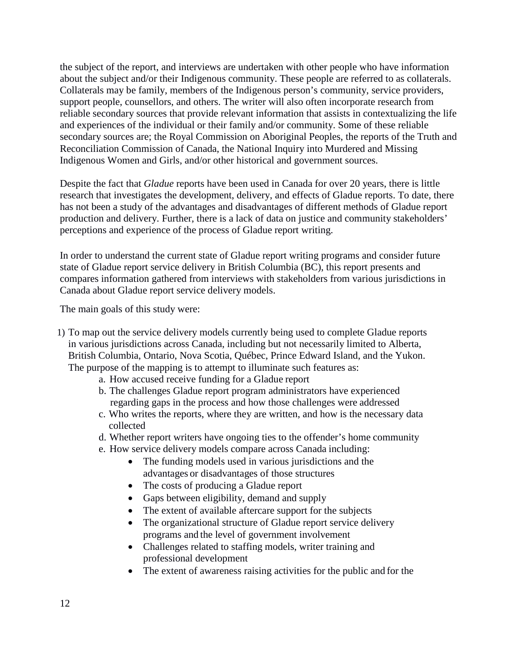the subject of the report, and interviews are undertaken with other people who have information about the subject and/or their Indigenous community. These people are referred to as collaterals. Collaterals may be family, members of the Indigenous person's community, service providers, support people, counsellors, and others. The writer will also often incorporate research from reliable secondary sources that provide relevant information that assists in contextualizing the life and experiences of the individual or their family and/or community. Some of these reliable secondary sources are; the Royal Commission on Aboriginal Peoples, the reports of the Truth and Reconciliation Commission of Canada, the National Inquiry into Murdered and Missing Indigenous Women and Girls, and/or other historical and government sources.

Despite the fact that *Gladue* reports have been used in Canada for over 20 years, there is little research that investigates the development, delivery, and effects of Gladue reports. To date, there has not been a study of the advantages and disadvantages of different methods of Gladue report production and delivery. Further, there is a lack of data on justice and community stakeholders' perceptions and experience of the process of Gladue report writing.

In order to understand the current state of Gladue report writing programs and consider future state of Gladue report service delivery in British Columbia (BC), this report presents and compares information gathered from interviews with stakeholders from various jurisdictions in Canada about Gladue report service delivery models.

The main goals of this study were:

- 1) To map out the service delivery models currently being used to complete Gladue reports in various jurisdictions across Canada, including but not necessarily limited to Alberta, British Columbia, Ontario, Nova Scotia, Québec, Prince Edward Island, and the Yukon. The purpose of the mapping is to attempt to illuminate such features as:
	- a. How accused receive funding for a Gladue report
	- b. The challenges Gladue report program administrators have experienced regarding gaps in the process and how those challenges were addressed
	- c. Who writes the reports, where they are written, and how is the necessary data collected
	- d. Whether report writers have ongoing ties to the offender's home community
	- e. How service delivery models compare across Canada including:
		- The funding models used in various jurisdictions and the advantages or disadvantages of those structures
		- The costs of producing a Gladue report
		- Gaps between eligibility, demand and supply
		- The extent of available aftercare support for the subjects
		- The organizational structure of Gladue report service delivery programs and the level of government involvement
		- Challenges related to staffing models, writer training and professional development
		- The extent of awareness raising activities for the public and for the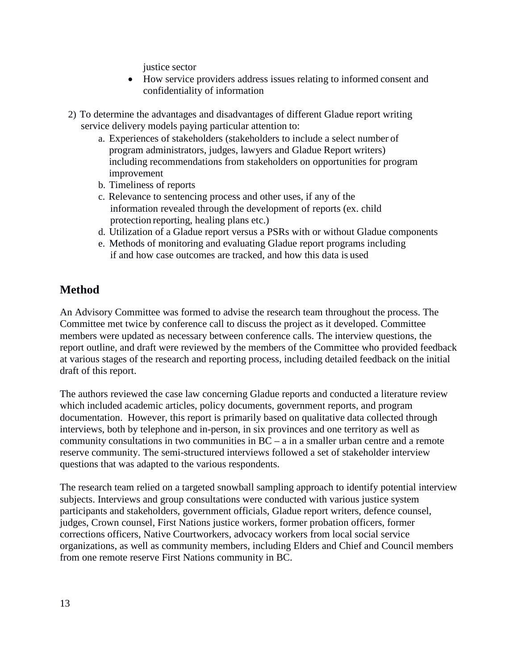justice sector

- How service providers address issues relating to informed consent and confidentiality of information
- 2) To determine the advantages and disadvantages of different Gladue report writing service delivery models paying particular attention to:
	- a. Experiences of stakeholders (stakeholders to include a select number of program administrators, judges, lawyers and Gladue Report writers) including recommendations from stakeholders on opportunities for program improvement
	- b. Timeliness of reports
	- c. Relevance to sentencing process and other uses, if any of the information revealed through the development of reports (ex. child protection reporting, healing plans etc.)
	- d. Utilization of a Gladue report versus a PSRs with or without Gladue components
	- e. Methods of monitoring and evaluating Gladue report programs including if and how case outcomes are tracked, and how this data is used

## <span id="page-13-0"></span>**Method**

An Advisory Committee was formed to advise the research team throughout the process. The Committee met twice by conference call to discuss the project as it developed. Committee members were updated as necessary between conference calls. The interview questions, the report outline, and draft were reviewed by the members of the Committee who provided feedback at various stages of the research and reporting process, including detailed feedback on the initial draft of this report.

The authors reviewed the case law concerning Gladue reports and conducted a literature review which included academic articles, policy documents, government reports, and program documentation. However, this report is primarily based on qualitative data collected through interviews, both by telephone and in-person, in six provinces and one territory as well as community consultations in two communities in BC – a in a smaller urban centre and a remote reserve community. The semi-structured interviews followed a set of stakeholder interview questions that was adapted to the various respondents.

The research team relied on a targeted snowball sampling approach to identify potential interview subjects. Interviews and group consultations were conducted with various justice system participants and stakeholders, government officials, Gladue report writers, defence counsel, judges, Crown counsel, First Nations justice workers, former probation officers, former corrections officers, Native Courtworkers, advocacy workers from local social service organizations, as well as community members, including Elders and Chief and Council members from one remote reserve First Nations community in BC.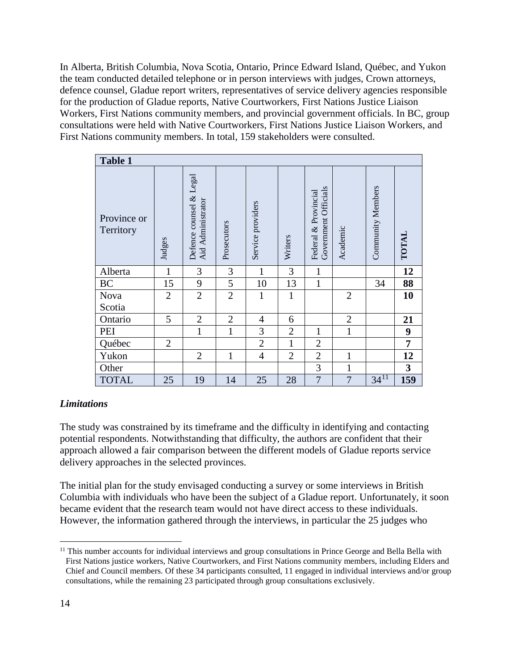In Alberta, British Columbia, Nova Scotia, Ontario, Prince Edward Island, Québec, and Yukon the team conducted detailed telephone or in person interviews with judges, Crown attorneys, defence counsel, Gladue report writers, representatives of service delivery agencies responsible for the production of Gladue reports, Native Courtworkers, First Nations Justice Liaison Workers, First Nations community members, and provincial government officials. In BC, group consultations were held with Native Courtworkers, First Nations Justice Liaison Workers, and First Nations community members. In total, 159 stakeholders were consulted.

| Table 1                  |                |                                              |                |                   |                |                                                 |                |                   |                |
|--------------------------|----------------|----------------------------------------------|----------------|-------------------|----------------|-------------------------------------------------|----------------|-------------------|----------------|
| Province or<br>Territory | Judges         | Defence counsel & Legal<br>Aid Administrator | Prosecutors    | Service providers | Writers        | Officials<br>Federal & Provincial<br>Government | Academic       | Community Members | TOTAL          |
| Alberta                  | 1              | 3                                            | 3              | 1                 | 3              | 1                                               |                |                   | 12             |
| <b>BC</b>                | 15             | 9                                            | 5              | 10                | 13             | $\mathbf{1}$                                    |                | 34                | 88             |
| Nova                     | $\overline{2}$ | $\overline{2}$                               | $\overline{2}$ | $\mathbf{1}$      | $\mathbf{1}$   |                                                 | $\overline{2}$ |                   | 10             |
| Scotia                   |                |                                              |                |                   |                |                                                 |                |                   |                |
| Ontario                  | 5              | $\sqrt{2}$                                   | $\overline{2}$ | $\overline{4}$    | 6              |                                                 | $\overline{c}$ |                   | 21             |
| PEI                      |                | $\mathbf{1}$                                 | 1              | 3                 | $\overline{2}$ | $\mathbf{1}$                                    | $\mathbf{1}$   |                   | 9              |
| Québec                   | $\overline{2}$ |                                              |                | $\overline{2}$    | $\mathbf{1}$   | $\overline{2}$                                  |                |                   | $\overline{7}$ |
| Yukon                    |                | $\mathfrak{2}$                               | 1              | $\overline{4}$    | $\overline{2}$ | $\overline{2}$                                  | $\mathbf{1}$   |                   | 12             |
| Other                    |                |                                              |                |                   |                | 3                                               | $\mathbf{1}$   |                   | $\mathbf{3}$   |
| <b>TOTAL</b>             | 25             | 19                                           | 14             | 25                | 28             | $\overline{7}$                                  | $\overline{7}$ | $34^{11}$         | 159            |

#### *Limitations*

The study was constrained by its timeframe and the difficulty in identifying and contacting potential respondents. Notwithstanding that difficulty, the authors are confident that their approach allowed a fair comparison between the different models of Gladue reports service delivery approaches in the selected provinces.

The initial plan for the study envisaged conducting a survey or some interviews in British Columbia with individuals who have been the subject of a Gladue report. Unfortunately, it soon became evident that the research team would not have direct access to these individuals. However, the information gathered through the interviews, in particular the 25 judges who

<span id="page-14-0"></span><sup>&</sup>lt;sup>11</sup> This number accounts for individual interviews and group consultations in Prince George and Bella Bella with First Nations justice workers, Native Courtworkers, and First Nations community members, including Elders and Chief and Council members. Of these 34 participants consulted, 11 engaged in individual interviews and/or group consultations, while the remaining 23 participated through group consultations exclusively.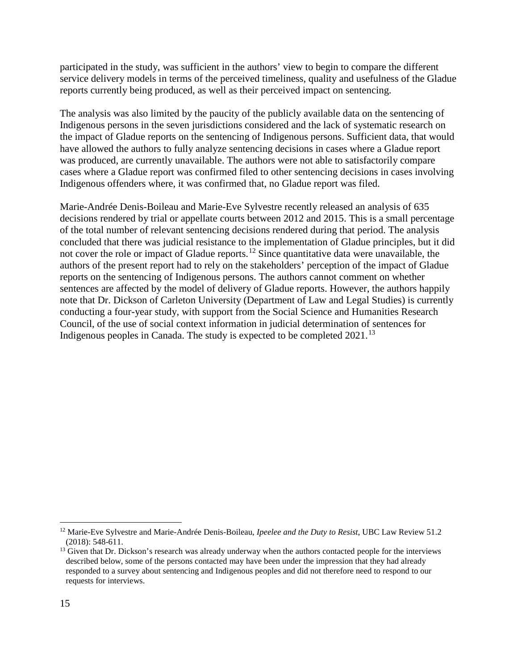participated in the study, was sufficient in the authors' view to begin to compare the different service delivery models in terms of the perceived timeliness, quality and usefulness of the Gladue reports currently being produced, as well as their perceived impact on sentencing.

The analysis was also limited by the paucity of the publicly available data on the sentencing of Indigenous persons in the seven jurisdictions considered and the lack of systematic research on the impact of Gladue reports on the sentencing of Indigenous persons. Sufficient data, that would have allowed the authors to fully analyze sentencing decisions in cases where a Gladue report was produced, are currently unavailable. The authors were not able to satisfactorily compare cases where a Gladue report was confirmed filed to other sentencing decisions in cases involving Indigenous offenders where, it was confirmed that, no Gladue report was filed.

Marie-Andrée Denis-Boileau and Marie-Eve Sylvestre recently released an analysis of 635 decisions rendered by trial or appellate courts between 2012 and 2015. This is a small percentage of the total number of relevant sentencing decisions rendered during that period. The analysis concluded that there was judicial resistance to the implementation of Gladue principles, but it did not cover the role or impact of Gladue reports.[12](#page-15-0) Since quantitative data were unavailable, the authors of the present report had to rely on the stakeholders' perception of the impact of Gladue reports on the sentencing of Indigenous persons. The authors cannot comment on whether sentences are affected by the model of delivery of Gladue reports. However, the authors happily note that Dr. Dickson of Carleton University (Department of Law and Legal Studies) is currently conducting a four-year study, with support from the Social Science and Humanities Research Council, of the use of social context information in judicial determination of sentences for Indigenous peoples in Canada. The study is expected to be completed 2021.<sup>[13](#page-15-1)</sup>

<span id="page-15-0"></span> <sup>12</sup> Marie-Eve Sylvestre and Marie-Andrée Denis-Boileau, *Ipeelee and the Duty to Resist*, UBC Law Review 51.2 (2018): 548-611.

<span id="page-15-1"></span><sup>&</sup>lt;sup>13</sup> Given that Dr. Dickson's research was already underway when the authors contacted people for the interviews described below, some of the persons contacted may have been under the impression that they had already responded to a survey about sentencing and Indigenous peoples and did not therefore need to respond to our requests for interviews.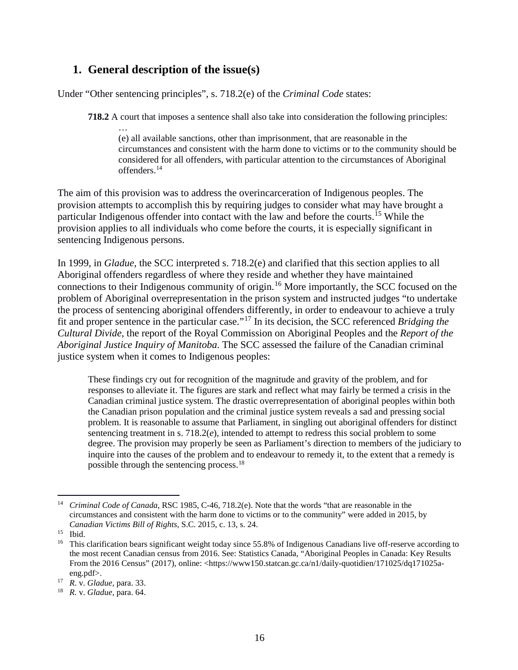## <span id="page-16-0"></span>**1. General description of the issue(s)**

…

Under "Other sentencing principles", s. 718.2(e) of the *Criminal Code* states:

**718.2** A court that imposes a sentence shall also take into consideration the following principles:

(e) all available sanctions, other than imprisonment, that are reasonable in the circumstances and consistent with the harm done to victims or to the community should be considered for all offenders, with particular attention to the circumstances of Aboriginal offenders.[14](#page-16-1)

The aim of this provision was to address the overincarceration of Indigenous peoples. The provision attempts to accomplish this by requiring judges to consider what may have brought a particular Indigenous offender into contact with the law and before the courts. [15](#page-16-2) While the provision applies to all individuals who come before the courts, it is especially significant in sentencing Indigenous persons.

In 1999, in *Gladue*, the SCC interpreted s. 718.2(e) and clarified that this section applies to all Aboriginal offenders regardless of where they reside and whether they have maintained connections to their Indigenous community of origin.[16](#page-16-3) More importantly, the SCC focused on the problem of Aboriginal overrepresentation in the prison system and instructed judges "to undertake the process of sentencing aboriginal offenders differently, in order to endeavour to achieve a truly fit and proper sentence in the particular case."[17](#page-16-4) In its decision, the SCC referenced *Bridging the Cultural Divide*, the report of the Royal Commission on Aboriginal Peoples and the *Report of the Aboriginal Justice Inquiry of Manitoba*. The SCC assessed the failure of the Canadian criminal justice system when it comes to Indigenous peoples:

These findings cry out for recognition of the magnitude and gravity of the problem, and for responses to alleviate it. The figures are stark and reflect what may fairly be termed a crisis in the Canadian criminal justice system. The drastic overrepresentation of aboriginal peoples within both the Canadian prison population and the criminal justice system reveals a sad and pressing social problem. It is reasonable to assume that Parliament, in singling out aboriginal offenders for distinct sentencing treatment in s. 718.2(*e*), intended to attempt to redress this social problem to some degree. The provision may properly be seen as Parliament's direction to members of the judiciary to inquire into the causes of the problem and to endeavour to remedy it, to the extent that a remedy is possible through the sentencing process.<sup>[18](#page-16-5)</sup>

<span id="page-16-1"></span> <sup>14</sup> *Criminal Code of Canada*, RSC 1985, C-46, 718.2(e). Note that the words "that are reasonable in the circumstances and consistent with the harm done to victims or to the community" were added in 2015, by *Canadian Victims Bill of Rights*, S.C. 2015, c. 13, s. 24.

<span id="page-16-2"></span><sup>15</sup> Ibid.

<span id="page-16-3"></span><sup>&</sup>lt;sup>16</sup> This clarification bears significant weight today since 55.8% of Indigenous Canadians live off-reserve according to the most recent Canadian census from 2016. See: Statistics Canada, "Aboriginal Peoples in Canada: Key Results From the 2016 Census" (2017), online: <https://www150.statcan.gc.ca/n1/daily-quotidien/171025/dq171025aeng.pdf>.

<span id="page-16-4"></span><sup>17</sup> *R*. v. *Gladue*, para. 33.

<span id="page-16-5"></span><sup>18</sup> *R.* v. *Gladue*, para. 64.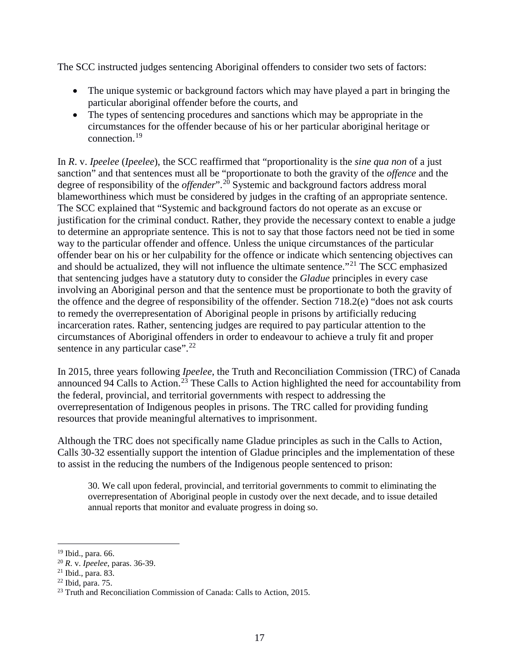The SCC instructed judges sentencing Aboriginal offenders to consider two sets of factors:

- The unique systemic or background factors which may have played a part in bringing the particular aboriginal offender before the courts, and
- The types of sentencing procedures and sanctions which may be appropriate in the circumstances for the offender because of his or her particular aboriginal heritage or connection.<sup>[19](#page-17-0)</sup>

In *R*. v. *Ipeelee* (*Ipeelee*), the SCC reaffirmed that "proportionality is the *sine qua non* of a just sanction" and that sentences must all be "proportionate to both the gravity of the *offence* and the degree of responsibility of the *offender*".<sup>[20](#page-17-1)</sup> Systemic and background factors address moral blameworthiness which must be considered by judges in the crafting of an appropriate sentence. The SCC explained that "Systemic and background factors do not operate as an excuse or justification for the criminal conduct. Rather, they provide the necessary context to enable a judge to determine an appropriate sentence. This is not to say that those factors need not be tied in some way to the particular offender and offence. Unless the unique circumstances of the particular offender bear on his or her culpability for the offence or indicate which sentencing objectives can and should be actualized, they will not influence the ultimate sentence."<sup>[21](#page-17-2)</sup> The SCC emphasized that sentencing judges have a statutory duty to consider the *Gladue* principles in every case involving an Aboriginal person and that the sentence must be proportionate to both the gravity of the offence and the degree of responsibility of the offender. Section 718.2(e) "does not ask courts to remedy the overrepresentation of Aboriginal people in prisons by artificially reducing incarceration rates. Rather, sentencing judges are required to pay particular attention to the circumstances of Aboriginal offenders in order to endeavour to achieve a truly fit and proper sentence in any particular case". $22$ 

In 2015, three years following *Ipeelee*, the Truth and Reconciliation Commission (TRC) of Canada announced 94 Calls to Action.<sup>[23](#page-17-4)</sup> These Calls to Action highlighted the need for accountability from the federal, provincial, and territorial governments with respect to addressing the overrepresentation of Indigenous peoples in prisons. The TRC called for providing funding resources that provide meaningful alternatives to imprisonment.

Although the TRC does not specifically name Gladue principles as such in the Calls to Action, Calls 30-32 essentially support the intention of Gladue principles and the implementation of these to assist in the reducing the numbers of the Indigenous people sentenced to prison:

30. We call upon federal, provincial, and territorial governments to commit to eliminating the overrepresentation of Aboriginal people in custody over the next decade, and to issue detailed annual reports that monitor and evaluate progress in doing so.

<span id="page-17-0"></span> <sup>19</sup> Ibid., para. 66.

<span id="page-17-1"></span><sup>20</sup> *R*. v. *Ipeelee*, paras. 36-39.

<span id="page-17-2"></span><sup>21</sup> Ibid., para. 83.

<span id="page-17-3"></span><sup>22</sup> Ibid, para. 75.

<span id="page-17-4"></span> $23$  Truth and Reconciliation Commission of Canada: Calls to Action, 2015.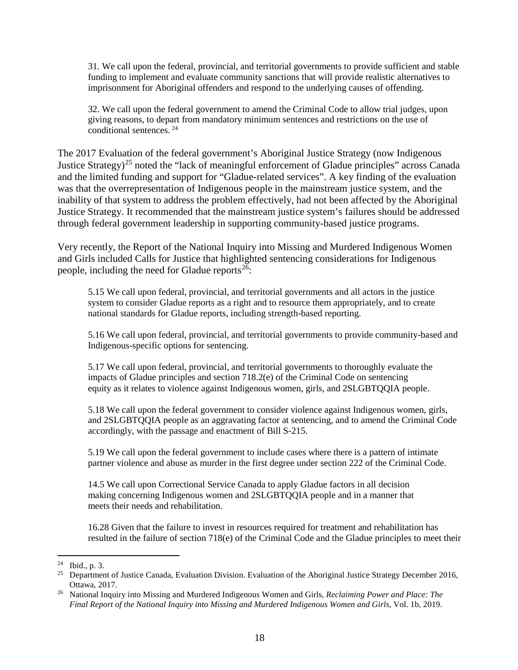31. We call upon the federal, provincial, and territorial governments to provide sufficient and stable funding to implement and evaluate community sanctions that will provide realistic alternatives to imprisonment for Aboriginal offenders and respond to the underlying causes of offending.

32. We call upon the federal government to amend the Criminal Code to allow trial judges, upon giving reasons, to depart from mandatory minimum sentences and restrictions on the use of conditional sentences. [24](#page-18-0)

The 2017 Evaluation of the federal government's Aboriginal Justice Strategy (now Indigenous Justice Strategy)<sup>[25](#page-18-1)</sup> noted the "lack of meaningful enforcement of Gladue principles" across Canada and the limited funding and support for "Gladue-related services". A key finding of the evaluation was that the overrepresentation of Indigenous people in the mainstream justice system, and the inability of that system to address the problem effectively, had not been affected by the Aboriginal Justice Strategy. It recommended that the mainstream justice system's failures should be addressed through federal government leadership in supporting community-based justice programs.

Very recently, the Report of the National Inquiry into Missing and Murdered Indigenous Women and Girls included Calls for Justice that highlighted sentencing considerations for Indigenous people, including the need for Gladue reports $26$ :

5.15 We call upon federal, provincial, and territorial governments and all actors in the justice system to consider Gladue reports as a right and to resource them appropriately, and to create national standards for Gladue reports, including strength-based reporting.

5.16 We call upon federal, provincial, and territorial governments to provide community-based and Indigenous-specific options for sentencing.

5.17 We call upon federal, provincial, and territorial governments to thoroughly evaluate the impacts of Gladue principles and section 718.2(e) of the Criminal Code on sentencing equity as it relates to violence against Indigenous women, girls, and 2SLGBTQQIA people.

5.18 We call upon the federal government to consider violence against Indigenous women, girls, and 2SLGBTQQIA people as an aggravating factor at sentencing, and to amend the Criminal Code accordingly, with the passage and enactment of Bill S-215.

5.19 We call upon the federal government to include cases where there is a pattern of intimate partner violence and abuse as murder in the first degree under section 222 of the Criminal Code.

14.5 We call upon Correctional Service Canada to apply Gladue factors in all decision making concerning Indigenous women and 2SLGBTQQIA people and in a manner that meets their needs and rehabilitation.

16.28 Given that the failure to invest in resources required for treatment and rehabilitation has resulted in the failure of section 718(e) of the Criminal Code and the Gladue principles to meet their

<span id="page-18-0"></span> <sup>24</sup> Ibid., p. 3.

<span id="page-18-1"></span><sup>&</sup>lt;sup>25</sup> Department of Justice Canada, Evaluation Division. Evaluation of the Aboriginal Justice Strategy December 2016, Ottawa, 2017. 26 National Inquiry into Missing and Murdered Indigenous Women and Girls, *Reclaiming Power and Place: The* 

<span id="page-18-2"></span>*Final Report of the National Inquiry into Missing and Murdered Indigenous Women and Girls*, Vol. 1b, 2019.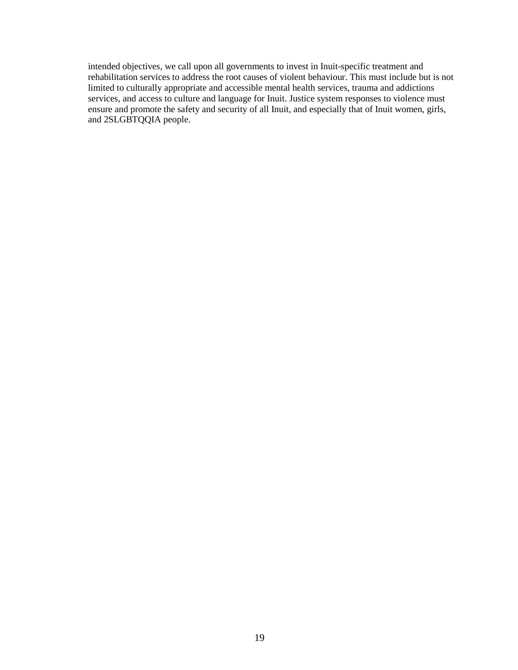intended objectives, we call upon all governments to invest in Inuit-specific treatment and rehabilitation services to address the root causes of violent behaviour. This must include but is not limited to culturally appropriate and accessible mental health services, trauma and addictions services, and access to culture and language for Inuit. Justice system responses to violence must ensure and promote the safety and security of all Inuit, and especially that of Inuit women, girls, and 2SLGBTQQIA people.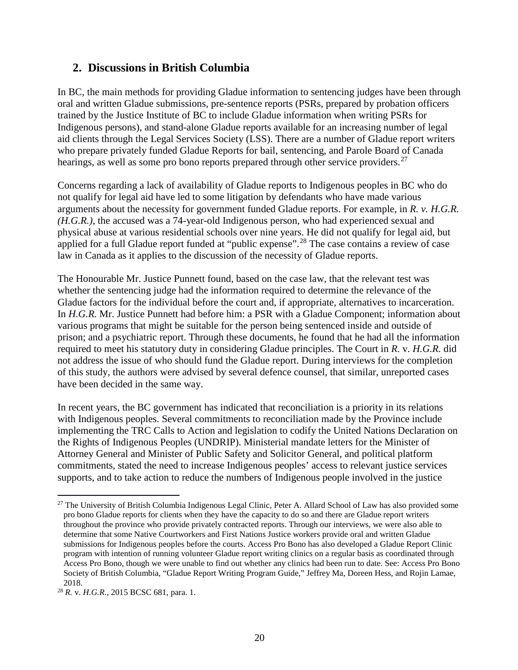## <span id="page-20-0"></span>**2. Discussions in British Columbia**

In BC, the main methods for providing Gladue information to sentencing judges have been through oral and written Gladue submissions, pre-sentence reports (PSRs, prepared by probation officers trained by the Justice Institute of BC to include Gladue information when writing PSRs for Indigenous persons), and stand-alone Gladue reports available for an increasing number of legal aid clients through the Legal Services Society (LSS). There are a number of Gladue report writers who prepare privately funded Gladue Reports for bail, sentencing, and Parole Board of Canada hearings, as well as some pro bono reports prepared through other service providers.<sup>[27](#page-20-1)</sup>

Concerns regarding a lack of availability of Gladue reports to Indigenous peoples in BC who do not qualify for legal aid have led to some litigation by defendants who have made various arguments about the necessity for government funded Gladue reports. For example, in *R. v. H.G.R. (H.G.R.)*, the accused was a 74-year-old Indigenous person, who had experienced sexual and physical abuse at various residential schools over nine years. He did not qualify for legal aid, but applied for a full Gladue report funded at "public expense".<sup>[28](#page-20-2)</sup> The case contains a review of case law in Canada as it applies to the discussion of the necessity of Gladue reports.

The Honourable Mr. Justice Punnett found, based on the case law, that the relevant test was whether the sentencing judge had the information required to determine the relevance of the Gladue factors for the individual before the court and, if appropriate, alternatives to incarceration. In *H.G.R.* Mr. Justice Punnett had before him: a PSR with a Gladue Component; information about various programs that might be suitable for the person being sentenced inside and outside of prison; and a psychiatric report. Through these documents, he found that he had all the information required to meet his statutory duty in considering Gladue principles. The Court in *R.* v. *H.G.R.* did not address the issue of who should fund the Gladue report. During interviews for the completion of this study, the authors were advised by several defence counsel, that similar, unreported cases have been decided in the same way.

In recent years, the BC government has indicated that reconciliation is a priority in its relations with Indigenous peoples. Several commitments to reconciliation made by the Province include implementing the TRC Calls to Action and legislation to codify the United Nations Declaration on the Rights of Indigenous Peoples (UNDRIP). Ministerial mandate letters for the Minister of Attorney General and Minister of Public Safety and Solicitor General, and political platform commitments, stated the need to increase Indigenous peoples' access to relevant justice services supports, and to take action to reduce the numbers of Indigenous people involved in the justice

<span id="page-20-1"></span><sup>&</sup>lt;sup>27</sup> The University of British Columbia Indigenous Legal Clinic, Peter A. Allard School of Law has also provided some pro bono Gladue reports for clients when they have the capacity to do so and there are Gladue report writers throughout the province who provide privately contracted reports. Through our interviews, we were also able to determine that some Native Courtworkers and First Nations Justice workers provide oral and written Gladue submissions for Indigenous peoples before the courts. Access Pro Bono has also developed a Gladue Report Clinic program with intention of running volunteer Gladue report writing clinics on a regular basis as coordinated through Access Pro Bono, though we were unable to find out whether any clinics had been run to date. See: Access Pro Bono Society of British Columbia, "Gladue Report Writing Program Guide," Jeffrey Ma, Doreen Hess, and Rojin Lamae, 2018.

<span id="page-20-2"></span><sup>28</sup> *R.* v. *H.G.R.,* 2015 BCSC 681, para. 1.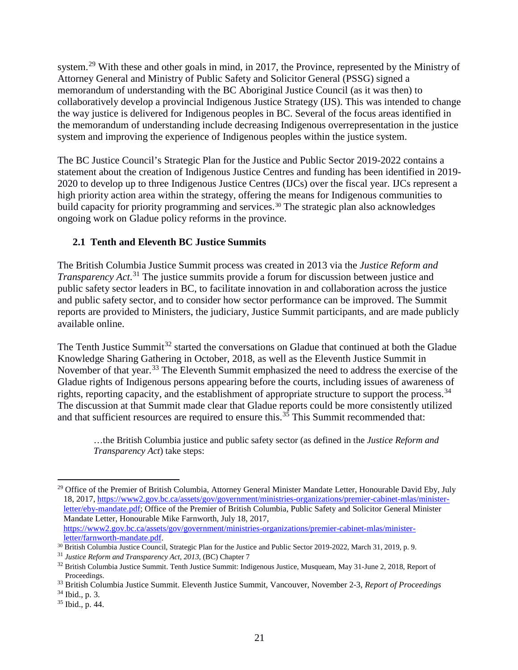system.[29](#page-21-1) With these and other goals in mind, in 2017, the Province, represented by the Ministry of Attorney General and Ministry of Public Safety and Solicitor General (PSSG) signed a memorandum of understanding with the BC Aboriginal Justice Council (as it was then) to collaboratively develop a provincial Indigenous Justice Strategy (IJS). This was intended to change the way justice is delivered for Indigenous peoples in BC. Several of the focus areas identified in the memorandum of understanding include decreasing Indigenous overrepresentation in the justice system and improving the experience of Indigenous peoples within the justice system.

The BC Justice Council's Strategic Plan for the Justice and Public Sector 2019-2022 contains a statement about the creation of Indigenous Justice Centres and funding has been identified in 2019- 2020 to develop up to three Indigenous Justice Centres (IJCs) over the fiscal year. IJCs represent a high priority action area within the strategy, offering the means for Indigenous communities to build capacity for priority programming and services.<sup>[30](#page-21-2)</sup> The strategic plan also acknowledges ongoing work on Gladue policy reforms in the province.

#### <span id="page-21-0"></span>**2.1 Tenth and Eleventh BC Justice Summits**

The British Columbia Justice Summit process was created in 2013 via the *Justice Reform and Transparency Act*. [31](#page-21-3) The justice summits provide a forum for discussion between justice and public safety sector leaders in BC, to facilitate innovation in and collaboration across the justice and public safety sector, and to consider how sector performance can be improved. The Summit reports are provided to Ministers, the judiciary, Justice Summit participants, and are made publicly available online.

The Tenth Justice Summit<sup>[32](#page-21-4)</sup> started the conversations on Gladue that continued at both the Gladue Knowledge Sharing Gathering in October, 2018, as well as the Eleventh Justice Summit in November of that year.<sup>[33](#page-21-5)</sup> The Eleventh Summit emphasized the need to address the exercise of the Gladue rights of Indigenous persons appearing before the courts, including issues of awareness of rights, reporting capacity, and the establishment of appropriate structure to support the process.<sup>34</sup> The discussion at that Summit made clear that Gladue reports could be more consistently utilized and that sufficient resources are required to ensure this.<sup>[35](#page-21-7)</sup> This Summit recommended that:

…the British Columbia justice and public safety sector (as defined in the *Justice Reform and Transparency Act*) take steps:

<span id="page-21-1"></span><sup>&</sup>lt;sup>29</sup> Office of the Premier of British Columbia, Attorney General Minister Mandate Letter, Honourable David Eby, July 18, 2017, [https://www2.gov.bc.ca/assets/gov/government/ministries-organizations/premier-cabinet-mlas/minister](https://www2.gov.bc.ca/assets/gov/government/ministries-organizations/premier-cabinet-mlas/minister-letter/eby-mandate.pdf)[letter/eby-mandate.pdf;](https://www2.gov.bc.ca/assets/gov/government/ministries-organizations/premier-cabinet-mlas/minister-letter/eby-mandate.pdf) Office of the Premier of British Columbia, Public Safety and Solicitor General Minister Mandate Letter, Honourable Mike Farnworth, July 18, 2017, [https://www2.gov.bc.ca/assets/gov/government/ministries-organizations/premier-cabinet-mlas/minister](https://www2.gov.bc.ca/assets/gov/government/ministries-organizations/premier-cabinet-mlas/minister-letter/farnworth-mandate.pdf)[letter/farnworth-mandate.pdf.](https://www2.gov.bc.ca/assets/gov/government/ministries-organizations/premier-cabinet-mlas/minister-letter/farnworth-mandate.pdf)<br><sup>30</sup> British Columbia Justice Council, Strategic Plan for the Justice and Public Sector 2019-2022, March 31, 2019, p. 9.

<span id="page-21-3"></span><span id="page-21-2"></span><sup>31</sup> *Justice Reform and Transparency Act, 2013,* (BC) Chapter 7

<span id="page-21-4"></span><sup>&</sup>lt;sup>32</sup> British Columbia Justice Summit. Tenth Justice Summit: Indigenous Justice, Musqueam, May 31-June 2, 2018, Report of Proceedings.

<span id="page-21-5"></span><sup>33</sup> British Columbia Justice Summit. Eleventh Justice Summit, Vancouver, November 2-3, *Report of Proceedings*

<span id="page-21-6"></span><sup>34</sup> Ibid., p. 3.

<span id="page-21-7"></span> $35$  Ibid., p. 44.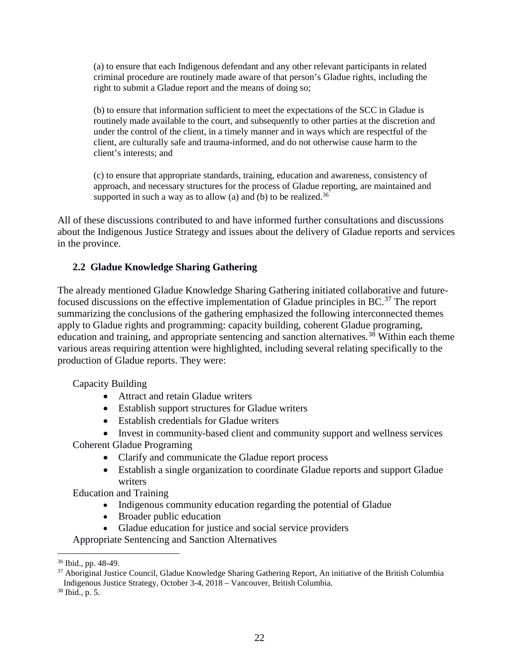(a) to ensure that each Indigenous defendant and any other relevant participants in related criminal procedure are routinely made aware of that person's Gladue rights, including the right to submit a Gladue report and the means of doing so;

(b) to ensure that information sufficient to meet the expectations of the SCC in Gladue is routinely made available to the court, and subsequently to other parties at the discretion and under the control of the client, in a timely manner and in ways which are respectful of the client, are culturally safe and trauma-informed, and do not otherwise cause harm to the client's interests; and

(c) to ensure that appropriate standards, training, education and awareness, consistency of approach, and necessary structures for the process of Gladue reporting, are maintained and supported in such a way as to allow (a) and (b) to be realized.<sup>[36](#page-22-1)</sup>

All of these discussions contributed to and have informed further consultations and discussions about the Indigenous Justice Strategy and issues about the delivery of Gladue reports and services in the province.

#### <span id="page-22-0"></span>**2.2 Gladue Knowledge Sharing Gathering**

The already mentioned Gladue Knowledge Sharing Gathering initiated collaborative and future-focused discussions on the effective implementation of Gladue principles in BC.<sup>[37](#page-22-2)</sup> The report summarizing the conclusions of the gathering emphasized the following interconnected themes apply to Gladue rights and programming: capacity building, coherent Gladue programing, education and training, and appropriate sentencing and sanction alternatives.<sup>[38](#page-22-3)</sup> Within each theme various areas requiring attention were highlighted, including several relating specifically to the production of Gladue reports. They were:

Capacity Building

- Attract and retain Gladue writers
- Establish support structures for Gladue writers
- Establish credentials for Gladue writers

• Invest in community-based client and community support and wellness services

Coherent Gladue Programing

- Clarify and communicate the Gladue report process
- Establish a single organization to coordinate Gladue reports and support Gladue writers

Education and Training

- Indigenous community education regarding the potential of Gladue
- Broader public education
- Gladue education for justice and social service providers

Appropriate Sentencing and Sanction Alternatives

<span id="page-22-1"></span> <sup>36</sup> Ibid., pp. 48-49.

<span id="page-22-2"></span><sup>&</sup>lt;sup>37</sup> Aboriginal Justice Council, Gladue Knowledge Sharing Gathering Report, An initiative of the British Columbia Indigenous Justice Strategy, October 3-4, 2018 – Vancouver, British Columbia.

<span id="page-22-3"></span><sup>38</sup> Ibid., p. 5.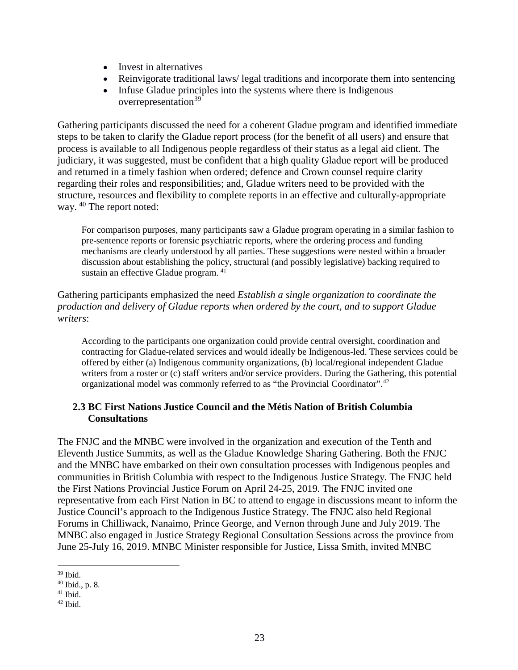- Invest in alternatives
- Reinvigorate traditional laws/legal traditions and incorporate them into sentencing
- Infuse Gladue principles into the systems where there is Indigenous overrepresentation<sup>[39](#page-23-1)</sup>

Gathering participants discussed the need for a coherent Gladue program and identified immediate steps to be taken to clarify the Gladue report process (for the benefit of all users) and ensure that process is available to all Indigenous people regardless of their status as a legal aid client. The judiciary, it was suggested, must be confident that a high quality Gladue report will be produced and returned in a timely fashion when ordered; defence and Crown counsel require clarity regarding their roles and responsibilities; and, Gladue writers need to be provided with the structure, resources and flexibility to complete reports in an effective and culturally-appropriate way. [40](#page-23-2) The report noted:

For comparison purposes, many participants saw a Gladue program operating in a similar fashion to pre-sentence reports or forensic psychiatric reports, where the ordering process and funding mechanisms are clearly understood by all parties. These suggestions were nested within a broader discussion about establishing the policy, structural (and possibly legislative) backing required to sustain an effective Gladue program. [41](#page-23-3)

Gathering participants emphasized the need *Establish a single organization to coordinate the production and delivery of Gladue reports when ordered by the court, and to support Gladue writers*:

According to the participants one organization could provide central oversight, coordination and contracting for Gladue-related services and would ideally be Indigenous-led. These services could be offered by either (a) Indigenous community organizations, (b) local/regional independent Gladue writers from a roster or (c) staff writers and/or service providers. During the Gathering, this potential organizational model was commonly referred to as "the Provincial Coordinator".[42](#page-23-4)

#### <span id="page-23-0"></span>**2.3 BC First Nations Justice Council and the Métis Nation of British Columbia Consultations**

The FNJC and the MNBC were involved in the organization and execution of the Tenth and Eleventh Justice Summits, as well as the Gladue Knowledge Sharing Gathering. Both the FNJC and the MNBC have embarked on their own consultation processes with Indigenous peoples and communities in British Columbia with respect to the Indigenous Justice Strategy. The FNJC held the First Nations Provincial Justice Forum on April 24-25, 2019. The FNJC invited one representative from each First Nation in BC to attend to engage in discussions meant to inform the Justice Council's approach to the Indigenous Justice Strategy. The FNJC also held Regional Forums in Chilliwack, Nanaimo, Prince George, and Vernon through June and July 2019. The MNBC also engaged in Justice Strategy Regional Consultation Sessions across the province from June 25-July 16, 2019. MNBC Minister responsible for Justice, Lissa Smith, invited MNBC

<span id="page-23-1"></span> $39$  Ibid.

<span id="page-23-2"></span><sup>40</sup> Ibid., p. 8.

<span id="page-23-3"></span> $41$  Ibid.

<span id="page-23-4"></span> $42$  Ibid.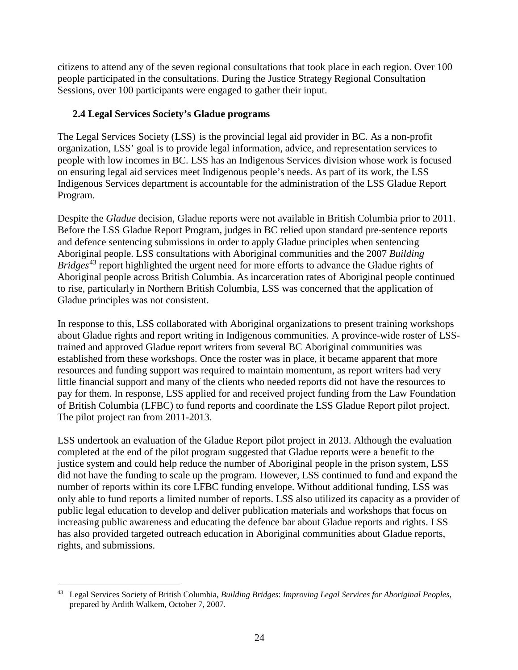citizens to attend any of the seven regional consultations that took place in each region. Over 100 people participated in the consultations. During the Justice Strategy Regional Consultation Sessions, over 100 participants were engaged to gather their input.

#### <span id="page-24-0"></span>**2.4 Legal Services Society's Gladue programs**

The Legal Services Society (LSS) is the provincial legal aid provider in BC. As a non-profit organization, LSS' goal is to provide legal information, advice, and representation services to people with low incomes in BC. LSS has an Indigenous Services division whose work is focused on ensuring legal aid services meet Indigenous people's needs. As part of its work, the LSS Indigenous Services department is accountable for the administration of the LSS Gladue Report Program.

Despite the *Gladue* decision, Gladue reports were not available in British Columbia prior to 2011. Before the LSS Gladue Report Program, judges in BC relied upon standard pre-sentence reports and defence sentencing submissions in order to apply Gladue principles when sentencing Aboriginal people. LSS consultations with Aboriginal communities and the 2007 *Building Bridges*[43](#page-24-1) report highlighted the urgent need for more efforts to advance the Gladue rights of Aboriginal people across British Columbia. As incarceration rates of Aboriginal people continued to rise, particularly in Northern British Columbia, LSS was concerned that the application of Gladue principles was not consistent.

In response to this, LSS collaborated with Aboriginal organizations to present training workshops about Gladue rights and report writing in Indigenous communities. A province-wide roster of LSStrained and approved Gladue report writers from several BC Aboriginal communities was established from these workshops. Once the roster was in place, it became apparent that more resources and funding support was required to maintain momentum, as report writers had very little financial support and many of the clients who needed reports did not have the resources to pay for them. In response, LSS applied for and received project funding from the Law Foundation of British Columbia (LFBC) to fund reports and coordinate the LSS Gladue Report pilot project. The pilot project ran from 2011-2013.

LSS undertook an evaluation of the Gladue Report pilot project in 2013. Although the evaluation completed at the end of the pilot program suggested that Gladue reports were a benefit to the justice system and could help reduce the number of Aboriginal people in the prison system, LSS did not have the funding to scale up the program. However, LSS continued to fund and expand the number of reports within its core LFBC funding envelope. Without additional funding, LSS was only able to fund reports a limited number of reports. LSS also utilized its capacity as a provider of public legal education to develop and deliver publication materials and workshops that focus on increasing public awareness and educating the defence bar about Gladue reports and rights. LSS has also provided targeted outreach education in Aboriginal communities about Gladue reports, rights, and submissions.

<span id="page-24-1"></span> <sup>43</sup> Legal Services Society of British Columbia, *Building Bridges*: *Improving Legal Services for Aboriginal Peoples*, prepared by Ardith Walkem, October 7, 2007.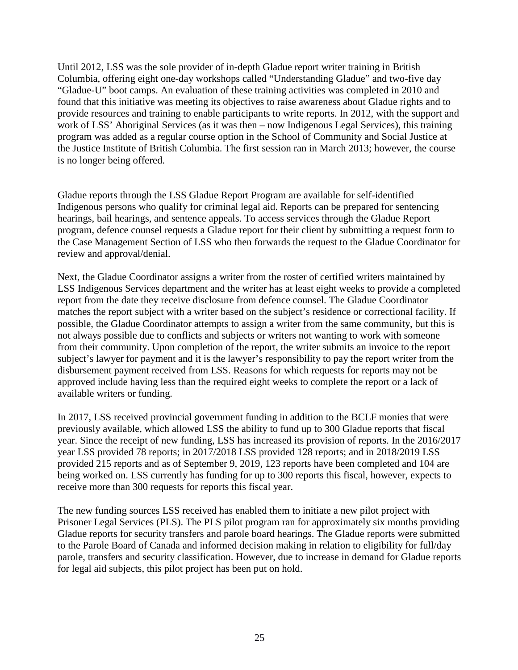Until 2012, LSS was the sole provider of in-depth Gladue report writer training in British Columbia, offering eight one-day workshops called "Understanding Gladue" and two-five day "Gladue-U" boot camps. An evaluation of these training activities was completed in 2010 and found that this initiative was meeting its objectives to raise awareness about Gladue rights and to provide resources and training to enable participants to write reports. In 2012, with the support and work of LSS' Aboriginal Services (as it was then – now Indigenous Legal Services), this training program was added as a regular course option in the School of Community and Social Justice at the Justice Institute of British Columbia. The first session ran in March 2013; however, the course is no longer being offered.

Gladue reports through the LSS Gladue Report Program are available for self-identified Indigenous persons who qualify for criminal legal aid. Reports can be prepared for sentencing hearings, bail hearings, and sentence appeals. To access services through the Gladue Report program, defence counsel requests a Gladue report for their client by submitting a request form to the Case Management Section of LSS who then forwards the request to the Gladue Coordinator for review and approval/denial.

Next, the Gladue Coordinator assigns a writer from the roster of certified writers maintained by LSS Indigenous Services department and the writer has at least eight weeks to provide a completed report from the date they receive disclosure from defence counsel. The Gladue Coordinator matches the report subject with a writer based on the subject's residence or correctional facility. If possible, the Gladue Coordinator attempts to assign a writer from the same community, but this is not always possible due to conflicts and subjects or writers not wanting to work with someone from their community. Upon completion of the report, the writer submits an invoice to the report subject's lawyer for payment and it is the lawyer's responsibility to pay the report writer from the disbursement payment received from LSS. Reasons for which requests for reports may not be approved include having less than the required eight weeks to complete the report or a lack of available writers or funding.

In 2017, LSS received provincial government funding in addition to the BCLF monies that were previously available, which allowed LSS the ability to fund up to 300 Gladue reports that fiscal year. Since the receipt of new funding, LSS has increased its provision of reports. In the 2016/2017 year LSS provided 78 reports; in 2017/2018 LSS provided 128 reports; and in 2018/2019 LSS provided 215 reports and as of September 9, 2019, 123 reports have been completed and 104 are being worked on. LSS currently has funding for up to 300 reports this fiscal, however, expects to receive more than 300 requests for reports this fiscal year.

The new funding sources LSS received has enabled them to initiate a new pilot project with Prisoner Legal Services (PLS). The PLS pilot program ran for approximately six months providing Gladue reports for security transfers and parole board hearings. The Gladue reports were submitted to the Parole Board of Canada and informed decision making in relation to eligibility for full/day parole, transfers and security classification. However, due to increase in demand for Gladue reports for legal aid subjects, this pilot project has been put on hold.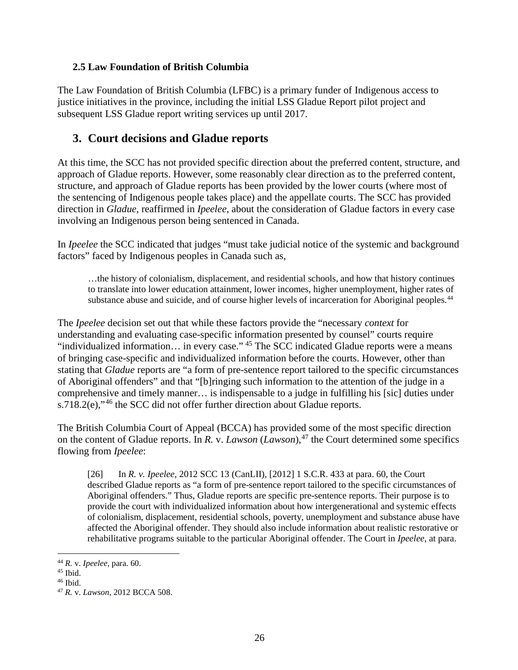#### <span id="page-26-0"></span>**2.5 Law Foundation of British Columbia**

The Law Foundation of British Columbia (LFBC) is a primary funder of Indigenous access to justice initiatives in the province, including the initial LSS Gladue Report pilot project and subsequent LSS Gladue report writing services up until 2017.

## <span id="page-26-1"></span>**3. Court decisions and Gladue reports**

At this time, the SCC has not provided specific direction about the preferred content, structure, and approach of Gladue reports. However, some reasonably clear direction as to the preferred content, structure, and approach of Gladue reports has been provided by the lower courts (where most of the sentencing of Indigenous people takes place) and the appellate courts. The SCC has provided direction in *Gladue*, reaffirmed in *Ipeelee*, about the consideration of Gladue factors in every case involving an Indigenous person being sentenced in Canada.

In *Ipeelee* the SCC indicated that judges "must take judicial notice of the systemic and background factors" faced by Indigenous peoples in Canada such as,

…the history of colonialism, displacement, and residential schools, and how that history continues to translate into lower education attainment, lower incomes, higher unemployment, higher rates of substance abuse and suicide, and of course higher levels of incarceration for Aboriginal peoples.<sup>[44](#page-26-2)</sup>

The *Ipeelee* decision set out that while these factors provide the "necessary *context* for understanding and evaluating case-specific information presented by counsel" courts require "individualized information… in every case." [45](#page-26-3) The SCC indicated Gladue reports were a means of bringing case-specific and individualized information before the courts. However, other than stating that *Gladue* reports are "a form of pre-sentence report tailored to the specific circumstances of Aboriginal offenders" and that "[b]ringing such information to the attention of the judge in a comprehensive and timely manner… is indispensable to a judge in fulfilling his [sic] duties under s.718.2(e),"<sup>[46](#page-26-4)</sup> the SCC did not offer further direction about Gladue reports.

The British Columbia Court of Appeal (BCCA) has provided some of the most specific direction on the content of Gladue reports. In *R. v. Lawson* (*Lawson*),<sup>[47](#page-26-5)</sup> the Court determined some specifics flowing from *Ipeelee*:

[26] In *R. v. Ipeelee*, 2012 SCC 13 (CanLII), [2012] 1 S.C.R. 433 at para. [60,](https://www.canlii.org/en/ca/scc/doc/2012/2012scc13/2012scc13.html#par60) the Court described Gladue reports as "a form of pre-sentence report tailored to the specific circumstances of Aboriginal offenders." Thus, Gladue reports are specific pre-sentence reports. Their purpose is to provide the court with individualized information about how intergenerational and systemic effects of colonialism, displacement, residential schools, poverty, unemployment and substance abuse have affected the Aboriginal offender. They should also include information about realistic restorative or rehabilitative programs suitable to the particular Aboriginal offender. The Court in *Ipeelee*, at para.

<span id="page-26-2"></span> <sup>44</sup> *R.* v. *Ipeelee*, para. 60.

<span id="page-26-3"></span><sup>45</sup> Ibid.

<span id="page-26-4"></span><sup>46</sup> Ibid.

<span id="page-26-5"></span><sup>47</sup> *R.* v. *Lawson*, 2012 BCCA 508.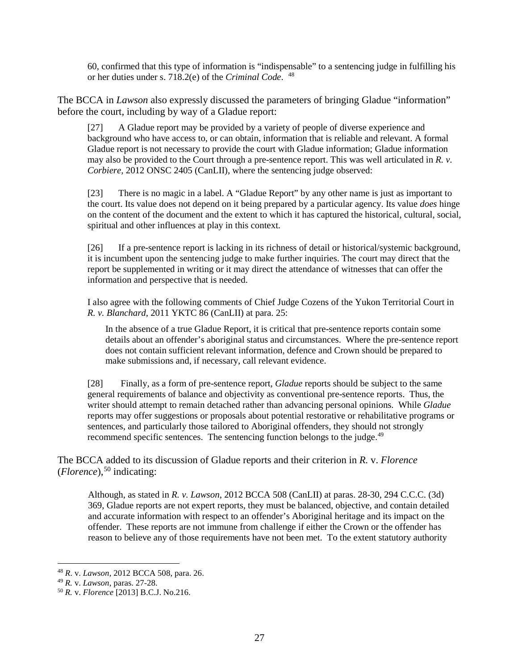60, confirmed that this type of information is "indispensable" to a sentencing judge in fulfilling his or her duties under s. 718.2(e) of the *Criminal Code*. [48](#page-27-0)

The BCCA in *Lawson* also expressly discussed the parameters of bringing Gladue "information" before the court, including by way of a Gladue report:

[27] A Gladue report may be provided by a variety of people of diverse experience and background who have access to, or can obtain, information that is reliable and relevant. A formal Gladue report is not necessary to provide the court with Gladue information; Gladue information may also be provided to the Court through a pre-sentence report. This was well articulated in *R. v. Corbiere*, 2012 ONSC 2405 (CanLII), where the sentencing judge observed:

[23] There is no magic in a label. A "Gladue Report" by any other name is just as important to the court. Its value does not depend on it being prepared by a particular agency. Its value *does* hinge on the content of the document and the extent to which it has captured the historical, cultural, social, spiritual and other influences at play in this context.

[26] If a pre-sentence report is lacking in its richness of detail or historical/systemic background, it is incumbent upon the sentencing judge to make further inquiries. The court may direct that the report be supplemented in writing or it may direct the attendance of witnesses that can offer the information and perspective that is needed.

I also agree with the following comments of Chief Judge Cozens of the Yukon Territorial Court in *R. v. Blanchard*, 2011 YKTC 86 (CanLII) at para. 25:

In the absence of a true Gladue Report, it is critical that pre-sentence reports contain some details about an offender's aboriginal status and circumstances. Where the pre-sentence report does not contain sufficient relevant information, defence and Crown should be prepared to make submissions and, if necessary, call relevant evidence.

[28] Finally, as a form of pre-sentence report, *Gladue* reports should be subject to the same general requirements of balance and objectivity as conventional pre-sentence reports. Thus, the writer should attempt to remain detached rather than advancing personal opinions. While *Gladue* reports may offer suggestions or proposals about potential restorative or rehabilitative programs or sentences, and particularly those tailored to Aboriginal offenders, they should not strongly recommend specific sentences. The sentencing function belongs to the judge.<sup>[49](#page-27-1)</sup>

The BCCA added to its discussion of Gladue reports and their criterion in *R.* v. *Florence*   $(Florence)$ , <sup>[50](#page-27-2)</sup> indicating:

Although, as stated in *R. v. Lawson*, 2012 BCCA 508 (CanLII) at paras. 28-30, 294 C.C.C. (3d) 369, Gladue reports are not expert reports, they must be balanced, objective, and contain detailed and accurate information with respect to an offender's Aboriginal heritage and its impact on the offender. These reports are not immune from challenge if either the Crown or the offender has reason to believe any of those requirements have not been met. To the extent statutory authority

<span id="page-27-0"></span> <sup>48</sup> *<sup>R</sup>*. v. *Lawson*, 2012 BCCA 508, para. 26.

<span id="page-27-1"></span><sup>49</sup> *R.* v. *Lawson*, paras. 27-28.

<span id="page-27-2"></span><sup>50</sup> *R.* v. *Florence* [2013] B.C.J. No.216.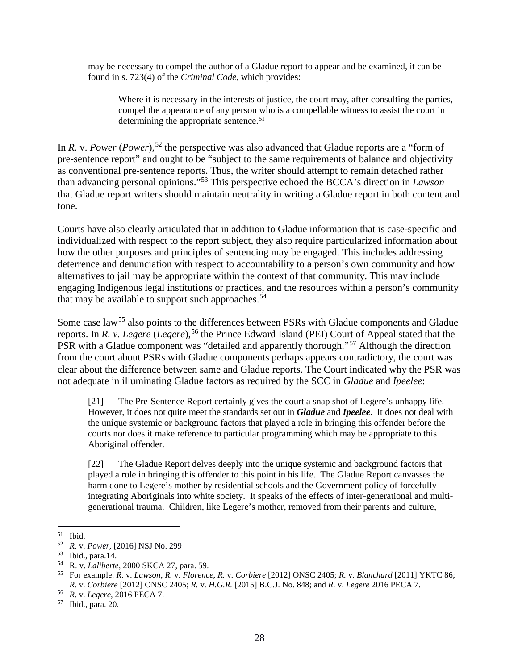may be necessary to compel the author of a Gladue report to appear and be examined, it can be found in s. 723(4) of the *Criminal Code*, which provides:

Where it is necessary in the interests of justice, the court may, after consulting the parties, compel the appearance of any person who is a compellable witness to assist the court in determining the appropriate sentence.<sup>[51](#page-28-0)</sup>

In *R. v. Power* (*Power*),<sup>[52](#page-28-1)</sup> the perspective was also advanced that Gladue reports are a "form of pre-sentence report" and ought to be "subject to the same requirements of balance and objectivity as conventional pre-sentence reports. Thus, the writer should attempt to remain detached rather than advancing personal opinions."[53](#page-28-2) This perspective echoed the BCCA's direction in *Lawson*  that Gladue report writers should maintain neutrality in writing a Gladue report in both content and tone.

Courts have also clearly articulated that in addition to Gladue information that is case-specific and individualized with respect to the report subject, they also require particularized information about how the other purposes and principles of sentencing may be engaged. This includes addressing deterrence and denunciation with respect to accountability to a person's own community and how alternatives to jail may be appropriate within the context of that community. This may include engaging Indigenous legal institutions or practices, and the resources within a person's community that may be available to support such approaches.  $54$ 

Some case law<sup>[55](#page-28-4)</sup> also points to the differences between PSRs with Gladue components and Gladue reports. In *R. v. Legere* (*Legere*), [56](#page-28-5) the Prince Edward Island (PEI) Court of Appeal stated that the PSR with a Gladue component was "detailed and apparently thorough."<sup>[57](#page-28-6)</sup> Although the direction from the court about PSRs with Gladue components perhaps appears contradictory, the court was clear about the difference between same and Gladue reports. The Court indicated why the PSR was not adequate in illuminating Gladue factors as required by the SCC in *Gladue* and *Ipeelee*:

[21] The Pre-Sentence Report certainly gives the court a snap shot of Legere's unhappy life. However, it does not quite meet the standards set out in *Gladue* and *Ipeelee*. It does not deal with the unique systemic or background factors that played a role in bringing this offender before the courts nor does it make reference to particular programming which may be appropriate to this Aboriginal offender.

[22] The Gladue Report delves deeply into the unique systemic and background factors that played a role in bringing this offender to this point in his life. The Gladue Report canvasses the harm done to Legere's mother by residential schools and the Government policy of forcefully integrating Aboriginals into white society. It speaks of the effects of inter-generational and multigenerational trauma. Children, like Legere's mother, removed from their parents and culture,

<span id="page-28-0"></span> <sup>51</sup> Ibid.

<span id="page-28-1"></span><sup>52</sup> *R.* v. *Power,* [2016] NSJ No. 299

<span id="page-28-2"></span><sup>53</sup> Ibid., para.14.

<span id="page-28-3"></span><sup>54</sup> R. v. *Laliberte,* 2000 SKCA 27, para. 59.

<span id="page-28-4"></span><sup>55</sup> For example: *R*. v. *Lawson*, *R.* v. *Florence*, *R.* v. *Corbiere* [2012] ONSC 2405; *R.* v. *Blanchard* [2011] YKTC 86; *R.* v. *Corbiere* [2012] ONSC 2405; *R.* v. *H.G.R.* [2015] B.C.J. No. 848; and *R.* v. *Legere* 2016 PECA 7.

<span id="page-28-5"></span><sup>56</sup> *R*. v. *Legere*, 2016 PECA 7.

<span id="page-28-6"></span><sup>57</sup> Ibid., para. 20.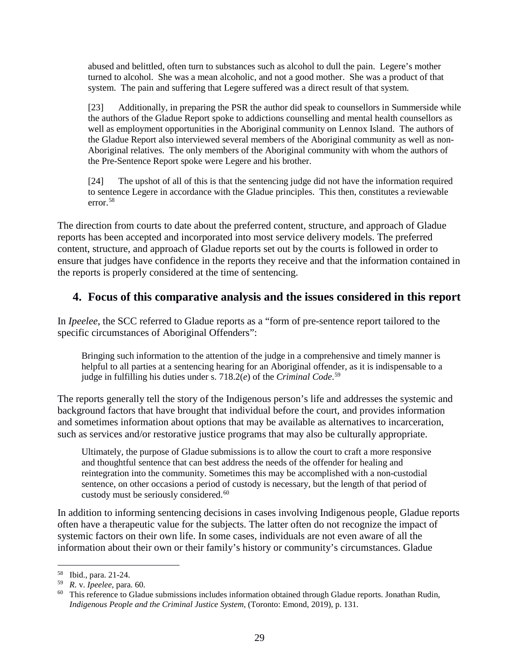abused and belittled, often turn to substances such as alcohol to dull the pain. Legere's mother turned to alcohol. She was a mean alcoholic, and not a good mother. She was a product of that system. The pain and suffering that Legere suffered was a direct result of that system.

[23] Additionally, in preparing the PSR the author did speak to counsellors in Summerside while the authors of the Gladue Report spoke to addictions counselling and mental health counsellors as well as employment opportunities in the Aboriginal community on Lennox Island. The authors of the Gladue Report also interviewed several members of the Aboriginal community as well as non-Aboriginal relatives. The only members of the Aboriginal community with whom the authors of the Pre-Sentence Report spoke were Legere and his brother.

[24] The upshot of all of this is that the sentencing judge did not have the information required to sentence Legere in accordance with the Gladue principles. This then, constitutes a reviewable error.[58](#page-29-1)

The direction from courts to date about the preferred content, structure, and approach of Gladue reports has been accepted and incorporated into most service delivery models. The preferred content, structure, and approach of Gladue reports set out by the courts is followed in order to ensure that judges have confidence in the reports they receive and that the information contained in the reports is properly considered at the time of sentencing.

## <span id="page-29-0"></span>**4. Focus of this comparative analysis and the issues considered in this report**

In *Ipeelee*, the SCC referred to Gladue reports as a "form of pre-sentence report tailored to the specific circumstances of Aboriginal Offenders":

Bringing such information to the attention of the judge in a comprehensive and timely manner is helpful to all parties at a sentencing hearing for an Aboriginal offender, as it is indispensable to a judge in fulfilling his duties under [s. 718.2\(](https://webmail.ufv.ca/owa/redir.aspx?C=BrqzU50GJG8iyhoBa4M0k8XACe42HnqwL10vOm87wR_UZKrJTB_XCA..&URL=https%3A%2F%2Fqweri.lexum.com%2Fcalegis%2Frsc-1985-c-c-46-en%23!fragment%2Fsec718.2)*e*) of the *Criminal Code*. [59](#page-29-2)

The reports generally tell the story of the Indigenous person's life and addresses the systemic and background factors that have brought that individual before the court, and provides information and sometimes information about options that may be available as alternatives to incarceration, such as services and/or restorative justice programs that may also be culturally appropriate.

Ultimately, the purpose of Gladue submissions is to allow the court to craft a more responsive and thoughtful sentence that can best address the needs of the offender for healing and reintegration into the community. Sometimes this may be accomplished with a non-custodial sentence, on other occasions a period of custody is necessary, but the length of that period of custody must be seriously considered.<sup>60</sup>

In addition to informing sentencing decisions in cases involving Indigenous people, Gladue reports often have a therapeutic value for the subjects. The latter often do not recognize the impact of systemic factors on their own life. In some cases, individuals are not even aware of all the information about their own or their family's history or community's circumstances. Gladue

<span id="page-29-1"></span> <sup>58</sup> Ibid., para. 21-24.

<span id="page-29-2"></span><sup>59</sup> *R.* v. *Ipeelee*, para. 60.

<span id="page-29-3"></span> $60$  This reference to Gladue submissions includes information obtained through Gladue reports. Jonathan Rudin, *Indigenous People and the Criminal Justice System*, (Toronto: Emond, 2019), p. 131.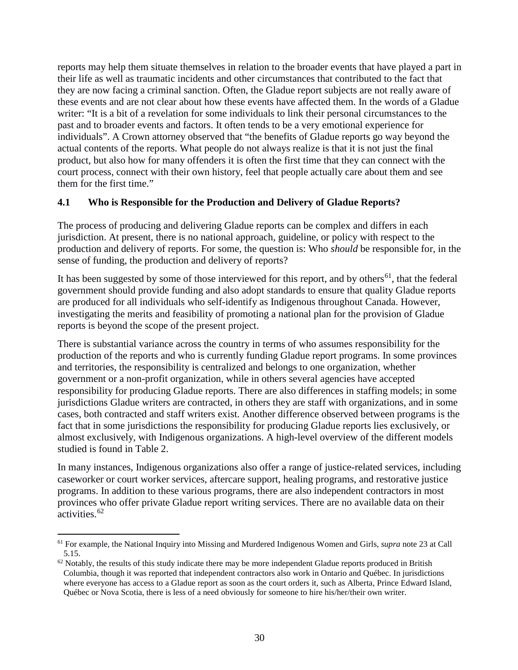reports may help them situate themselves in relation to the broader events that have played a part in their life as well as traumatic incidents and other circumstances that contributed to the fact that they are now facing a criminal sanction. Often, the Gladue report subjects are not really aware of these events and are not clear about how these events have affected them. In the words of a Gladue writer: "It is a bit of a revelation for some individuals to link their personal circumstances to the past and to broader events and factors. It often tends to be a very emotional experience for individuals". A Crown attorney observed that "the benefits of Gladue reports go way beyond the actual contents of the reports. What people do not always realize is that it is not just the final product, but also how for many offenders it is often the first time that they can connect with the court process, connect with their own history, feel that people actually care about them and see them for the first time."

#### <span id="page-30-0"></span>**4.1 Who is Responsible for the Production and Delivery of Gladue Reports?**

The process of producing and delivering Gladue reports can be complex and differs in each jurisdiction. At present, there is no national approach, guideline, or policy with respect to the production and delivery of reports. For some, the question is: Who *should* be responsible for, in the sense of funding, the production and delivery of reports?

It has been suggested by some of those interviewed for this report, and by others<sup>[61](#page-30-1)</sup>, that the federal government should provide funding and also adopt standards to ensure that quality Gladue reports are produced for all individuals who self-identify as Indigenous throughout Canada. However, investigating the merits and feasibility of promoting a national plan for the provision of Gladue reports is beyond the scope of the present project.

There is substantial variance across the country in terms of who assumes responsibility for the production of the reports and who is currently funding Gladue report programs. In some provinces and territories, the responsibility is centralized and belongs to one organization, whether government or a non-profit organization, while in others several agencies have accepted responsibility for producing Gladue reports. There are also differences in staffing models; in some jurisdictions Gladue writers are contracted, in others they are staff with organizations, and in some cases, both contracted and staff writers exist. Another difference observed between programs is the fact that in some jurisdictions the responsibility for producing Gladue reports lies exclusively, or almost exclusively, with Indigenous organizations. A high-level overview of the different models studied is found in Table 2.

In many instances, Indigenous organizations also offer a range of justice-related services, including caseworker or court worker services, aftercare support, healing programs, and restorative justice programs. In addition to these various programs, there are also independent contractors in most provinces who offer private Gladue report writing services. There are no available data on their activities.<sup>[62](#page-30-2)</sup>

<span id="page-30-1"></span> <sup>61</sup> For example, the National Inquiry into Missing and Murdered Indigenous Women and Girls, *supra* note 23 at Call 5.15.

<span id="page-30-2"></span> $62$  Notably, the results of this study indicate there may be more independent Gladue reports produced in British Columbia, though it was reported that independent contractors also work in Ontario and Québec. In jurisdictions where everyone has access to a Gladue report as soon as the court orders it, such as Alberta, Prince Edward Island, Québec or Nova Scotia, there is less of a need obviously for someone to hire his/her/their own writer.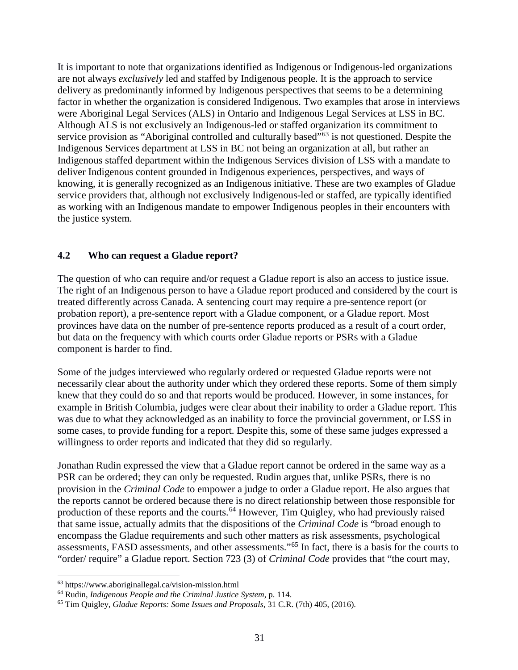It is important to note that organizations identified as Indigenous or Indigenous-led organizations are not always *exclusively* led and staffed by Indigenous people. It is the approach to service delivery as predominantly informed by Indigenous perspectives that seems to be a determining factor in whether the organization is considered Indigenous. Two examples that arose in interviews were Aboriginal Legal Services (ALS) in Ontario and Indigenous Legal Services at LSS in BC. Although ALS is not exclusively an Indigenous-led or staffed organization its commitment to service provision as "Aboriginal controlled and culturally based"<sup>[63](#page-31-1)</sup> is not questioned. Despite the Indigenous Services department at LSS in BC not being an organization at all, but rather an Indigenous staffed department within the Indigenous Services division of LSS with a mandate to deliver Indigenous content grounded in Indigenous experiences, perspectives, and ways of knowing, it is generally recognized as an Indigenous initiative. These are two examples of Gladue service providers that, although not exclusively Indigenous-led or staffed, are typically identified as working with an Indigenous mandate to empower Indigenous peoples in their encounters with the justice system.

#### <span id="page-31-0"></span>**4.2 Who can request a Gladue report?**

The question of who can require and/or request a Gladue report is also an access to justice issue. The right of an Indigenous person to have a Gladue report produced and considered by the court is treated differently across Canada. A sentencing court may require a pre-sentence report (or probation report), a pre-sentence report with a Gladue component, or a Gladue report. Most provinces have data on the number of pre-sentence reports produced as a result of a court order, but data on the frequency with which courts order Gladue reports or PSRs with a Gladue component is harder to find.

Some of the judges interviewed who regularly ordered or requested Gladue reports were not necessarily clear about the authority under which they ordered these reports. Some of them simply knew that they could do so and that reports would be produced. However, in some instances, for example in British Columbia, judges were clear about their inability to order a Gladue report. This was due to what they acknowledged as an inability to force the provincial government, or LSS in some cases, to provide funding for a report. Despite this, some of these same judges expressed a willingness to order reports and indicated that they did so regularly.

Jonathan Rudin expressed the view that a Gladue report cannot be ordered in the same way as a PSR can be ordered; they can only be requested. Rudin argues that, unlike PSRs, there is no provision in the *Criminal Code* to empower a judge to order a Gladue report. He also argues that the reports cannot be ordered because there is no direct relationship between those responsible for production of these reports and the courts.<sup>[64](#page-31-2)</sup> However, Tim Quigley, who had previously raised that same issue, actually admits that the dispositions of the *Criminal Code* is "broad enough to encompass the Gladue requirements and such other matters as risk assessments, psychological assessments, FASD assessments, and other assessments."[65](#page-31-3) In fact, there is a basis for the courts to "order/ require" a Gladue report. Section 723 (3) of *Criminal Code* provides that "the court may,

<span id="page-31-1"></span> <sup>63</sup> https://www.aboriginallegal.ca/vision-mission.html

<span id="page-31-2"></span><sup>64</sup> Rudin, *Indigenous People and the Criminal Justice System*, p. 114.

<span id="page-31-3"></span><sup>65</sup> Tim Quigley, *Gladue Reports: Some Issues and Proposals*, 31 C.R. (7th) 405, (2016).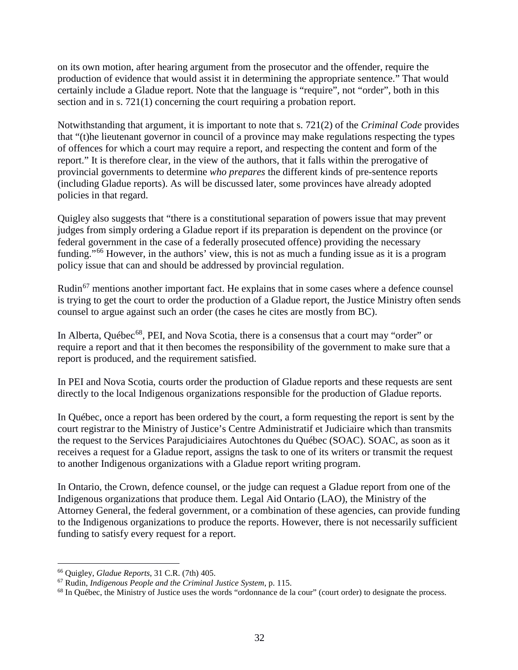on its own motion, after hearing argument from the prosecutor and the offender, require the production of evidence that would assist it in determining the appropriate sentence." That would certainly include a Gladue report. Note that the language is "require", not "order", both in this section and in s. 721(1) concerning the court requiring a probation report.

Notwithstanding that argument, it is important to note that s. 721(2) of the *Criminal Code* provides that "(t)he lieutenant governor in council of a province may make regulations respecting the types of offences for which a court may require a report, and respecting the content and form of the report." It is therefore clear, in the view of the authors, that it falls within the prerogative of provincial governments to determine *who prepares* the different kinds of pre-sentence reports (including Gladue reports). As will be discussed later, some provinces have already adopted policies in that regard.

Quigley also suggests that "there is a constitutional separation of powers issue that may prevent judges from simply ordering a Gladue report if its preparation is dependent on the province (or federal government in the case of a federally prosecuted offence) providing the necessary funding."[66](#page-32-0) However, in the authors' view, this is not as much a funding issue as it is a program policy issue that can and should be addressed by provincial regulation.

Rudin<sup>[67](#page-32-1)</sup> mentions another important fact. He explains that in some cases where a defence counsel is trying to get the court to order the production of a Gladue report, the Justice Ministry often sends counsel to argue against such an order (the cases he cites are mostly from BC).

In Alberta, Québec<sup>[68](#page-32-2)</sup>, PEI, and Nova Scotia, there is a consensus that a court may "order" or require a report and that it then becomes the responsibility of the government to make sure that a report is produced, and the requirement satisfied.

In PEI and Nova Scotia, courts order the production of Gladue reports and these requests are sent directly to the local Indigenous organizations responsible for the production of Gladue reports.

In Québec, once a report has been ordered by the court, a form requesting the report is sent by the court registrar to the Ministry of Justice's Centre Administratif et Judiciaire which than transmits the request to the Services Parajudiciaires Autochtones du Québec (SOAC). SOAC, as soon as it receives a request for a Gladue report, assigns the task to one of its writers or transmit the request to another Indigenous organizations with a Gladue report writing program.

In Ontario, the Crown, defence counsel, or the judge can request a Gladue report from one of the Indigenous organizations that produce them. Legal Aid Ontario (LAO), the Ministry of the Attorney General, the federal government, or a combination of these agencies, can provide funding to the Indigenous organizations to produce the reports. However, there is not necessarily sufficient funding to satisfy every request for a report.

<span id="page-32-0"></span> <sup>66</sup> Quigley, *Gladue Reports*, 31 C.R. (7th) 405.

<span id="page-32-1"></span><sup>67</sup> Rudin, *Indigenous People and the Criminal Justice System*, p. 115.

<span id="page-32-2"></span><sup>&</sup>lt;sup>68</sup> In Québec, the Ministry of Justice uses the words "ordonnance de la cour" (court order) to designate the process.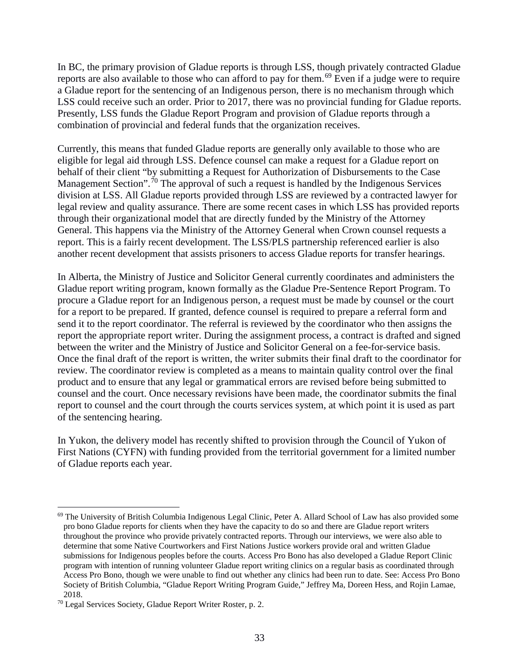In BC, the primary provision of Gladue reports is through LSS, though privately contracted Gladue reports are also available to those who can afford to pay for them.[69](#page-33-0) Even if a judge were to require a Gladue report for the sentencing of an Indigenous person, there is no mechanism through which LSS could receive such an order. Prior to 2017, there was no provincial funding for Gladue reports. Presently, LSS funds the Gladue Report Program and provision of Gladue reports through a combination of provincial and federal funds that the organization receives.

Currently, this means that funded Gladue reports are generally only available to those who are eligible for legal aid through LSS. Defence counsel can make a request for a Gladue report on behalf of their client "by submitting a Request for Authorization of Disbursements to the Case Management Section".<sup>[70](#page-33-1)</sup> The approval of such a request is handled by the Indigenous Services division at LSS. All Gladue reports provided through LSS are reviewed by a contracted lawyer for legal review and quality assurance. There are some recent cases in which LSS has provided reports through their organizational model that are directly funded by the Ministry of the Attorney General. This happens via the Ministry of the Attorney General when Crown counsel requests a report. This is a fairly recent development. The LSS/PLS partnership referenced earlier is also another recent development that assists prisoners to access Gladue reports for transfer hearings.

In Alberta, the Ministry of Justice and Solicitor General currently coordinates and administers the Gladue report writing program, known formally as the Gladue Pre-Sentence Report Program. To procure a Gladue report for an Indigenous person, a request must be made by counsel or the court for a report to be prepared. If granted, defence counsel is required to prepare a referral form and send it to the report coordinator. The referral is reviewed by the coordinator who then assigns the report the appropriate report writer. During the assignment process, a contract is drafted and signed between the writer and the Ministry of Justice and Solicitor General on a fee-for-service basis. Once the final draft of the report is written, the writer submits their final draft to the coordinator for review. The coordinator review is completed as a means to maintain quality control over the final product and to ensure that any legal or grammatical errors are revised before being submitted to counsel and the court. Once necessary revisions have been made, the coordinator submits the final report to counsel and the court through the courts services system, at which point it is used as part of the sentencing hearing.

In Yukon, the delivery model has recently shifted to provision through the Council of Yukon of First Nations (CYFN) with funding provided from the territorial government for a limited number of Gladue reports each year.

<span id="page-33-0"></span><sup>&</sup>lt;sup>69</sup> The University of British Columbia Indigenous Legal Clinic, Peter A. Allard School of Law has also provided some pro bono Gladue reports for clients when they have the capacity to do so and there are Gladue report writers throughout the province who provide privately contracted reports. Through our interviews, we were also able to determine that some Native Courtworkers and First Nations Justice workers provide oral and written Gladue submissions for Indigenous peoples before the courts. Access Pro Bono has also developed a Gladue Report Clinic program with intention of running volunteer Gladue report writing clinics on a regular basis as coordinated through Access Pro Bono, though we were unable to find out whether any clinics had been run to date. See: Access Pro Bono Society of British Columbia, "Gladue Report Writing Program Guide," Jeffrey Ma, Doreen Hess, and Rojin Lamae, 2018.

<span id="page-33-1"></span><sup>70</sup> Legal Services Society, Gladue Report Writer Roster, p. 2.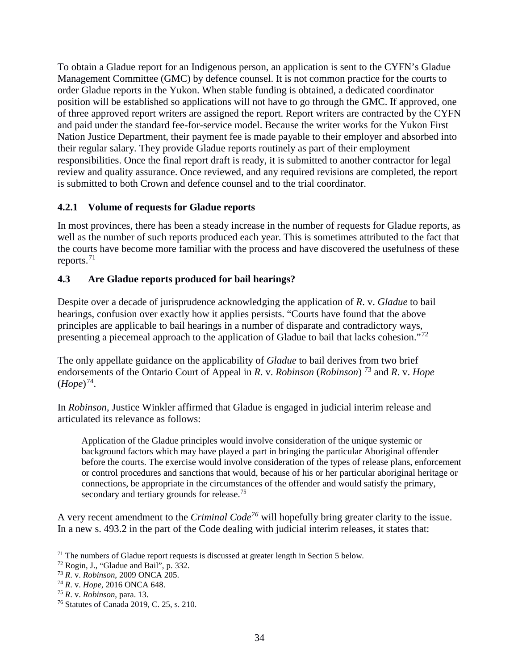To obtain a Gladue report for an Indigenous person, an application is sent to the CYFN's Gladue Management Committee (GMC) by defence counsel. It is not common practice for the courts to order Gladue reports in the Yukon. When stable funding is obtained, a dedicated coordinator position will be established so applications will not have to go through the GMC. If approved, one of three approved report writers are assigned the report. Report writers are contracted by the CYFN and paid under the standard fee-for-service model. Because the writer works for the Yukon First Nation Justice Department, their payment fee is made payable to their employer and absorbed into their regular salary. They provide Gladue reports routinely as part of their employment responsibilities. Once the final report draft is ready, it is submitted to another contractor for legal review and quality assurance. Once reviewed, and any required revisions are completed, the report is submitted to both Crown and defence counsel and to the trial coordinator.

#### **4.2.1 Volume of requests for Gladue reports**

In most provinces, there has been a steady increase in the number of requests for Gladue reports, as well as the number of such reports produced each year. This is sometimes attributed to the fact that the courts have become more familiar with the process and have discovered the usefulness of these reports. [71](#page-34-1)

#### <span id="page-34-0"></span>**4.3 Are Gladue reports produced for bail hearings?**

Despite over a decade of jurisprudence acknowledging the application of *R*. v. *Gladue* to bail hearings, confusion over exactly how it applies persists. "Courts have found that the above principles are applicable to bail hearings in a number of disparate and contradictory ways, presenting a piecemeal approach to the application of Gladue to bail that lacks cohesion."<sup>[72](#page-34-2)</sup>

The only appellate guidance on the applicability of *Gladue* to bail derives from two brief endorsements of the Ontario Court of Appeal in *R*. v. *Robinson* (*Robinson*) [73](#page-34-3) and *R*. v. *Hope*  $(Hope)^{74}$ .

In *Robinson*, Justice Winkler affirmed that Gladue is engaged in judicial interim release and articulated its relevance as follows:

Application of the Gladue principles would involve consideration of the unique systemic or background factors which may have played a part in bringing the particular Aboriginal offender before the courts. The exercise would involve consideration of the types of release plans, enforcement or control procedures and sanctions that would, because of his or her particular aboriginal heritage or connections, be appropriate in the circumstances of the offender and would satisfy the primary, secondary and tertiary grounds for release.<sup>[75](#page-34-5)</sup>

A very recent amendment to the *Criminal Code[76](#page-34-6)* will hopefully bring greater clarity to the issue. In a new s. 493.2 in the part of the Code dealing with judicial interim releases, it states that:

<span id="page-34-1"></span> $71$  The numbers of Gladue report requests is discussed at greater length in Section 5 below.

<span id="page-34-2"></span><sup>72</sup> Rogin, J., "Gladue and Bail", p. 332.

<span id="page-34-3"></span><sup>73</sup> *R*. v. *Robinson*, 2009 ONCA 205.

<span id="page-34-4"></span><sup>74</sup> *R*. v. *Hope*, 2016 ONCA 648.

<span id="page-34-5"></span><sup>75</sup> *R*. v. *Robinson*, para. 13.

<span id="page-34-6"></span><sup>76</sup> Statutes of Canada 2019, C. 25, s. 210.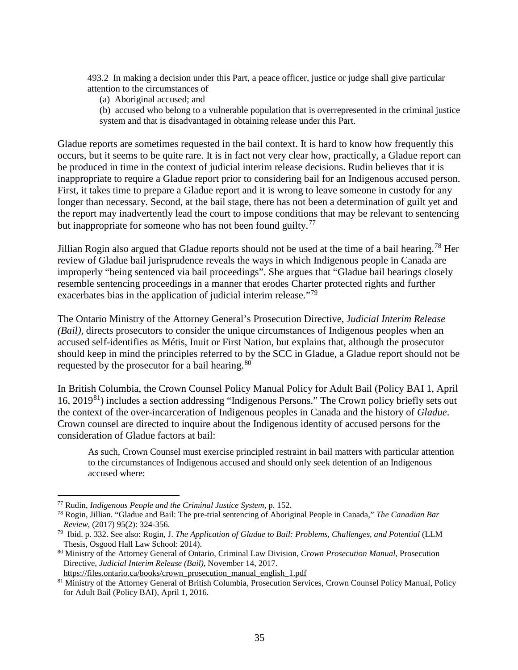493.2 In making a decision under this Part, a peace officer, justice or judge shall give particular attention to the circumstances of

(a) Aboriginal accused; and

(b) accused who belong to a vulnerable population that is overrepresented in the criminal justice system and that is disadvantaged in obtaining release under this Part.

Gladue reports are sometimes requested in the bail context. It is hard to know how frequently this occurs, but it seems to be quite rare. It is in fact not very clear how, practically, a Gladue report can be produced in time in the context of judicial interim release decisions. Rudin believes that it is inappropriate to require a Gladue report prior to considering bail for an Indigenous accused person. First, it takes time to prepare a Gladue report and it is wrong to leave someone in custody for any longer than necessary. Second, at the bail stage, there has not been a determination of guilt yet and the report may inadvertently lead the court to impose conditions that may be relevant to sentencing but inappropriate for someone who has not been found guilty.<sup>[77](#page-35-0)</sup>

Jillian Rogin also argued that Gladue reports should not be used at the time of a bail hearing.<sup>[78](#page-35-1)</sup> Her review of Gladue bail jurisprudence reveals the ways in which Indigenous people in Canada are improperly "being sentenced via bail proceedings". She argues that "Gladue bail hearings closely resemble sentencing proceedings in a manner that erodes Charter protected rights and further exacerbates bias in the application of judicial interim release."<sup>[79](#page-35-2)</sup>

The Ontario Ministry of the Attorney General's Prosecution Directive, J*udicial Interim Release (Bail),* directs prosecutors to consider the unique circumstances of Indigenous peoples when an accused self-identifies as Métis, Inuit or First Nation, but explains that, although the prosecutor should keep in mind the principles referred to by the SCC in Gladue, a Gladue report should not be requested by the prosecutor for a bail hearing.<sup>[80](#page-35-3)</sup>

In British Columbia, the Crown Counsel Policy Manual Policy for Adult Bail (Policy BAI 1, April 16, 2019[81\)](#page-35-4) includes a section addressing "Indigenous Persons." The Crown policy briefly sets out the context of the over-incarceration of Indigenous peoples in Canada and the history of *Gladue*. Crown counsel are directed to inquire about the Indigenous identity of accused persons for the consideration of Gladue factors at bail:

As such, Crown Counsel must exercise principled restraint in bail matters with particular attention to the circumstances of Indigenous accused and should only seek detention of an Indigenous accused where:

[https://files.ontario.ca/books/crown\\_prosecution\\_manual\\_english\\_1.pdf](https://files.ontario.ca/books/crown_prosecution_manual_english_1.pdf)

<span id="page-35-0"></span> <sup>77</sup> Rudin, *Indigenous People and the Criminal Justice System*, p. 152.

<span id="page-35-1"></span><sup>78</sup> Rogin, Jillian. "Gladue and Bail: The pre-trial sentencing of Aboriginal People in Canada," *The Canadian Bar Review*, (2017) 95(2): 324-356.

<span id="page-35-2"></span><sup>79</sup> Ibid. p. 332. See also: Rogin, J. *The Application of Gladue to Bail: Problems, Challenges, and Potential* (LLM Thesis, Osgood Hall Law School: 2014).

<span id="page-35-3"></span><sup>80</sup> Ministry of the Attorney General of Ontario, Criminal Law Division, *Crown Prosecution Manual*, Prosecution Directive, *Judicial Interim Release (Bail),* November 14, 2017.

<span id="page-35-4"></span><sup>81</sup> Ministry of the Attorney General of British Columbia, Prosecution Services, Crown Counsel Policy Manual, Policy for Adult Bail (Policy BAI), April 1, 2016.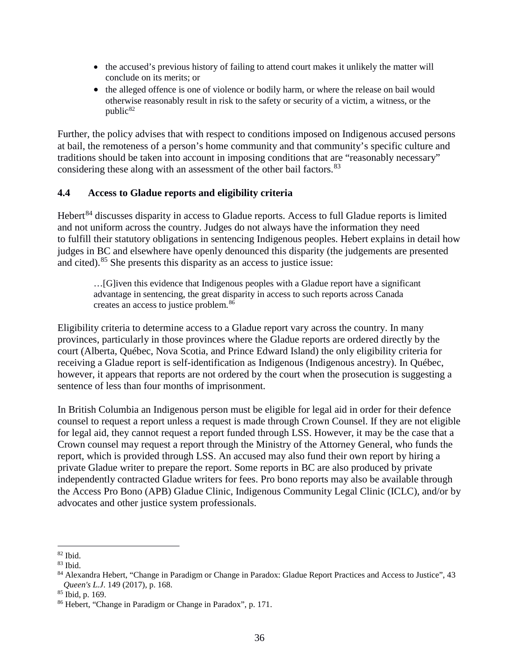- the accused's previous history of failing to attend court makes it unlikely the matter will conclude on its merits; or
- the alleged offence is one of violence or bodily harm, or where the release on bail would otherwise reasonably result in risk to the safety or security of a victim, a witness, or the public<sup>[82](#page-36-0)</sup>

Further, the policy advises that with respect to conditions imposed on Indigenous accused persons at bail, the remoteness of a person's home community and that community's specific culture and traditions should be taken into account in imposing conditions that are "reasonably necessary" considering these along with an assessment of the other bail factors.<sup>83</sup>

#### **4.4 Access to Gladue reports and eligibility criteria**

Hebert<sup>[84](#page-36-2)</sup> discusses disparity in access to Gladue reports. Access to full Gladue reports is limited and not uniform across the country. Judges do not always have the information they need to fulfill their statutory obligations in sentencing Indigenous peoples. Hebert explains in detail how judges in BC and elsewhere have openly denounced this disparity (the judgements are presented and cited).[85](#page-36-3) She presents this disparity as an access to justice issue:

…[G]iven this evidence that Indigenous peoples with a Gladue report have a significant advantage in sentencing, the great disparity in access to such reports across Canada creates an access to justice problem.[86](#page-36-4)

Eligibility criteria to determine access to a Gladue report vary across the country. In many provinces, particularly in those provinces where the Gladue reports are ordered directly by the court (Alberta, Québec, Nova Scotia, and Prince Edward Island) the only eligibility criteria for receiving a Gladue report is self-identification as Indigenous (Indigenous ancestry). In Québec, however, it appears that reports are not ordered by the court when the prosecution is suggesting a sentence of less than four months of imprisonment.

In British Columbia an Indigenous person must be eligible for legal aid in order for their defence counsel to request a report unless a request is made through Crown Counsel. If they are not eligible for legal aid, they cannot request a report funded through LSS. However, it may be the case that a Crown counsel may request a report through the Ministry of the Attorney General, who funds the report, which is provided through LSS. An accused may also fund their own report by hiring a private Gladue writer to prepare the report. Some reports in BC are also produced by private independently contracted Gladue writers for fees. Pro bono reports may also be available through the Access Pro Bono (APB) Gladue Clinic, Indigenous Community Legal Clinic (ICLC), and/or by advocates and other justice system professionals.

<span id="page-36-0"></span> <sup>82</sup> Ibid.

<span id="page-36-1"></span><sup>83</sup> Ibid.

<span id="page-36-2"></span><sup>84</sup> Alexandra Hebert, "Change in Paradigm or Change in Paradox: Gladue Report Practices and Access to Justice", 43 *Queen's L.J*. 149 (2017), p. 168.

<span id="page-36-3"></span><sup>85</sup> Ibid, p. 169.

<span id="page-36-4"></span><sup>86</sup> Hebert, "Change in Paradigm or Change in Paradox", p. 171.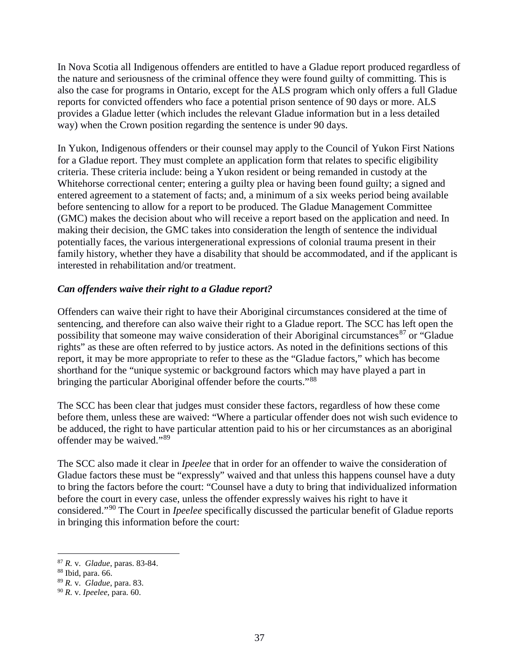In Nova Scotia all Indigenous offenders are entitled to have a Gladue report produced regardless of the nature and seriousness of the criminal offence they were found guilty of committing. This is also the case for programs in Ontario, except for the ALS program which only offers a full Gladue reports for convicted offenders who face a potential prison sentence of 90 days or more. ALS provides a Gladue letter (which includes the relevant Gladue information but in a less detailed way) when the Crown position regarding the sentence is under 90 days.

In Yukon, Indigenous offenders or their counsel may apply to the Council of Yukon First Nations for a Gladue report. They must complete an application form that relates to specific eligibility criteria. These criteria include: being a Yukon resident or being remanded in custody at the Whitehorse correctional center; entering a guilty plea or having been found guilty; a signed and entered agreement to a statement of facts; and, a minimum of a six weeks period being available before sentencing to allow for a report to be produced. The Gladue Management Committee (GMC) makes the decision about who will receive a report based on the application and need. In making their decision, the GMC takes into consideration the length of sentence the individual potentially faces, the various intergenerational expressions of colonial trauma present in their family history, whether they have a disability that should be accommodated, and if the applicant is interested in rehabilitation and/or treatment.

### *Can offenders waive their right to a Gladue report?*

Offenders can waive their right to have their Aboriginal circumstances considered at the time of sentencing, and therefore can also waive their right to a Gladue report. The SCC has left open the possibility that someone may waive consideration of their Aboriginal circumstances<sup>[87](#page-37-0)</sup> or "Gladue" rights" as these are often referred to by justice actors. As noted in the definitions sections of this report, it may be more appropriate to refer to these as the "Gladue factors," which has become shorthand for the "unique systemic or background factors which may have played a part in bringing the particular Aboriginal offender before the courts."[88](#page-37-1)

The SCC has been clear that judges must consider these factors, regardless of how these come before them, unless these are waived: "Where a particular offender does not wish such evidence to be adduced, the right to have particular attention paid to his or her circumstances as an aboriginal offender may be waived."[89](#page-37-2)

The SCC also made it clear in *Ipeelee* that in order for an offender to waive the consideration of Gladue factors these must be "expressly" waived and that unless this happens counsel have a duty to bring the factors before the court: "Counsel have a duty to bring that individualized information before the court in every case, unless the offender expressly waives his right to have it considered."[90](#page-37-3) The Court in *Ipeelee* specifically discussed the particular benefit of Gladue reports in bringing this information before the court:

<span id="page-37-0"></span> <sup>87</sup> *R.* v. *Gladue*, paras. 83-84.

<span id="page-37-1"></span><sup>88</sup> Ibid, para. 66.

<span id="page-37-2"></span><sup>89</sup> *R.* v. *Gladue*, para. 83.

<span id="page-37-3"></span><sup>90</sup> *R.* v. *Ipeelee*, para. 60.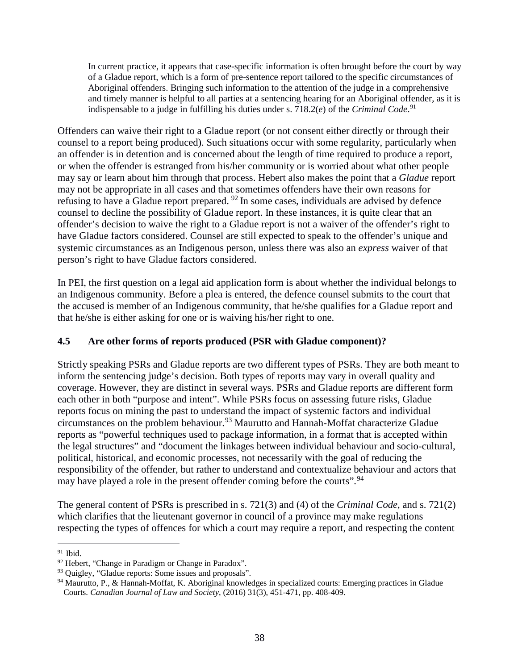In current practice, it appears that case-specific information is often brought before the court by way of a Gladue report, which is a form of pre-sentence report tailored to the specific circumstances of Aboriginal offenders. Bringing such information to the attention of the judge in a comprehensive and timely manner is helpful to all parties at a sentencing hearing for an Aboriginal offender, as it is indispensable to a judge in fulfilling his duties under s. 718.2(*e*) of the *Criminal Code*. [91](#page-38-0)

Offenders can waive their right to a Gladue report (or not consent either directly or through their counsel to a report being produced). Such situations occur with some regularity, particularly when an offender is in detention and is concerned about the length of time required to produce a report, or when the offender is estranged from his/her community or is worried about what other people may say or learn about him through that process. Hebert also makes the point that a *Gladue* report may not be appropriate in all cases and that sometimes offenders have their own reasons for refusing to have a Gladue report prepared. [92](#page-38-1) In some cases, individuals are advised by defence counsel to decline the possibility of Gladue report. In these instances, it is quite clear that an offender's decision to waive the right to a Gladue report is not a waiver of the offender's right to have Gladue factors considered. Counsel are still expected to speak to the offender's unique and systemic circumstances as an Indigenous person, unless there was also an *express* waiver of that person's right to have Gladue factors considered.

In PEI, the first question on a legal aid application form is about whether the individual belongs to an Indigenous community. Before a plea is entered, the defence counsel submits to the court that the accused is member of an Indigenous community, that he/she qualifies for a Gladue report and that he/she is either asking for one or is waiving his/her right to one.

### **4.5 Are other forms of reports produced (PSR with Gladue component)?**

Strictly speaking PSRs and Gladue reports are two different types of PSRs. They are both meant to inform the sentencing judge's decision. Both types of reports may vary in overall quality and coverage. However, they are distinct in several ways. PSRs and Gladue reports are different form each other in both "purpose and intent". While PSRs focus on assessing future risks, Gladue reports focus on mining the past to understand the impact of systemic factors and individual circumstances on the problem behaviour.<sup>[93](#page-38-2)</sup> Maurutto and Hannah-Moffat characterize Gladue reports as "powerful techniques used to package information, in a format that is accepted within the legal structures" and "document the linkages between individual behaviour and socio-cultural, political, historical, and economic processes, not necessarily with the goal of reducing the responsibility of the offender, but rather to understand and contextualize behaviour and actors that may have played a role in the present offender coming before the courts".<sup>[94](#page-38-3)</sup>

The general content of PSRs is prescribed in s. 721(3) and (4) of the *Criminal Code,* and s. 721(2) which clarifies that the lieutenant governor in council of a province may make regulations respecting the types of offences for which a court may require a report, and respecting the content

<span id="page-38-0"></span> <sup>91</sup> Ibid.

<span id="page-38-1"></span><sup>92</sup> Hebert, "Change in Paradigm or Change in Paradox".

<span id="page-38-2"></span><sup>93</sup> Quigley, "Gladue reports: Some issues and proposals".

<span id="page-38-3"></span><sup>94</sup> Maurutto, P., & Hannah-Moffat, K. Aboriginal knowledges in specialized courts: Emerging practices in Gladue Courts. *Canadian Journal of Law and Society*, (2016) 31(3), 451-471, pp. 408-409.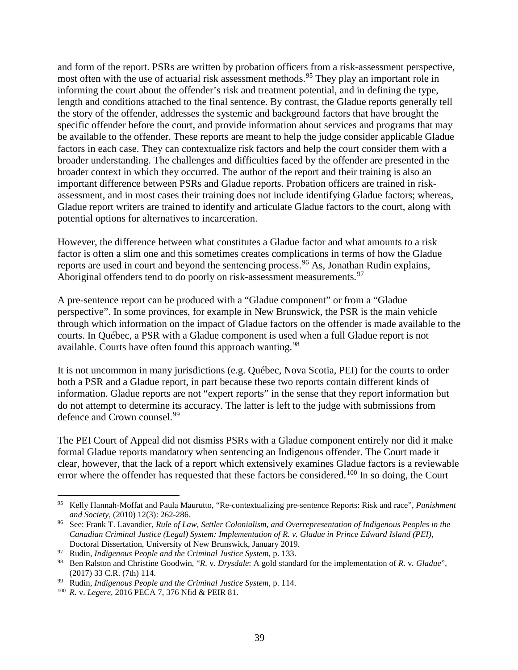and form of the report. PSRs are written by probation officers from a risk-assessment perspective, most often with the use of actuarial risk assessment methods.<sup>[95](#page-39-0)</sup> They play an important role in informing the court about the offender's risk and treatment potential, and in defining the type, length and conditions attached to the final sentence. By contrast, the Gladue reports generally tell the story of the offender, addresses the systemic and background factors that have brought the specific offender before the court, and provide information about services and programs that may be available to the offender. These reports are meant to help the judge consider applicable Gladue factors in each case. They can contextualize risk factors and help the court consider them with a broader understanding. The challenges and difficulties faced by the offender are presented in the broader context in which they occurred. The author of the report and their training is also an important difference between PSRs and Gladue reports. Probation officers are trained in riskassessment, and in most cases their training does not include identifying Gladue factors; whereas, Gladue report writers are trained to identify and articulate Gladue factors to the court, along with potential options for alternatives to incarceration.

However, the difference between what constitutes a Gladue factor and what amounts to a risk factor is often a slim one and this sometimes creates complications in terms of how the Gladue reports are used in court and beyond the sentencing process.<sup>[96](#page-39-1)</sup> As, Jonathan Rudin explains, Aboriginal offenders tend to do poorly on risk-assessment measurements.<sup>[97](#page-39-2)</sup>

A pre-sentence report can be produced with a "Gladue component" or from a "Gladue perspective". In some provinces, for example in New Brunswick, the PSR is the main vehicle through which information on the impact of Gladue factors on the offender is made available to the courts. In Québec, a PSR with a Gladue component is used when a full Gladue report is not available. Courts have often found this approach wanting.<sup>[98](#page-39-3)</sup>

It is not uncommon in many jurisdictions (e.g. Québec, Nova Scotia, PEI) for the courts to order both a PSR and a Gladue report, in part because these two reports contain different kinds of information. Gladue reports are not "expert reports" in the sense that they report information but do not attempt to determine its accuracy. The latter is left to the judge with submissions from defence and Crown counsel.<sup>[99](#page-39-4)</sup>

The PEI Court of Appeal did not dismiss PSRs with a Gladue component entirely nor did it make formal Gladue reports mandatory when sentencing an Indigenous offender. The Court made it clear, however, that the lack of a report which extensively examines Gladue factors is a reviewable error where the offender has requested that these factors be considered.<sup>[100](#page-39-5)</sup> In so doing, the Court

<span id="page-39-0"></span> <sup>95</sup> Kelly Hannah-Moffat and Paula Maurutto, "Re-contextualizing pre-sentence Reports: Risk and race", *Punishment and Society*, (2010) 12(3): 262-286.

<span id="page-39-1"></span><sup>96</sup> See: Frank T. Lavandier, *Rule of Law, Settler Colonialism, and Overrepresentation of Indigenous Peoples in the Canadian Criminal Justice (Legal) System: Implementation of R. v. Gladue in Prince Edward Island (PEI),* Doctoral Dissertation, University of New Brunswick, January 2019.

<span id="page-39-2"></span><sup>97</sup> Rudin, *Indigenous People and the Criminal Justice System*, p. 133.

<span id="page-39-3"></span><sup>98</sup> Ben Ralston and Christine Goodwin, "*R.* v. *Drysdale*: A gold standard for the implementation of *R.* v*. Gladue*", (2017) 33 C.R. (7th) 114.

<span id="page-39-4"></span><sup>99</sup> Rudin, *Indigenous People and the Criminal Justice System*, p. 114.

<span id="page-39-5"></span><sup>100</sup> *R.* v. *Legere,* 2016 PECA 7, 376 Nfid & PEIR 81.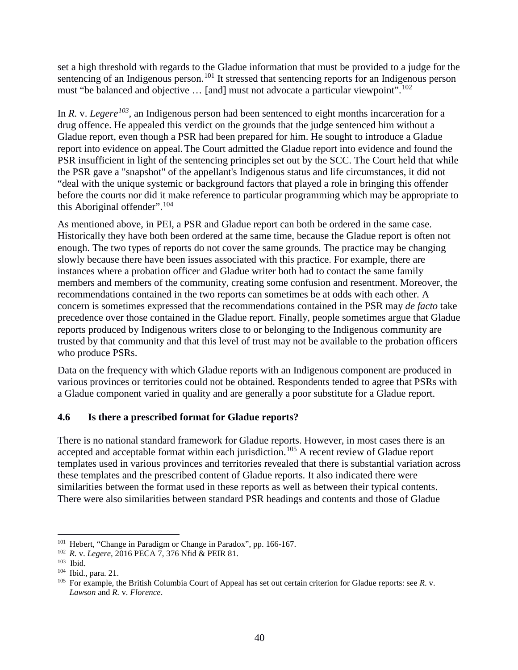set a high threshold with regards to the Gladue information that must be provided to a judge for the sentencing of an Indigenous person.<sup>[101](#page-40-0)</sup> It stressed that sentencing reports for an Indigenous person must "be balanced and objective ... [and] must not advocate a particular viewpoint".<sup>[102](#page-40-1)</sup>

In *R.* v. *Legere*<sup>[103](#page-40-2)</sup>, an Indigenous person had been sentenced to eight months incarceration for a drug offence. He appealed this verdict on the grounds that the judge sentenced him without a Gladue report, even though a PSR had been prepared for him. He sought to introduce a Gladue report into evidence on appeal.The Court admitted the Gladue report into evidence and found the PSR insufficient in light of the sentencing principles set out by the SCC. The Court held that while the PSR gave a "snapshot" of the appellant's Indigenous status and life circumstances, it did not "deal with the unique systemic or background factors that played a role in bringing this offender before the courts nor did it make reference to particular programming which may be appropriate to this Aboriginal offender".[104](#page-40-3)

As mentioned above, in PEI, a PSR and Gladue report can both be ordered in the same case. Historically they have both been ordered at the same time, because the Gladue report is often not enough. The two types of reports do not cover the same grounds. The practice may be changing slowly because there have been issues associated with this practice. For example, there are instances where a probation officer and Gladue writer both had to contact the same family members and members of the community, creating some confusion and resentment. Moreover, the recommendations contained in the two reports can sometimes be at odds with each other. A concern is sometimes expressed that the recommendations contained in the PSR may *de facto* take precedence over those contained in the Gladue report. Finally, people sometimes argue that Gladue reports produced by Indigenous writers close to or belonging to the Indigenous community are trusted by that community and that this level of trust may not be available to the probation officers who produce PSRs.

Data on the frequency with which Gladue reports with an Indigenous component are produced in various provinces or territories could not be obtained. Respondents tended to agree that PSRs with a Gladue component varied in quality and are generally a poor substitute for a Gladue report.

### **4.6 Is there a prescribed format for Gladue reports?**

There is no national standard framework for Gladue reports. However, in most cases there is an accepted and acceptable format within each jurisdiction.<sup>[105](#page-40-4)</sup> A recent review of Gladue report templates used in various provinces and territories revealed that there is substantial variation across these templates and the prescribed content of Gladue reports. It also indicated there were similarities between the format used in these reports as well as between their typical contents. There were also similarities between standard PSR headings and contents and those of Gladue

<span id="page-40-0"></span><sup>&</sup>lt;sup>101</sup> Hebert, "Change in Paradigm or Change in Paradox", pp. 166-167.

<span id="page-40-1"></span><sup>102</sup> *R.* v. *Legere,* 2016 PECA 7, 376 Nfid & PEIR 81.

<span id="page-40-2"></span> $103$  Ibid.

<span id="page-40-3"></span><sup>104</sup> Ibid., para. 21.

<span id="page-40-4"></span><sup>&</sup>lt;sup>105</sup> For example, the British Columbia Court of Appeal has set out certain criterion for Gladue reports: see *R*. v. *Lawson* and *R.* v. *Florence*.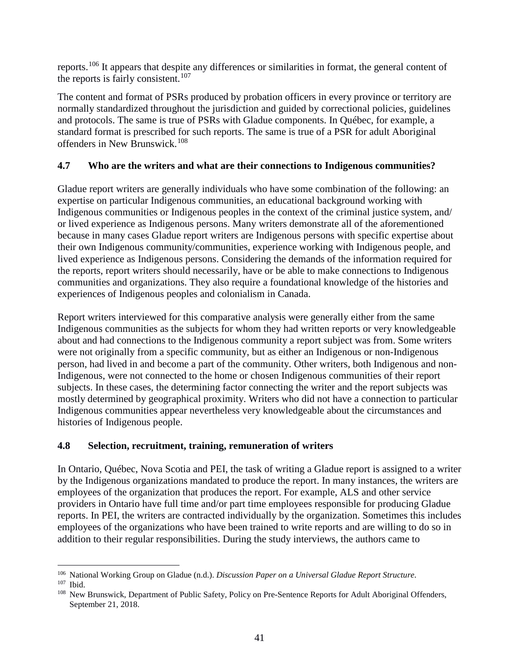reports.[106](#page-41-0) It appears that despite any differences or similarities in format, the general content of the reports is fairly consistent.<sup>[107](#page-41-1)</sup>

The content and format of PSRs produced by probation officers in every province or territory are normally standardized throughout the jurisdiction and guided by correctional policies, guidelines and protocols. The same is true of PSRs with Gladue components. In Québec, for example, a standard format is prescribed for such reports. The same is true of a PSR for adult Aboriginal offenders in New Brunswick.[108](#page-41-2)

### **4.7 Who are the writers and what are their connections to Indigenous communities?**

Gladue report writers are generally individuals who have some combination of the following: an expertise on particular Indigenous communities, an educational background working with Indigenous communities or Indigenous peoples in the context of the criminal justice system, and/ or lived experience as Indigenous persons. Many writers demonstrate all of the aforementioned because in many cases Gladue report writers are Indigenous persons with specific expertise about their own Indigenous community/communities, experience working with Indigenous people, and lived experience as Indigenous persons. Considering the demands of the information required for the reports, report writers should necessarily, have or be able to make connections to Indigenous communities and organizations. They also require a foundational knowledge of the histories and experiences of Indigenous peoples and colonialism in Canada.

Report writers interviewed for this comparative analysis were generally either from the same Indigenous communities as the subjects for whom they had written reports or very knowledgeable about and had connections to the Indigenous community a report subject was from. Some writers were not originally from a specific community, but as either an Indigenous or non-Indigenous person, had lived in and become a part of the community. Other writers, both Indigenous and non-Indigenous, were not connected to the home or chosen Indigenous communities of their report subjects. In these cases, the determining factor connecting the writer and the report subjects was mostly determined by geographical proximity. Writers who did not have a connection to particular Indigenous communities appear nevertheless very knowledgeable about the circumstances and histories of Indigenous people.

### **4.8 Selection, recruitment, training, remuneration of writers**

In Ontario, Québec, Nova Scotia and PEI, the task of writing a Gladue report is assigned to a writer by the Indigenous organizations mandated to produce the report. In many instances, the writers are employees of the organization that produces the report. For example, ALS and other service providers in Ontario have full time and/or part time employees responsible for producing Gladue reports. In PEI, the writers are contracted individually by the organization. Sometimes this includes employees of the organizations who have been trained to write reports and are willing to do so in addition to their regular responsibilities. During the study interviews, the authors came to

<span id="page-41-0"></span> <sup>106</sup> National Working Group on Gladue (n.d.). *Discussion Paper on a Universal Gladue Report Structure*.

<span id="page-41-2"></span><span id="page-41-1"></span><sup>&</sup>lt;sup>108</sup> New Brunswick, Department of Public Safety, Policy on Pre-Sentence Reports for Adult Aboriginal Offenders, September 21, 2018.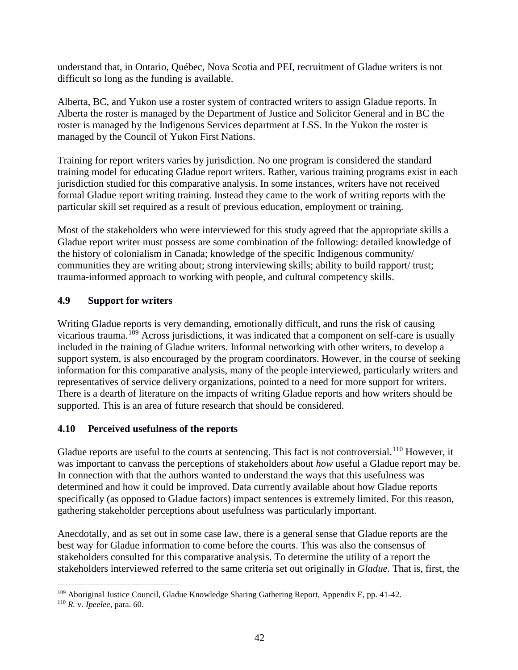understand that, in Ontario, Québec, Nova Scotia and PEI, recruitment of Gladue writers is not difficult so long as the funding is available.

Alberta, BC, and Yukon use a roster system of contracted writers to assign Gladue reports. In Alberta the roster is managed by the Department of Justice and Solicitor General and in BC the roster is managed by the Indigenous Services department at LSS. In the Yukon the roster is managed by the Council of Yukon First Nations.

Training for report writers varies by jurisdiction. No one program is considered the standard training model for educating Gladue report writers. Rather, various training programs exist in each jurisdiction studied for this comparative analysis. In some instances, writers have not received formal Gladue report writing training. Instead they came to the work of writing reports with the particular skill set required as a result of previous education, employment or training.

Most of the stakeholders who were interviewed for this study agreed that the appropriate skills a Gladue report writer must possess are some combination of the following: detailed knowledge of the history of colonialism in Canada; knowledge of the specific Indigenous community/ communities they are writing about; strong interviewing skills; ability to build rapport/ trust; trauma-informed approach to working with people, and cultural competency skills.

### **4.9 Support for writers**

Writing Gladue reports is very demanding, emotionally difficult, and runs the risk of causing vicarious trauma.[109](#page-42-0) Across jurisdictions, it was indicated that a component on self-care is usually included in the training of Gladue writers. Informal networking with other writers, to develop a support system, is also encouraged by the program coordinators. However, in the course of seeking information for this comparative analysis, many of the people interviewed, particularly writers and representatives of service delivery organizations, pointed to a need for more support for writers. There is a dearth of literature on the impacts of writing Gladue reports and how writers should be supported. This is an area of future research that should be considered.

### **4.10 Perceived usefulness of the reports**

Gladue reports are useful to the courts at sentencing. This fact is not controversial.<sup>[110](#page-42-1)</sup> However, it was important to canvass the perceptions of stakeholders about *how* useful a Gladue report may be. In connection with that the authors wanted to understand the ways that this usefulness was determined and how it could be improved. Data currently available about how Gladue reports specifically (as opposed to Gladue factors) impact sentences is extremely limited. For this reason, gathering stakeholder perceptions about usefulness was particularly important.

Anecdotally, and as set out in some case law, there is a general sense that Gladue reports are the best way for Gladue information to come before the courts. This was also the consensus of stakeholders consulted for this comparative analysis. To determine the utility of a report the stakeholders interviewed referred to the same criteria set out originally in *Gladue.* That is, first, the

<span id="page-42-0"></span> <sup>109</sup> Aboriginal Justice Council, Gladue Knowledge Sharing Gathering Report, Appendix E, pp. 41-42.

<span id="page-42-1"></span><sup>110</sup> *R.* v. *Ipeelee*, para. 60.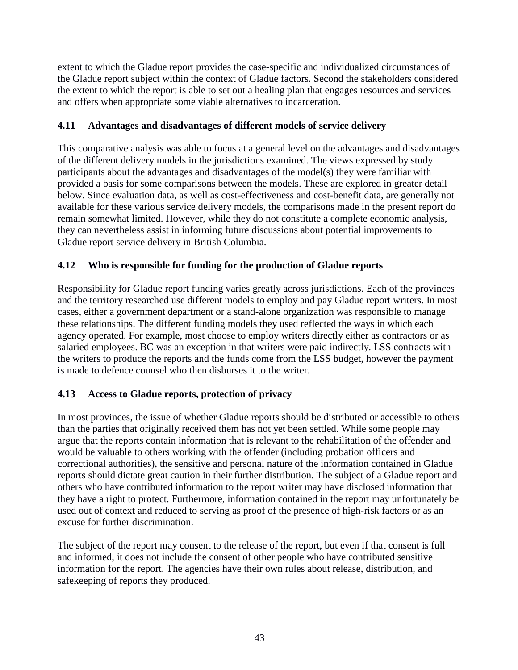extent to which the Gladue report provides the case-specific and individualized circumstances of the Gladue report subject within the context of Gladue factors. Second the stakeholders considered the extent to which the report is able to set out a healing plan that engages resources and services and offers when appropriate some viable alternatives to incarceration.

### **4.11 Advantages and disadvantages of different models of service delivery**

This comparative analysis was able to focus at a general level on the advantages and disadvantages of the different delivery models in the jurisdictions examined. The views expressed by study participants about the advantages and disadvantages of the model(s) they were familiar with provided a basis for some comparisons between the models. These are explored in greater detail below. Since evaluation data, as well as cost-effectiveness and cost-benefit data, are generally not available for these various service delivery models, the comparisons made in the present report do remain somewhat limited. However, while they do not constitute a complete economic analysis, they can nevertheless assist in informing future discussions about potential improvements to Gladue report service delivery in British Columbia.

### **4.12 Who is responsible for funding for the production of Gladue reports**

Responsibility for Gladue report funding varies greatly across jurisdictions. Each of the provinces and the territory researched use different models to employ and pay Gladue report writers. In most cases, either a government department or a stand-alone organization was responsible to manage these relationships. The different funding models they used reflected the ways in which each agency operated. For example, most choose to employ writers directly either as contractors or as salaried employees. BC was an exception in that writers were paid indirectly. LSS contracts with the writers to produce the reports and the funds come from the LSS budget, however the payment is made to defence counsel who then disburses it to the writer.

### **4.13 Access to Gladue reports, protection of privacy**

In most provinces, the issue of whether Gladue reports should be distributed or accessible to others than the parties that originally received them has not yet been settled. While some people may argue that the reports contain information that is relevant to the rehabilitation of the offender and would be valuable to others working with the offender (including probation officers and correctional authorities), the sensitive and personal nature of the information contained in Gladue reports should dictate great caution in their further distribution. The subject of a Gladue report and others who have contributed information to the report writer may have disclosed information that they have a right to protect. Furthermore, information contained in the report may unfortunately be used out of context and reduced to serving as proof of the presence of high-risk factors or as an excuse for further discrimination.

The subject of the report may consent to the release of the report, but even if that consent is full and informed, it does not include the consent of other people who have contributed sensitive information for the report. The agencies have their own rules about release, distribution, and safekeeping of reports they produced.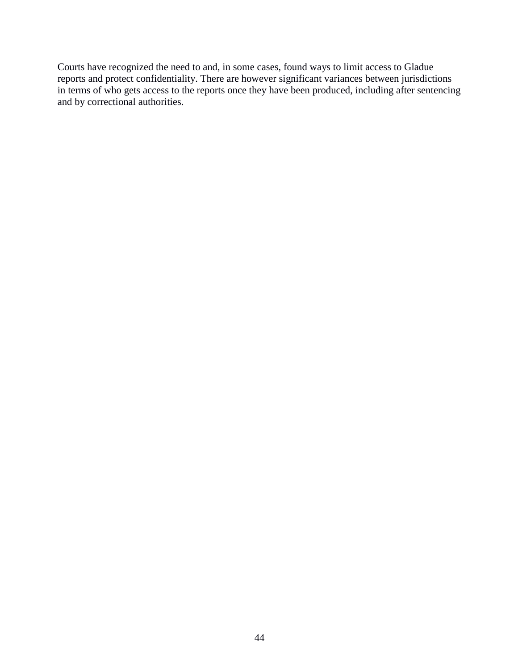Courts have recognized the need to and, in some cases, found ways to limit access to Gladue reports and protect confidentiality. There are however significant variances between jurisdictions in terms of who gets access to the reports once they have been produced, including after sentencing and by correctional authorities.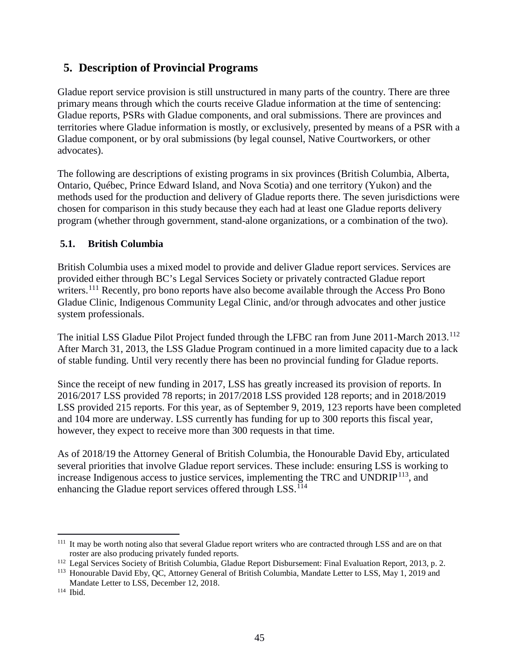# **5. Description of Provincial Programs**

Gladue report service provision is still unstructured in many parts of the country. There are three primary means through which the courts receive Gladue information at the time of sentencing: Gladue reports, PSRs with Gladue components, and oral submissions. There are provinces and territories where Gladue information is mostly, or exclusively, presented by means of a PSR with a Gladue component, or by oral submissions (by legal counsel, Native Courtworkers, or other advocates).

The following are descriptions of existing programs in six provinces (British Columbia, Alberta, Ontario, Québec, Prince Edward Island, and Nova Scotia) and one territory (Yukon) and the methods used for the production and delivery of Gladue reports there. The seven jurisdictions were chosen for comparison in this study because they each had at least one Gladue reports delivery program (whether through government, stand-alone organizations, or a combination of the two).

### **5.1. British Columbia**

British Columbia uses a mixed model to provide and deliver Gladue report services. Services are provided either through BC's Legal Services Society or privately contracted Gladue report writers.<sup>[111](#page-45-0)</sup> Recently, pro bono reports have also become available through the Access Pro Bono Gladue Clinic, Indigenous Community Legal Clinic, and/or through advocates and other justice system professionals.

The initial LSS Gladue Pilot Project funded through the LFBC ran from June 2011-March 2013.<sup>[112](#page-45-1)</sup> After March 31, 2013, the LSS Gladue Program continued in a more limited capacity due to a lack of stable funding. Until very recently there has been no provincial funding for Gladue reports.

Since the receipt of new funding in 2017, LSS has greatly increased its provision of reports. In 2016/2017 LSS provided 78 reports; in 2017/2018 LSS provided 128 reports; and in 2018/2019 LSS provided 215 reports. For this year, as of September 9, 2019, 123 reports have been completed and 104 more are underway. LSS currently has funding for up to 300 reports this fiscal year, however, they expect to receive more than 300 requests in that time.

As of 2018/19 the Attorney General of British Columbia, the Honourable David Eby, articulated several priorities that involve Gladue report services. These include: ensuring LSS is working to increase Indigenous access to justice services, implementing the TRC and  $\text{UNDRIP}^{113}$  $\text{UNDRIP}^{113}$  $\text{UNDRIP}^{113}$ , and enhancing the Gladue report services offered through LSS.<sup>[114](#page-45-3)</sup>

<span id="page-45-0"></span><sup>&</sup>lt;sup>111</sup> It may be worth noting also that several Gladue report writers who are contracted through LSS and are on that roster are also producing privately funded reports.

<span id="page-45-1"></span><sup>&</sup>lt;sup>112</sup> Legal Services Society of British Columbia, Gladue Report Disbursement: Final Evaluation Report, 2013, p. 2.

<span id="page-45-2"></span><sup>113</sup> Honourable David Eby, QC, Attorney General of British Columbia, Mandate Letter to LSS, May 1, 2019 and Mandate Letter to LSS, December 12, 2018.

<span id="page-45-3"></span><sup>114</sup> Ibid.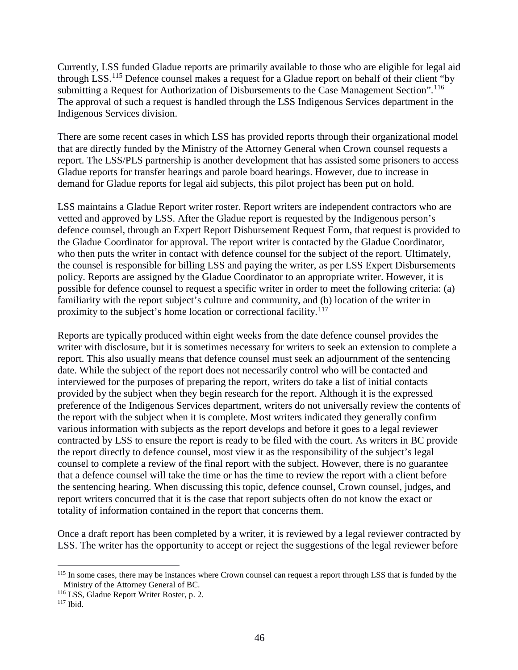Currently, LSS funded Gladue reports are primarily available to those who are eligible for legal aid through LSS.[115](#page-46-0) Defence counsel makes a request for a Gladue report on behalf of their client "by submitting a Request for Authorization of Disbursements to the Case Management Section".<sup>[116](#page-46-1)</sup> The approval of such a request is handled through the LSS Indigenous Services department in the Indigenous Services division.

There are some recent cases in which LSS has provided reports through their organizational model that are directly funded by the Ministry of the Attorney General when Crown counsel requests a report. The LSS/PLS partnership is another development that has assisted some prisoners to access Gladue reports for transfer hearings and parole board hearings. However, due to increase in demand for Gladue reports for legal aid subjects, this pilot project has been put on hold.

LSS maintains a Gladue Report writer roster. Report writers are independent contractors who are vetted and approved by LSS. After the Gladue report is requested by the Indigenous person's defence counsel, through an Expert Report Disbursement Request Form, that request is provided to the Gladue Coordinator for approval. The report writer is contacted by the Gladue Coordinator, who then puts the writer in contact with defence counsel for the subject of the report. Ultimately, the counsel is responsible for billing LSS and paying the writer, as per LSS Expert Disbursements policy. Reports are assigned by the Gladue Coordinator to an appropriate writer. However, it is possible for defence counsel to request a specific writer in order to meet the following criteria: (a) familiarity with the report subject's culture and community, and (b) location of the writer in proximity to the subject's home location or correctional facility.<sup>[117](#page-46-2)</sup>

Reports are typically produced within eight weeks from the date defence counsel provides the writer with disclosure, but it is sometimes necessary for writers to seek an extension to complete a report. This also usually means that defence counsel must seek an adjournment of the sentencing date. While the subject of the report does not necessarily control who will be contacted and interviewed for the purposes of preparing the report, writers do take a list of initial contacts provided by the subject when they begin research for the report. Although it is the expressed preference of the Indigenous Services department, writers do not universally review the contents of the report with the subject when it is complete. Most writers indicated they generally confirm various information with subjects as the report develops and before it goes to a legal reviewer contracted by LSS to ensure the report is ready to be filed with the court. As writers in BC provide the report directly to defence counsel, most view it as the responsibility of the subject's legal counsel to complete a review of the final report with the subject. However, there is no guarantee that a defence counsel will take the time or has the time to review the report with a client before the sentencing hearing. When discussing this topic, defence counsel, Crown counsel, judges, and report writers concurred that it is the case that report subjects often do not know the exact or totality of information contained in the report that concerns them.

Once a draft report has been completed by a writer, it is reviewed by a legal reviewer contracted by LSS. The writer has the opportunity to accept or reject the suggestions of the legal reviewer before

<span id="page-46-0"></span><sup>&</sup>lt;sup>115</sup> In some cases, there may be instances where Crown counsel can request a report through LSS that is funded by the Ministry of the Attorney General of BC.

<span id="page-46-1"></span><sup>116</sup> LSS, Gladue Report Writer Roster, p. 2.

<span id="page-46-2"></span> $117$  Ibid.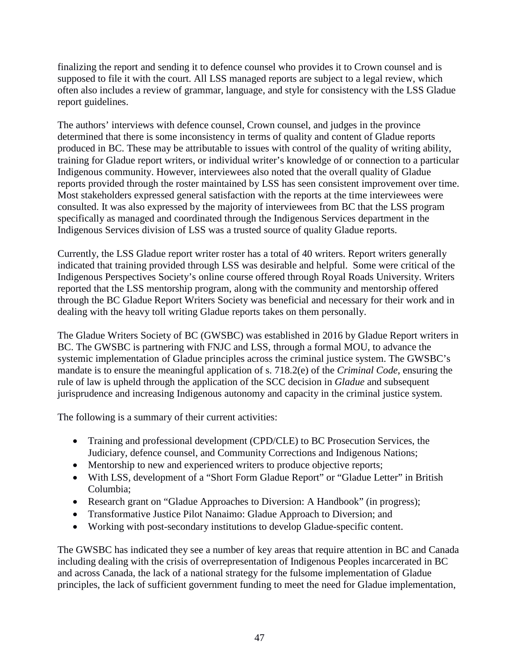finalizing the report and sending it to defence counsel who provides it to Crown counsel and is supposed to file it with the court. All LSS managed reports are subject to a legal review, which often also includes a review of grammar, language, and style for consistency with the LSS Gladue report guidelines.

The authors' interviews with defence counsel, Crown counsel, and judges in the province determined that there is some inconsistency in terms of quality and content of Gladue reports produced in BC. These may be attributable to issues with control of the quality of writing ability, training for Gladue report writers, or individual writer's knowledge of or connection to a particular Indigenous community. However, interviewees also noted that the overall quality of Gladue reports provided through the roster maintained by LSS has seen consistent improvement over time. Most stakeholders expressed general satisfaction with the reports at the time interviewees were consulted. It was also expressed by the majority of interviewees from BC that the LSS program specifically as managed and coordinated through the Indigenous Services department in the Indigenous Services division of LSS was a trusted source of quality Gladue reports.

Currently, the LSS Gladue report writer roster has a total of 40 writers. Report writers generally indicated that training provided through LSS was desirable and helpful. Some were critical of the Indigenous Perspectives Society's online course offered through Royal Roads University. Writers reported that the LSS mentorship program, along with the community and mentorship offered through the BC Gladue Report Writers Society was beneficial and necessary for their work and in dealing with the heavy toll writing Gladue reports takes on them personally.

The Gladue Writers Society of BC (GWSBC) was established in 2016 by Gladue Report writers in BC. The GWSBC is partnering with FNJC and LSS, through a formal MOU, to advance the systemic implementation of Gladue principles across the criminal justice system. The GWSBC's mandate is to ensure the meaningful application of s. 718.2(e) of the *Criminal Code*, ensuring the rule of law is upheld through the application of the SCC decision in *Gladue* and subsequent jurisprudence and increasing Indigenous autonomy and capacity in the criminal justice system.

The following is a summary of their current activities:

- Training and professional development (CPD/CLE) to BC Prosecution Services, the Judiciary, defence counsel, and Community Corrections and Indigenous Nations;
- Mentorship to new and experienced writers to produce objective reports;
- With LSS, development of a "Short Form Gladue Report" or "Gladue Letter" in British Columbia;
- Research grant on "Gladue Approaches to Diversion: A Handbook" (in progress);
- Transformative Justice Pilot Nanaimo: Gladue Approach to Diversion; and
- Working with post-secondary institutions to develop Gladue-specific content.

The GWSBC has indicated they see a number of key areas that require attention in BC and Canada including dealing with the crisis of overrepresentation of Indigenous Peoples incarcerated in BC and across Canada, the lack of a national strategy for the fulsome implementation of Gladue principles, the lack of sufficient government funding to meet the need for Gladue implementation,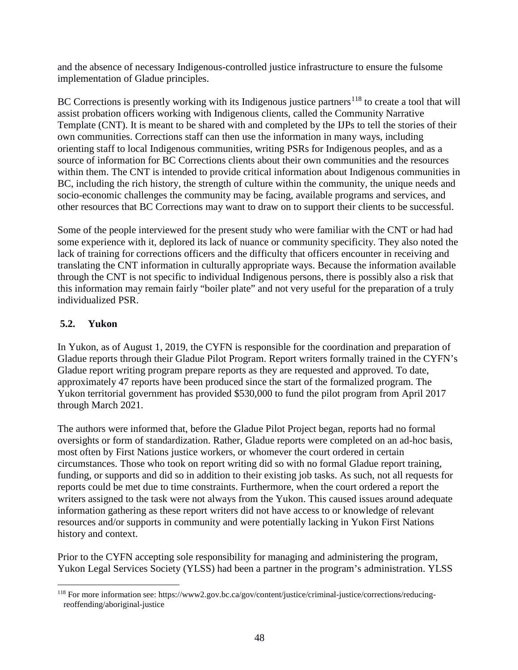and the absence of necessary Indigenous-controlled justice infrastructure to ensure the fulsome implementation of Gladue principles.

BC Corrections is presently working with its Indigenous justice partners<sup>[118](#page-48-0)</sup> to create a tool that will assist probation officers working with Indigenous clients, called the Community Narrative Template (CNT). It is meant to be shared with and completed by the IJPs to tell the stories of their own communities. Corrections staff can then use the information in many ways, including orienting staff to local Indigenous communities, writing PSRs for Indigenous peoples, and as a source of information for BC Corrections clients about their own communities and the resources within them. The CNT is intended to provide critical information about Indigenous communities in BC, including the rich history, the strength of culture within the community, the unique needs and socio-economic challenges the community may be facing, available programs and services, and other resources that BC Corrections may want to draw on to support their clients to be successful.

Some of the people interviewed for the present study who were familiar with the CNT or had had some experience with it, deplored its lack of nuance or community specificity. They also noted the lack of training for corrections officers and the difficulty that officers encounter in receiving and translating the CNT information in culturally appropriate ways. Because the information available through the CNT is not specific to individual Indigenous persons, there is possibly also a risk that this information may remain fairly "boiler plate" and not very useful for the preparation of a truly individualized PSR.

### **5.2. Yukon**

In Yukon, as of August 1, 2019, the CYFN is responsible for the coordination and preparation of Gladue reports through their Gladue Pilot Program. Report writers formally trained in the CYFN's Gladue report writing program prepare reports as they are requested and approved. To date, approximately 47 reports have been produced since the start of the formalized program. The Yukon territorial government has provided \$530,000 to fund the pilot program from April 2017 through March 2021.

The authors were informed that, before the Gladue Pilot Project began, reports had no formal oversights or form of standardization. Rather, Gladue reports were completed on an ad-hoc basis, most often by First Nations justice workers, or whomever the court ordered in certain circumstances. Those who took on report writing did so with no formal Gladue report training, funding, or supports and did so in addition to their existing job tasks. As such, not all requests for reports could be met due to time constraints. Furthermore, when the court ordered a report the writers assigned to the task were not always from the Yukon. This caused issues around adequate information gathering as these report writers did not have access to or knowledge of relevant resources and/or supports in community and were potentially lacking in Yukon First Nations history and context.

Prior to the CYFN accepting sole responsibility for managing and administering the program, Yukon Legal Services Society (YLSS) had been a partner in the program's administration. YLSS

<span id="page-48-0"></span> <sup>118</sup> For more information see: https://www2.gov.bc.ca/gov/content/justice/criminal-justice/corrections/reducingreoffending/aboriginal-justice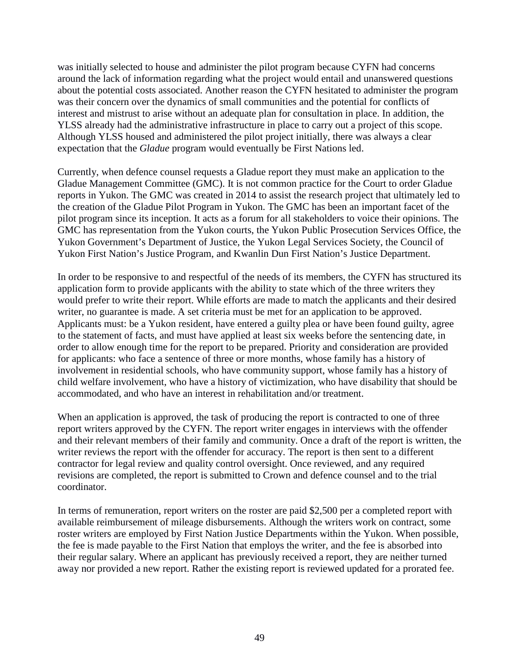was initially selected to house and administer the pilot program because CYFN had concerns around the lack of information regarding what the project would entail and unanswered questions about the potential costs associated. Another reason the CYFN hesitated to administer the program was their concern over the dynamics of small communities and the potential for conflicts of interest and mistrust to arise without an adequate plan for consultation in place. In addition, the YLSS already had the administrative infrastructure in place to carry out a project of this scope. Although YLSS housed and administered the pilot project initially, there was always a clear expectation that the *Gladue* program would eventually be First Nations led.

Currently, when defence counsel requests a Gladue report they must make an application to the Gladue Management Committee (GMC). It is not common practice for the Court to order Gladue reports in Yukon. The GMC was created in 2014 to assist the research project that ultimately led to the creation of the Gladue Pilot Program in Yukon. The GMC has been an important facet of the pilot program since its inception. It acts as a forum for all stakeholders to voice their opinions. The GMC has representation from the Yukon courts, the Yukon Public Prosecution Services Office, the Yukon Government's Department of Justice, the Yukon Legal Services Society, the Council of Yukon First Nation's Justice Program, and Kwanlin Dun First Nation's Justice Department.

In order to be responsive to and respectful of the needs of its members, the CYFN has structured its application form to provide applicants with the ability to state which of the three writers they would prefer to write their report. While efforts are made to match the applicants and their desired writer, no guarantee is made. A set criteria must be met for an application to be approved. Applicants must: be a Yukon resident, have entered a guilty plea or have been found guilty, agree to the statement of facts, and must have applied at least six weeks before the sentencing date, in order to allow enough time for the report to be prepared. Priority and consideration are provided for applicants: who face a sentence of three or more months, whose family has a history of involvement in residential schools, who have community support, whose family has a history of child welfare involvement, who have a history of victimization, who have disability that should be accommodated, and who have an interest in rehabilitation and/or treatment.

When an application is approved, the task of producing the report is contracted to one of three report writers approved by the CYFN. The report writer engages in interviews with the offender and their relevant members of their family and community. Once a draft of the report is written, the writer reviews the report with the offender for accuracy. The report is then sent to a different contractor for legal review and quality control oversight. Once reviewed, and any required revisions are completed, the report is submitted to Crown and defence counsel and to the trial coordinator.

In terms of remuneration, report writers on the roster are paid \$2,500 per a completed report with available reimbursement of mileage disbursements. Although the writers work on contract, some roster writers are employed by First Nation Justice Departments within the Yukon. When possible, the fee is made payable to the First Nation that employs the writer, and the fee is absorbed into their regular salary. Where an applicant has previously received a report, they are neither turned away nor provided a new report. Rather the existing report is reviewed updated for a prorated fee.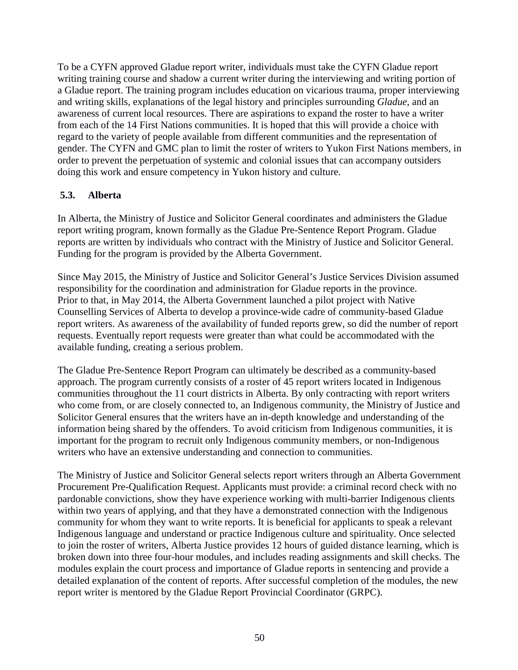To be a CYFN approved Gladue report writer, individuals must take the CYFN Gladue report writing training course and shadow a current writer during the interviewing and writing portion of a Gladue report. The training program includes education on vicarious trauma, proper interviewing and writing skills, explanations of the legal history and principles surrounding *Gladue*, and an awareness of current local resources. There are aspirations to expand the roster to have a writer from each of the 14 First Nations communities. It is hoped that this will provide a choice with regard to the variety of people available from different communities and the representation of gender. The CYFN and GMC plan to limit the roster of writers to Yukon First Nations members, in order to prevent the perpetuation of systemic and colonial issues that can accompany outsiders doing this work and ensure competency in Yukon history and culture.

### **5.3. Alberta**

In Alberta, the Ministry of Justice and Solicitor General coordinates and administers the Gladue report writing program, known formally as the Gladue Pre-Sentence Report Program. Gladue reports are written by individuals who contract with the Ministry of Justice and Solicitor General. Funding for the program is provided by the Alberta Government.

Since May 2015, the Ministry of Justice and Solicitor General's Justice Services Division assumed responsibility for the coordination and administration for Gladue reports in the province. Prior to that, in May 2014, the Alberta Government launched a pilot project with Native Counselling Services of Alberta to develop a province-wide cadre of community-based Gladue report writers. As awareness of the availability of funded reports grew, so did the number of report requests. Eventually report requests were greater than what could be accommodated with the available funding, creating a serious problem.

The Gladue Pre-Sentence Report Program can ultimately be described as a community-based approach. The program currently consists of a roster of 45 report writers located in Indigenous communities throughout the 11 court districts in Alberta. By only contracting with report writers who come from, or are closely connected to, an Indigenous community, the Ministry of Justice and Solicitor General ensures that the writers have an in-depth knowledge and understanding of the information being shared by the offenders. To avoid criticism from Indigenous communities, it is important for the program to recruit only Indigenous community members, or non-Indigenous writers who have an extensive understanding and connection to communities.

The Ministry of Justice and Solicitor General selects report writers through an Alberta Government Procurement Pre-Qualification Request. Applicants must provide: a criminal record check with no pardonable convictions, show they have experience working with multi-barrier Indigenous clients within two years of applying, and that they have a demonstrated connection with the Indigenous community for whom they want to write reports. It is beneficial for applicants to speak a relevant Indigenous language and understand or practice Indigenous culture and spirituality. Once selected to join the roster of writers, Alberta Justice provides 12 hours of guided distance learning, which is broken down into three four-hour modules, and includes reading assignments and skill checks. The modules explain the court process and importance of Gladue reports in sentencing and provide a detailed explanation of the content of reports. After successful completion of the modules, the new report writer is mentored by the Gladue Report Provincial Coordinator (GRPC).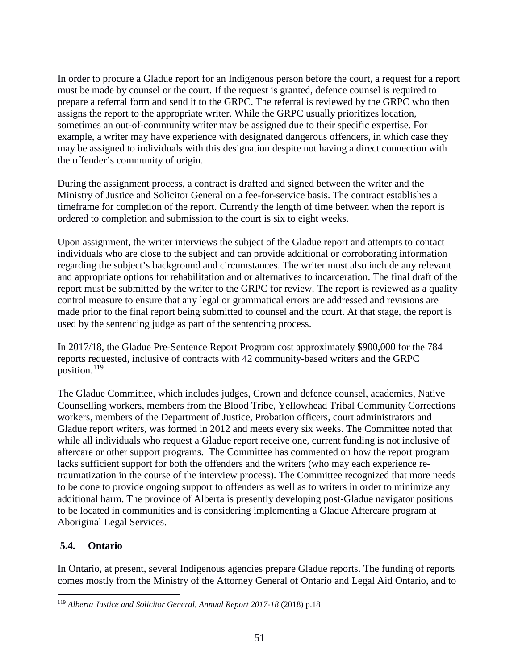In order to procure a Gladue report for an Indigenous person before the court, a request for a report must be made by counsel or the court. If the request is granted, defence counsel is required to prepare a referral form and send it to the GRPC. The referral is reviewed by the GRPC who then assigns the report to the appropriate writer. While the GRPC usually prioritizes location, sometimes an out-of-community writer may be assigned due to their specific expertise. For example, a writer may have experience with designated dangerous offenders, in which case they may be assigned to individuals with this designation despite not having a direct connection with the offender's community of origin.

During the assignment process, a contract is drafted and signed between the writer and the Ministry of Justice and Solicitor General on a fee-for-service basis. The contract establishes a timeframe for completion of the report. Currently the length of time between when the report is ordered to completion and submission to the court is six to eight weeks.

Upon assignment, the writer interviews the subject of the Gladue report and attempts to contact individuals who are close to the subject and can provide additional or corroborating information regarding the subject's background and circumstances. The writer must also include any relevant and appropriate options for rehabilitation and or alternatives to incarceration. The final draft of the report must be submitted by the writer to the GRPC for review. The report is reviewed as a quality control measure to ensure that any legal or grammatical errors are addressed and revisions are made prior to the final report being submitted to counsel and the court. At that stage, the report is used by the sentencing judge as part of the sentencing process.

In 2017/18, the Gladue Pre-Sentence Report Program cost approximately \$900,000 for the 784 reports requested, inclusive of contracts with 42 community-based writers and the GRPC position.[119](#page-51-0)

The Gladue Committee, which includes judges, Crown and defence counsel, academics, Native Counselling workers, members from the Blood Tribe, Yellowhead Tribal Community Corrections workers, members of the Department of Justice, Probation officers, court administrators and Gladue report writers, was formed in 2012 and meets every six weeks. The Committee noted that while all individuals who request a Gladue report receive one, current funding is not inclusive of aftercare or other support programs. The Committee has commented on how the report program lacks sufficient support for both the offenders and the writers (who may each experience retraumatization in the course of the interview process). The Committee recognized that more needs to be done to provide ongoing support to offenders as well as to writers in order to minimize any additional harm. The province of Alberta is presently developing post-Gladue navigator positions to be located in communities and is considering implementing a Gladue Aftercare program at Aboriginal Legal Services.

### **5.4. Ontario**

In Ontario, at present, several Indigenous agencies prepare Gladue reports. The funding of reports comes mostly from the Ministry of the Attorney General of Ontario and Legal Aid Ontario, and to

<span id="page-51-0"></span> <sup>119</sup> *Alberta Justice and Solicitor General, Annual Report 2017-18* (2018) p.18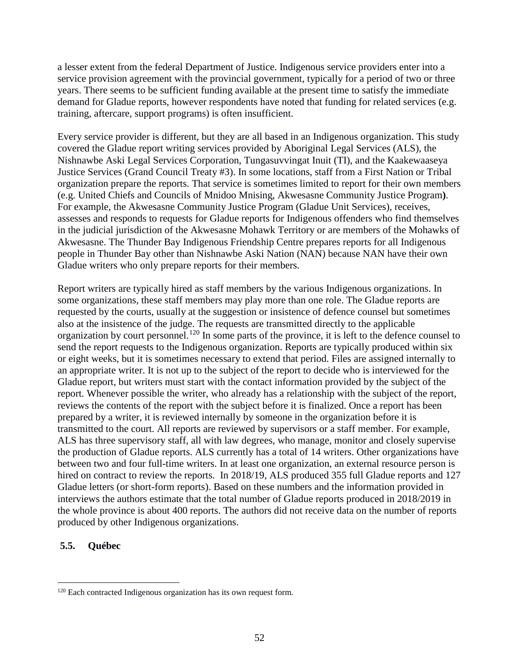a lesser extent from the federal Department of Justice. Indigenous service providers enter into a service provision agreement with the provincial government, typically for a period of two or three years. There seems to be sufficient funding available at the present time to satisfy the immediate demand for Gladue reports, however respondents have noted that funding for related services (e.g. training, aftercare, support programs) is often insufficient.

Every service provider is different, but they are all based in an Indigenous organization. This study covered the Gladue report writing services provided by Aboriginal Legal Services (ALS), the Nishnawbe Aski Legal Services Corporation, Tungasuvvingat Inuit (TI), and the Kaakewaaseya Justice Services (Grand Council Treaty #3). In some locations, staff from a First Nation or Tribal organization prepare the reports. That service is sometimes limited to report for their own members (e.g. United Chiefs and Councils of Mnidoo Mnising, Akwesasne Community Justice Program**)**. For example, the Akwesasne Community Justice Program (Gladue Unit Services), receives, assesses and responds to requests for Gladue reports for Indigenous offenders who find themselves in the judicial jurisdiction of the Akwesasne Mohawk Territory or are members of the Mohawks of Akwesasne. The Thunder Bay Indigenous Friendship Centre prepares reports for all Indigenous people in Thunder Bay other than Nishnawbe Aski Nation (NAN) because NAN have their own Gladue writers who only prepare reports for their members.

Report writers are typically hired as staff members by the various Indigenous organizations. In some organizations, these staff members may play more than one role. The Gladue reports are requested by the courts, usually at the suggestion or insistence of defence counsel but sometimes also at the insistence of the judge. The requests are transmitted directly to the applicable organization by court personnel.[120](#page-52-0) In some parts of the province, it is left to the defence counsel to send the report requests to the Indigenous organization. Reports are typically produced within six or eight weeks, but it is sometimes necessary to extend that period. Files are assigned internally to an appropriate writer. It is not up to the subject of the report to decide who is interviewed for the Gladue report, but writers must start with the contact information provided by the subject of the report. Whenever possible the writer, who already has a relationship with the subject of the report, reviews the contents of the report with the subject before it is finalized. Once a report has been prepared by a writer, it is reviewed internally by someone in the organization before it is transmitted to the court. All reports are reviewed by supervisors or a staff member. For example, ALS has three supervisory staff, all with law degrees, who manage, monitor and closely supervise the production of Gladue reports. ALS currently has a total of 14 writers. Other organizations have between two and four full-time writers. In at least one organization, an external resource person is hired on contract to review the reports. In 2018/19, ALS produced 355 full Gladue reports and 127 Gladue letters (or short-form reports). Based on these numbers and the information provided in interviews the authors estimate that the total number of Gladue reports produced in 2018/2019 in the whole province is about 400 reports. The authors did not receive data on the number of reports produced by other Indigenous organizations.

#### **5.5. Québec**

<span id="page-52-0"></span><sup>&</sup>lt;sup>120</sup> Each contracted Indigenous organization has its own request form.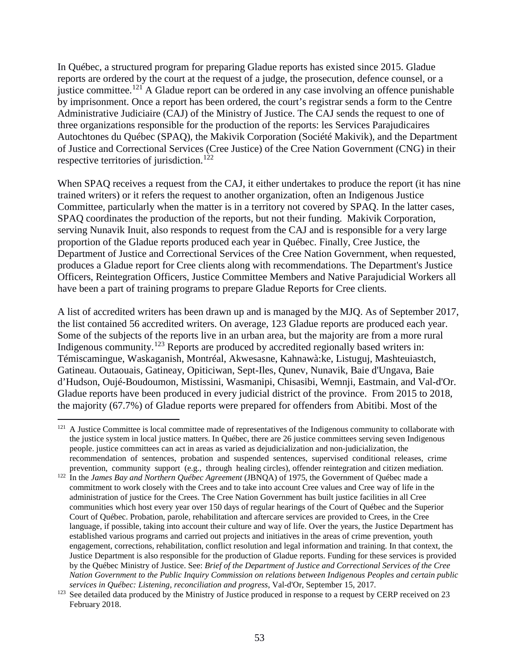In Québec, a structured program for preparing Gladue reports has existed since 2015. Gladue reports are ordered by the court at the request of a judge, the prosecution, defence counsel, or a justice committee.<sup>[121](#page-53-0)</sup> A Gladue report can be ordered in any case involving an offence punishable by imprisonment. Once a report has been ordered, the court's registrar sends a form to the Centre Administrative Judiciaire (CAJ) of the Ministry of Justice. The CAJ sends the request to one of three organizations responsible for the production of the reports: les Services Parajudicaires Autochtones du Québec (SPAQ), the Makivik Corporation (Société Makivik), and the Department of Justice and Correctional Services (Cree Justice) of the Cree Nation Government (CNG) in their respective territories of jurisdiction.<sup>[122](#page-53-1)</sup>

When SPAQ receives a request from the CAJ, it either undertakes to produce the report (it has nine trained writers) or it refers the request to another organization, often an Indigenous Justice Committee, particularly when the matter is in a territory not covered by SPAQ. In the latter cases, SPAQ coordinates the production of the reports, but not their funding. Makivik Corporation, serving Nunavik Inuit, also responds to request from the CAJ and is responsible for a very large proportion of the Gladue reports produced each year in Québec. Finally, Cree Justice, the Department of Justice and Correctional Services of the Cree Nation Government, when requested, produces a Gladue report for Cree clients along with recommendations. The Department's Justice Officers, Reintegration Officers, Justice Committee Members and Native Parajudicial Workers all have been a part of training programs to prepare Gladue Reports for Cree clients.

A list of accredited writers has been drawn up and is managed by the MJQ. As of September 2017, the list contained 56 accredited writers. On average, 123 Gladue reports are produced each year. Some of the subjects of the reports live in an urban area, but the majority are from a more rural Indigenous community.<sup>[123](#page-53-2)</sup> Reports are produced by accredited regionally based writers in: Témiscamingue, Waskaganish, Montréal, Akwesasne, Kahnawà:ke, Listuguj, Mashteuiastch, Gatineau. Outaouais, Gatineay, Opiticiwan, Sept-Iles, Qunev, Nunavik, Baie d'Ungava, Baie d'Hudson, Oujé-Boudoumon, Mistissini, Wasmanipi, Chisasibi, Wemnji, Eastmain, and Val-d'Or. Gladue reports have been produced in every judicial district of the province. From 2015 to 2018, the majority (67.7%) of Gladue reports were prepared for offenders from Abitibi. Most of the

<span id="page-53-0"></span><sup>&</sup>lt;sup>121</sup> A Justice Committee is local committee made of representatives of the Indigenous community to collaborate with the justice system in local justice matters. In Québec, there are 26 justice committees serving seven Indigenous people. justice committees can act in areas as varied as dejudicialization and non-judicialization, the recommendation of sentences, probation and suspended sentences, supervised conditional releases, crime prevention, community support (e.g., through healing circles), offender reintegration and citizen mediation.

<span id="page-53-1"></span><sup>&</sup>lt;sup>122</sup> In the *James Bay and Northern Québec Agreement* (JBNQA) of 1975, the Government of Québec made a commitment to work closely with the Crees and to take into account Cree values and Cree way of life in the administration of justice for the Crees. The Cree Nation Government has built justice facilities in all Cree communities which host every year over 150 days of regular hearings of the Court of Québec and the Superior Court of Québec. Probation, parole, rehabilitation and aftercare services are provided to Crees, in the Cree language, if possible, taking into account their culture and way of life. Over the years, the Justice Department has established various programs and carried out projects and initiatives in the areas of crime prevention, youth engagement, corrections, rehabilitation, conflict resolution and legal information and training. In that context, the Justice Department is also responsible for the production of Gladue reports. Funding for these services is provided by the Québec Ministry of Justice. See: *Brief of the Department of Justice and Correctional Services of the Cree Nation Government to the Public Inquiry Commission on relations between Indigenous Peoples and certain public services in Québec: Listening, reconciliation and progress*, Val-d'Or, September 15, 2017.

<span id="page-53-2"></span><sup>&</sup>lt;sup>123</sup> See detailed data produced by the Ministry of Justice produced in response to a request by CERP received on 23 February 2018.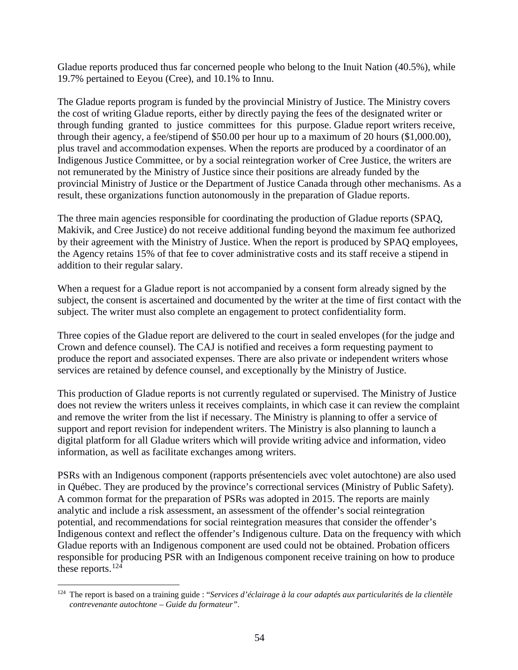Gladue reports produced thus far concerned people who belong to the Inuit Nation (40.5%), while 19.7% pertained to Eeyou (Cree), and 10.1% to Innu.

The Gladue reports program is funded by the provincial Ministry of Justice. The Ministry covers the cost of writing Gladue reports, either by directly paying the fees of the designated writer or through funding granted to justice committees for this purpose. Gladue report writers receive, through their agency, a fee/stipend of \$50.00 per hour up to a maximum of 20 hours (\$1,000.00), plus travel and accommodation expenses. When the reports are produced by a coordinator of an Indigenous Justice Committee, or by a social reintegration worker of Cree Justice, the writers are not remunerated by the Ministry of Justice since their positions are already funded by the provincial Ministry of Justice or the Department of Justice Canada through other mechanisms. As a result, these organizations function autonomously in the preparation of Gladue reports.

The three main agencies responsible for coordinating the production of Gladue reports (SPAQ, Makivik, and Cree Justice) do not receive additional funding beyond the maximum fee authorized by their agreement with the Ministry of Justice. When the report is produced by SPAQ employees, the Agency retains 15% of that fee to cover administrative costs and its staff receive a stipend in addition to their regular salary.

When a request for a Gladue report is not accompanied by a consent form already signed by the subject, the consent is ascertained and documented by the writer at the time of first contact with the subject. The writer must also complete an engagement to protect confidentiality form.

Three copies of the Gladue report are delivered to the court in sealed envelopes (for the judge and Crown and defence counsel). The CAJ is notified and receives a form requesting payment to produce the report and associated expenses. There are also private or independent writers whose services are retained by defence counsel, and exceptionally by the Ministry of Justice.

This production of Gladue reports is not currently regulated or supervised. The Ministry of Justice does not review the writers unless it receives complaints, in which case it can review the complaint and remove the writer from the list if necessary. The Ministry is planning to offer a service of support and report revision for independent writers. The Ministry is also planning to launch a digital platform for all Gladue writers which will provide writing advice and information, video information, as well as facilitate exchanges among writers.

PSRs with an Indigenous component (rapports présentenciels avec volet autochtone) are also used in Québec. They are produced by the province's correctional services (Ministry of Public Safety). A common format for the preparation of PSRs was adopted in 2015. The reports are mainly analytic and include a risk assessment, an assessment of the offender's social reintegration potential, and recommendations for social reintegration measures that consider the offender's Indigenous context and reflect the offender's Indigenous culture. Data on the frequency with which Gladue reports with an Indigenous component are used could not be obtained. Probation officers responsible for producing PSR with an Indigenous component receive training on how to produce these reports. $^{124}$  $^{124}$  $^{124}$ 

<span id="page-54-0"></span> <sup>124</sup> The report is based on a training guide : "*Services d'éclairage à la cour adaptés aux particularités de la clientèle contrevenante autochtone – Guide du formateur"*.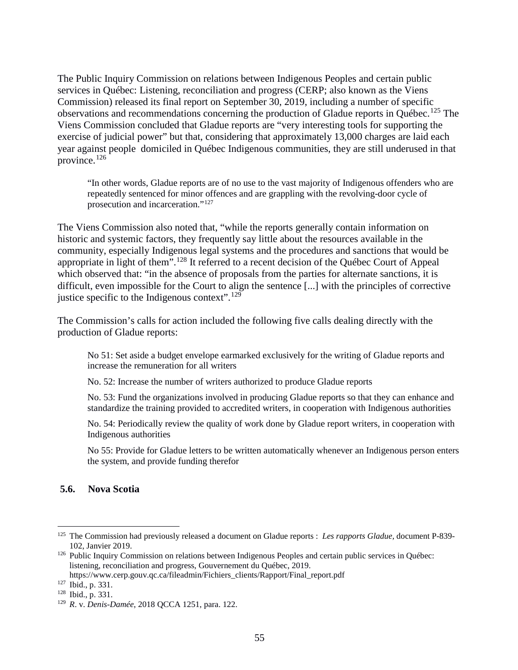The Public Inquiry Commission on relations between Indigenous Peoples and certain public services in Québec: Listening, reconciliation and progress (CERP; also known as the Viens Commission) released its final report on September 30, 2019, including a number of specific observations and recommendations concerning the production of Gladue reports in Québec.<sup>[125](#page-55-0)</sup> The Viens Commission concluded that Gladue reports are "very interesting tools for supporting the exercise of judicial power" but that, considering that approximately 13,000 charges are laid each year against people domiciled in Québec Indigenous communities, they are still underused in that province.[126](#page-55-1) 

"In other words, Gladue reports are of no use to the vast majority of Indigenous offenders who are repeatedly sentenced for minor offences and are grappling with the revolving-door cycle of prosecution and incarceration."[127](#page-55-2)

The Viens Commission also noted that, "while the reports generally contain information on historic and systemic factors, they frequently say little about the resources available in the community, especially Indigenous legal systems and the procedures and sanctions that would be appropriate in light of them".[128](#page-55-3) It referred to a recent decision of the Québec Court of Appeal which observed that: "in the absence of proposals from the parties for alternate sanctions, it is difficult, even impossible for the Court to align the sentence [...] with the principles of corrective justice specific to the Indigenous context".[129](#page-55-4)

The Commission's calls for action included the following five calls dealing directly with the production of Gladue reports:

No 51: Set aside a budget envelope earmarked exclusively for the writing of Gladue reports and increase the remuneration for all writers

No. 52: Increase the number of writers authorized to produce Gladue reports

No. 53: Fund the organizations involved in producing Gladue reports so that they can enhance and standardize the training provided to accredited writers, in cooperation with Indigenous authorities

No. 54: Periodically review the quality of work done by Gladue report writers, in cooperation with Indigenous authorities

No 55: Provide for Gladue letters to be written automatically whenever an Indigenous person enters the system, and provide funding therefor

#### **5.6. Nova Scotia**

<span id="page-55-0"></span> <sup>125</sup> The Commission had previously released a document on Gladue reports : *Les rapports Gladue,* document P-839- 102, Janvier 2019. 126 Public Inquiry Commission on relations between Indigenous Peoples and certain public services in Québec:

<span id="page-55-1"></span>listening, reconciliation and progress, Gouvernement du Québec, 2019.

https://www.cerp.gouv.qc.ca/fileadmin/Fichiers\_clients/Rapport/Final\_report.pdf

<span id="page-55-2"></span><sup>127</sup> Ibid., p. 331.

<span id="page-55-3"></span><sup>128</sup> Ibid., p. 331.

<span id="page-55-4"></span><sup>129</sup> *R*. v. *Denis-Damée*, 2018 QCCA 1251, para. 122.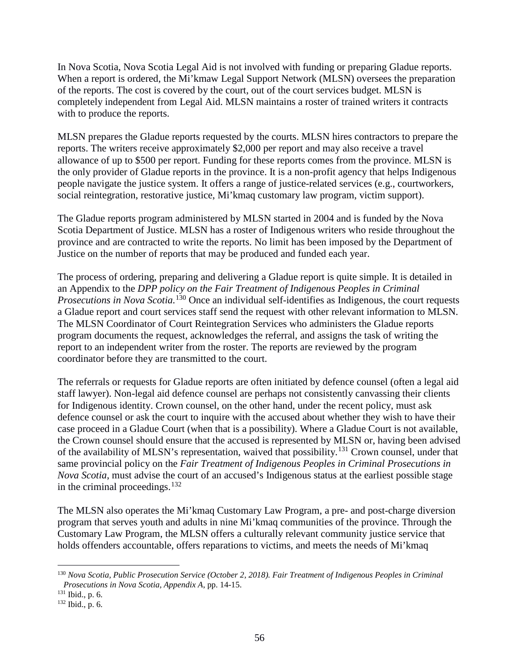In Nova Scotia, Nova Scotia Legal Aid is not involved with funding or preparing Gladue reports. When a report is ordered, the Mi'kmaw Legal Support Network (MLSN) oversees the preparation of the reports. The cost is covered by the court, out of the court services budget. MLSN is completely independent from Legal Aid. MLSN maintains a roster of trained writers it contracts with to produce the reports.

MLSN prepares the Gladue reports requested by the courts. MLSN hires contractors to prepare the reports. The writers receive approximately \$2,000 per report and may also receive a travel allowance of up to \$500 per report. Funding for these reports comes from the province. MLSN is the only provider of Gladue reports in the province. It is a non-profit agency that helps Indigenous people navigate the justice system. It offers a range of justice-related services (e.g., courtworkers, social reintegration, restorative justice, Mi'kmaq customary law program, victim support).

The Gladue reports program administered by MLSN started in 2004 and is funded by the Nova Scotia Department of Justice. MLSN has a roster of Indigenous writers who reside throughout the province and are contracted to write the reports. No limit has been imposed by the Department of Justice on the number of reports that may be produced and funded each year.

The process of ordering, preparing and delivering a Gladue report is quite simple. It is detailed in an Appendix to the *DPP policy on the Fair Treatment of Indigenous Peoples in Criminal Prosecutions in Nova Scotia.* [130](#page-56-0) Once an individual self-identifies as Indigenous, the court requests a Gladue report and court services staff send the request with other relevant information to MLSN. The MLSN Coordinator of Court Reintegration Services who administers the Gladue reports program documents the request, acknowledges the referral, and assigns the task of writing the report to an independent writer from the roster. The reports are reviewed by the program coordinator before they are transmitted to the court.

The referrals or requests for Gladue reports are often initiated by defence counsel (often a legal aid staff lawyer). Non-legal aid defence counsel are perhaps not consistently canvassing their clients for Indigenous identity. Crown counsel, on the other hand, under the recent policy, must ask defence counsel or ask the court to inquire with the accused about whether they wish to have their case proceed in a Gladue Court (when that is a possibility). Where a Gladue Court is not available, the Crown counsel should ensure that the accused is represented by MLSN or, having been advised of the availability of MLSN's representation, waived that possibility.[131](#page-56-1) Crown counsel, under that same provincial policy on the *Fair Treatment of Indigenous Peoples in Criminal Prosecutions in Nova Scotia*, must advise the court of an accused's Indigenous status at the earliest possible stage in the criminal proceedings. [132](#page-56-2) 

The MLSN also operates the Mi'kmaq Customary Law Program, a pre- and post-charge diversion program that serves youth and adults in nine Mi'kmaq communities of the province. Through the Customary Law Program, the MLSN offers a culturally relevant community justice service that holds offenders accountable, offers reparations to victims, and meets the needs of Mi'kmaq

<span id="page-56-0"></span> <sup>130</sup> *Nova Scotia, Public Prosecution Service (October 2, 2018). Fair Treatment of Indigenous Peoples in Criminal Prosecutions in Nova Scotia, Appendix A, pp. 14-15.* <sup>131</sup> Ibid., p. 6.

<span id="page-56-1"></span>

<span id="page-56-2"></span><sup>132</sup> Ibid., p. 6.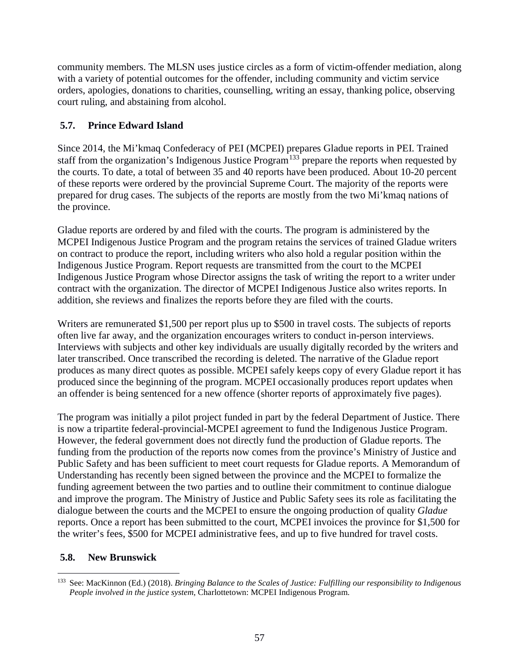community members. The MLSN uses justice circles as a form of victim-offender mediation, along with a variety of potential outcomes for the offender, including community and victim service orders, apologies, donations to charities, counselling, writing an essay, thanking police, observing court ruling, and abstaining from alcohol.

### **5.7. Prince Edward Island**

Since 2014, the Mi'kmaq Confederacy of PEI (MCPEI) prepares Gladue reports in PEI. Trained staff from the organization's Indigenous Justice Program<sup>[133](#page-57-0)</sup> prepare the reports when requested by the courts. To date, a total of between 35 and 40 reports have been produced. About 10-20 percent of these reports were ordered by the provincial Supreme Court. The majority of the reports were prepared for drug cases. The subjects of the reports are mostly from the two Mi'kmaq nations of the province.

Gladue reports are ordered by and filed with the courts. The program is administered by the MCPEI Indigenous Justice Program and the program retains the services of trained Gladue writers on contract to produce the report, including writers who also hold a regular position within the Indigenous Justice Program. Report requests are transmitted from the court to the MCPEI Indigenous Justice Program whose Director assigns the task of writing the report to a writer under contract with the organization. The director of MCPEI Indigenous Justice also writes reports. In addition, she reviews and finalizes the reports before they are filed with the courts.

Writers are remunerated \$1,500 per report plus up to \$500 in travel costs. The subjects of reports often live far away, and the organization encourages writers to conduct in-person interviews. Interviews with subjects and other key individuals are usually digitally recorded by the writers and later transcribed. Once transcribed the recording is deleted. The narrative of the Gladue report produces as many direct quotes as possible. MCPEI safely keeps copy of every Gladue report it has produced since the beginning of the program. MCPEI occasionally produces report updates when an offender is being sentenced for a new offence (shorter reports of approximately five pages).

The program was initially a pilot project funded in part by the federal Department of Justice. There is now a tripartite federal-provincial-MCPEI agreement to fund the Indigenous Justice Program. However, the federal government does not directly fund the production of Gladue reports. The funding from the production of the reports now comes from the province's Ministry of Justice and Public Safety and has been sufficient to meet court requests for Gladue reports. A Memorandum of Understanding has recently been signed between the province and the MCPEI to formalize the funding agreement between the two parties and to outline their commitment to continue dialogue and improve the program. The Ministry of Justice and Public Safety sees its role as facilitating the dialogue between the courts and the MCPEI to ensure the ongoing production of quality *Gladue* reports. Once a report has been submitted to the court, MCPEI invoices the province for \$1,500 for the writer's fees, \$500 for MCPEI administrative fees, and up to five hundred for travel costs.

### **5.8. New Brunswick**

<span id="page-57-0"></span> <sup>133</sup> See: MacKinnon (Ed.) (2018). *Bringing Balance to the Scales of Justice: Fulfilling our responsibility to Indigenous People involved in the justice system*, Charlottetown: MCPEI Indigenous Program.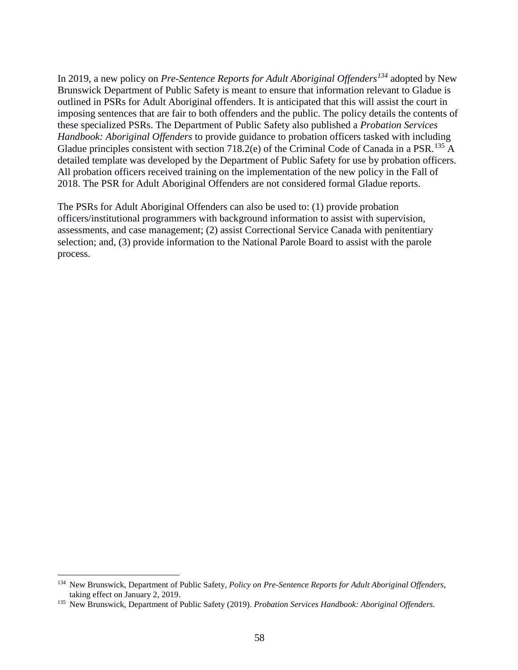In 2019, a new policy on *Pre-Sentence Reports for Adult Aboriginal Offenders[134](#page-58-0)* adopted by New Brunswick Department of Public Safety is meant to ensure that information relevant to Gladue is outlined in PSRs for Adult Aboriginal offenders. It is anticipated that this will assist the court in imposing sentences that are fair to both offenders and the public. The policy details the contents of these specialized PSRs. The Department of Public Safety also published a *Probation Services Handbook: Aboriginal Offenders* to provide guidance to probation officers tasked with including Gladue principles consistent with section 718.2(e) of the Criminal Code of Canada in a PSR.<sup>[135](#page-58-1)</sup> A detailed template was developed by the Department of Public Safety for use by probation officers. All probation officers received training on the implementation of the new policy in the Fall of 2018. The PSR for Adult Aboriginal Offenders are not considered formal Gladue reports.

The PSRs for Adult Aboriginal Offenders can also be used to: (1) provide probation officers/institutional programmers with background information to assist with supervision, assessments, and case management; (2) assist Correctional Service Canada with penitentiary selection; and, (3) provide information to the National Parole Board to assist with the parole process.

<span id="page-58-0"></span> <sup>134</sup> New Brunswick, Department of Public Safety, *Policy on Pre-Sentence Reports for Adult Aboriginal Offenders*, taking effect on January 2, 2019.

<span id="page-58-1"></span><sup>135</sup> New Brunswick, Department of Public Safety (2019). *Probation Services Handbook: Aboriginal Offenders*.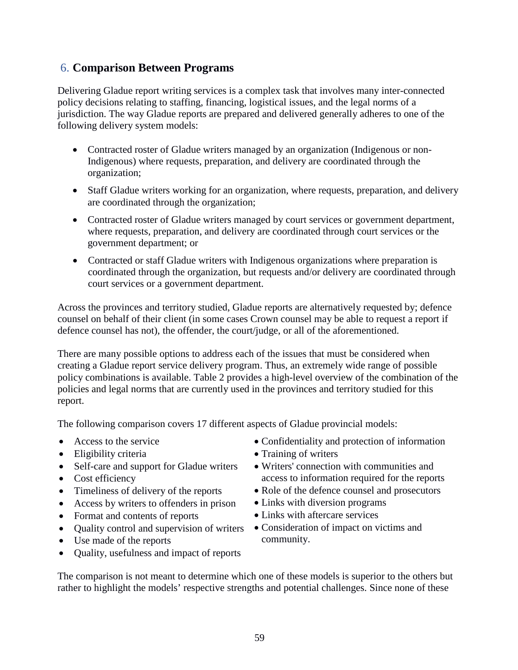# 6. **Comparison Between Programs**

Delivering Gladue report writing services is a complex task that involves many inter-connected policy decisions relating to staffing, financing, logistical issues, and the legal norms of a jurisdiction. The way Gladue reports are prepared and delivered generally adheres to one of the following delivery system models:

- Contracted roster of Gladue writers managed by an organization (Indigenous or non-Indigenous) where requests, preparation, and delivery are coordinated through the organization;
- Staff Gladue writers working for an organization, where requests, preparation, and delivery are coordinated through the organization;
- Contracted roster of Gladue writers managed by court services or government department, where requests, preparation, and delivery are coordinated through court services or the government department; or
- Contracted or staff Gladue writers with Indigenous organizations where preparation is coordinated through the organization, but requests and/or delivery are coordinated through court services or a government department.

Across the provinces and territory studied, Gladue reports are alternatively requested by; defence counsel on behalf of their client (in some cases Crown counsel may be able to request a report if defence counsel has not), the offender, the court/judge, or all of the aforementioned.

There are many possible options to address each of the issues that must be considered when creating a Gladue report service delivery program. Thus, an extremely wide range of possible policy combinations is available. Table 2 provides a high-level overview of the combination of the policies and legal norms that are currently used in the provinces and territory studied for this report.

The following comparison covers 17 different aspects of Gladue provincial models:

- Access to the service
- Eligibility criteria
- Self-care and support for Gladue writers
- Cost efficiency
- Timeliness of delivery of the reports
- Access by writers to offenders in prison
- Format and contents of reports
- Quality control and supervision of writers
- Use made of the reports
- Quality, usefulness and impact of reports

• Confidentiality and protection of information

- Training of writers
- Writers' connection with communities and access to information required for the reports
- Role of the defence counsel and prosecutors
- Links with diversion programs
- Links with aftercare services
- Consideration of impact on victims and community.

The comparison is not meant to determine which one of these models is superior to the others but rather to highlight the models' respective strengths and potential challenges. Since none of these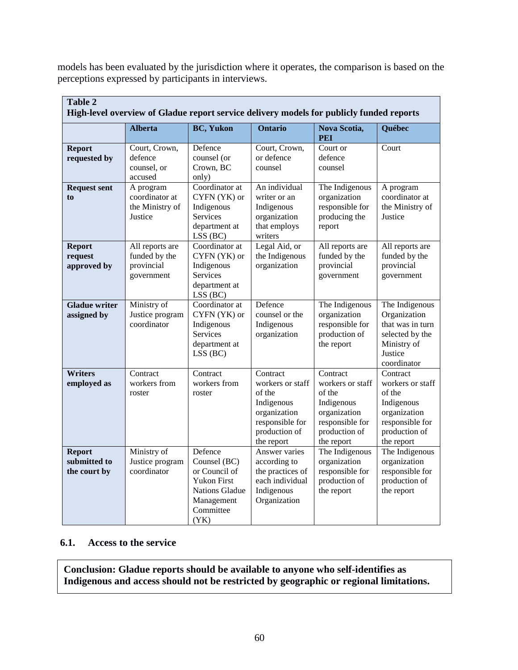models has been evaluated by the jurisdiction where it operates, the comparison is based on the perceptions expressed by participants in interviews.

| <b>Table 2</b><br>High-level overview of Gladue report service delivery models for publicly funded reports |                                                              |                                                                                                                     |                                                                                                                        |                                                                                                                        |                                                                                                                        |
|------------------------------------------------------------------------------------------------------------|--------------------------------------------------------------|---------------------------------------------------------------------------------------------------------------------|------------------------------------------------------------------------------------------------------------------------|------------------------------------------------------------------------------------------------------------------------|------------------------------------------------------------------------------------------------------------------------|
|                                                                                                            | <b>Alberta</b>                                               | <b>BC, Yukon</b>                                                                                                    | <b>Ontario</b>                                                                                                         | <b>Nova Scotia,</b><br><b>PEI</b>                                                                                      | <b>Québec</b>                                                                                                          |
| <b>Report</b><br>requested by                                                                              | Court, Crown,<br>defence<br>counsel, or<br>accused           | Defence<br>counsel (or<br>Crown, BC<br>only)                                                                        | Court, Crown,<br>or defence<br>counsel                                                                                 | Court or<br>defence<br>counsel                                                                                         | Court                                                                                                                  |
| <b>Request sent</b><br>to                                                                                  | A program<br>coordinator at<br>the Ministry of<br>Justice    | Coordinator at<br>CYFN (YK) or<br>Indigenous<br><b>Services</b><br>department at<br>LSS (BC)                        | An individual<br>writer or an<br>Indigenous<br>organization<br>that employs<br>writers                                 | The Indigenous<br>organization<br>responsible for<br>producing the<br>report                                           | A program<br>coordinator at<br>the Ministry of<br>Justice                                                              |
| <b>Report</b><br>request<br>approved by                                                                    | All reports are<br>funded by the<br>provincial<br>government | Coordinator at<br>CYFN (YK) or<br>Indigenous<br>Services<br>department at<br>LSS (BC)                               | Legal Aid, or<br>the Indigenous<br>organization                                                                        | All reports are<br>funded by the<br>provincial<br>government                                                           | All reports are<br>funded by the<br>provincial<br>government                                                           |
| <b>Gladue writer</b><br>assigned by                                                                        | Ministry of<br>Justice program<br>coordinator                | Coordinator at<br>CYFN (YK) or<br>Indigenous<br><b>Services</b><br>department at<br>LSS (BC)                        | Defence<br>counsel or the<br>Indigenous<br>organization                                                                | The Indigenous<br>organization<br>responsible for<br>production of<br>the report                                       | The Indigenous<br>Organization<br>that was in turn<br>selected by the<br>Ministry of<br>Justice<br>coordinator         |
| <b>Writers</b><br>employed as                                                                              | Contract<br>workers from<br>roster                           | Contract<br>workers from<br>roster                                                                                  | Contract<br>workers or staff<br>of the<br>Indigenous<br>organization<br>responsible for<br>production of<br>the report | Contract<br>workers or staff<br>of the<br>Indigenous<br>organization<br>responsible for<br>production of<br>the report | Contract<br>workers or staff<br>of the<br>Indigenous<br>organization<br>responsible for<br>production of<br>the report |
| <b>Report</b><br>submitted to<br>the court by                                                              | Ministry of<br>Justice program<br>coordinator                | Defence<br>Counsel (BC)<br>or Council of<br><b>Yukon First</b><br>Nations Gladue<br>Management<br>Committee<br>(YK) | Answer varies<br>according to<br>the practices of<br>each individual<br>Indigenous<br>Organization                     | The Indigenous<br>organization<br>responsible for<br>production of<br>the report                                       | The Indigenous<br>organization<br>responsible for<br>production of<br>the report                                       |

#### **6.1. Access to the service**

**Conclusion: Gladue reports should be available to anyone who self-identifies as Indigenous and access should not be restricted by geographic or regional limitations.**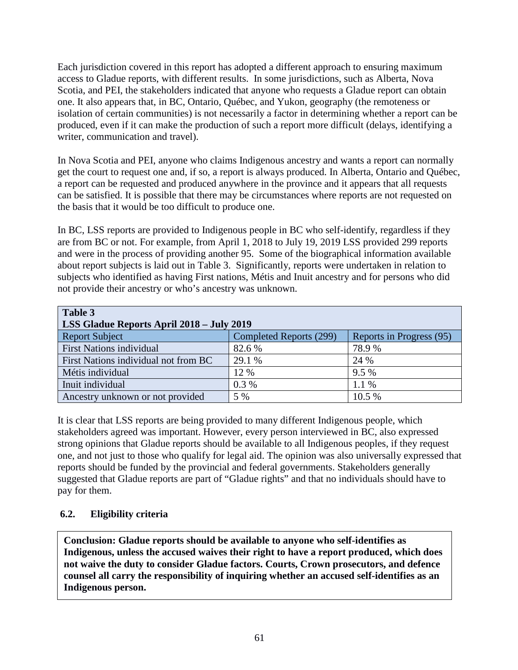Each jurisdiction covered in this report has adopted a different approach to ensuring maximum access to Gladue reports, with different results. In some jurisdictions, such as Alberta, Nova Scotia, and PEI, the stakeholders indicated that anyone who requests a Gladue report can obtain one. It also appears that, in BC, Ontario, Québec, and Yukon, geography (the remoteness or isolation of certain communities) is not necessarily a factor in determining whether a report can be produced, even if it can make the production of such a report more difficult (delays, identifying a writer, communication and travel).

In Nova Scotia and PEI, anyone who claims Indigenous ancestry and wants a report can normally get the court to request one and, if so, a report is always produced. In Alberta, Ontario and Québec, a report can be requested and produced anywhere in the province and it appears that all requests can be satisfied. It is possible that there may be circumstances where reports are not requested on the basis that it would be too difficult to produce one.

In BC, LSS reports are provided to Indigenous people in BC who self-identify, regardless if they are from BC or not. For example, from April 1, 2018 to July 19, 2019 LSS provided 299 reports and were in the process of providing another 95. Some of the biographical information available about report subjects is laid out in Table 3. Significantly, reports were undertaken in relation to subjects who identified as having First nations, Métis and Inuit ancestry and for persons who did not provide their ancestry or who's ancestry was unknown.

| Table 3<br><b>LSS Gladue Reports April 2018 - July 2019</b> |                         |                          |  |
|-------------------------------------------------------------|-------------------------|--------------------------|--|
| <b>Report Subject</b>                                       | Completed Reports (299) | Reports in Progress (95) |  |
| <b>First Nations individual</b>                             | 82.6 %                  | 78.9%                    |  |
| First Nations individual not from BC                        | 29.1 %                  | 24 %                     |  |
| Métis individual                                            | 12 %                    | 9.5 %                    |  |
| Inuit individual                                            | 0.3%                    | 1.1%                     |  |
| Ancestry unknown or not provided                            | 5 %                     | 10.5 %                   |  |

It is clear that LSS reports are being provided to many different Indigenous people, which stakeholders agreed was important. However, every person interviewed in BC, also expressed strong opinions that Gladue reports should be available to all Indigenous peoples, if they request one, and not just to those who qualify for legal aid. The opinion was also universally expressed that reports should be funded by the provincial and federal governments. Stakeholders generally suggested that Gladue reports are part of "Gladue rights" and that no individuals should have to pay for them.

## **6.2. Eligibility criteria**

**Conclusion: Gladue reports should be available to anyone who self-identifies as Indigenous, unless the accused waives their right to have a report produced, which does not waive the duty to consider Gladue factors. Courts, Crown prosecutors, and defence counsel all carry the responsibility of inquiring whether an accused self-identifies as an Indigenous person.**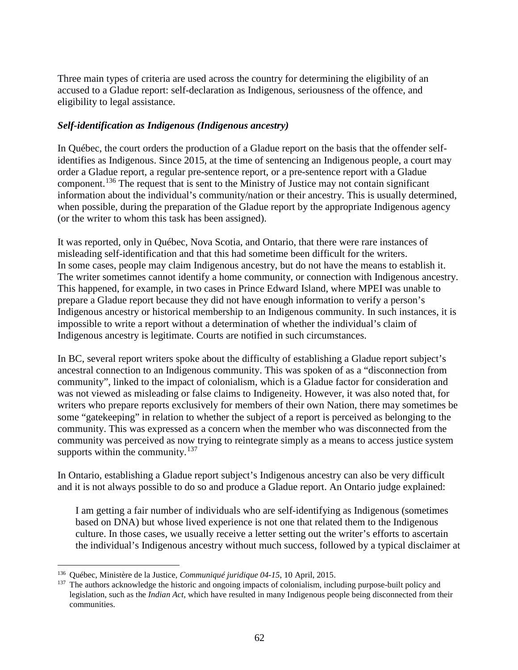Three main types of criteria are used across the country for determining the eligibility of an accused to a Gladue report: self-declaration as Indigenous, seriousness of the offence, and eligibility to legal assistance.

### *Self-identification as Indigenous (Indigenous ancestry)*

In Québec, the court orders the production of a Gladue report on the basis that the offender selfidentifies as Indigenous. Since 2015, at the time of sentencing an Indigenous people, a court may order a Gladue report, a regular pre-sentence report, or a pre-sentence report with a Gladue component.[136](#page-62-0) The request that is sent to the Ministry of Justice may not contain significant information about the individual's community/nation or their ancestry. This is usually determined, when possible, during the preparation of the Gladue report by the appropriate Indigenous agency (or the writer to whom this task has been assigned).

It was reported, only in Québec, Nova Scotia, and Ontario, that there were rare instances of misleading self-identification and that this had sometime been difficult for the writers. In some cases, people may claim Indigenous ancestry, but do not have the means to establish it. The writer sometimes cannot identify a home community, or connection with Indigenous ancestry. This happened, for example, in two cases in Prince Edward Island, where MPEI was unable to prepare a Gladue report because they did not have enough information to verify a person's Indigenous ancestry or historical membership to an Indigenous community. In such instances, it is impossible to write a report without a determination of whether the individual's claim of Indigenous ancestry is legitimate. Courts are notified in such circumstances.

In BC, several report writers spoke about the difficulty of establishing a Gladue report subject's ancestral connection to an Indigenous community. This was spoken of as a "disconnection from community", linked to the impact of colonialism, which is a Gladue factor for consideration and was not viewed as misleading or false claims to Indigeneity. However, it was also noted that, for writers who prepare reports exclusively for members of their own Nation, there may sometimes be some "gatekeeping" in relation to whether the subject of a report is perceived as belonging to the community. This was expressed as a concern when the member who was disconnected from the community was perceived as now trying to reintegrate simply as a means to access justice system supports within the community. $137$ 

In Ontario, establishing a Gladue report subject's Indigenous ancestry can also be very difficult and it is not always possible to do so and produce a Gladue report. An Ontario judge explained:

I am getting a fair number of individuals who are self-identifying as Indigenous (sometimes based on DNA) but whose lived experience is not one that related them to the Indigenous culture. In those cases, we usually receive a letter setting out the writer's efforts to ascertain the individual's Indigenous ancestry without much success, followed by a typical disclaimer at

<span id="page-62-1"></span><span id="page-62-0"></span><sup>&</sup>lt;sup>136</sup> Québec, Ministère de la Justice, *Communiqué juridique 04-15*, 10 April, 2015.<br><sup>137</sup> The authors acknowledge the historic and ongoing impacts of colonialism, including purpose-built policy and legislation, such as the *Indian Act*, which have resulted in many Indigenous people being disconnected from their communities.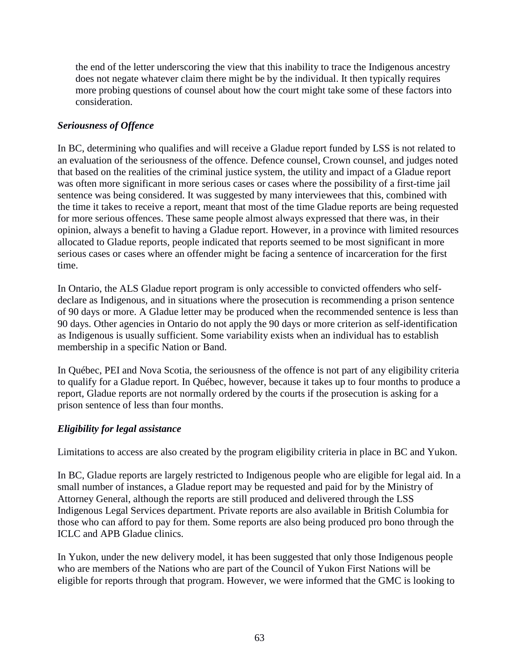the end of the letter underscoring the view that this inability to trace the Indigenous ancestry does not negate whatever claim there might be by the individual. It then typically requires more probing questions of counsel about how the court might take some of these factors into consideration.

### *Seriousness of Offence*

In BC, determining who qualifies and will receive a Gladue report funded by LSS is not related to an evaluation of the seriousness of the offence. Defence counsel, Crown counsel, and judges noted that based on the realities of the criminal justice system, the utility and impact of a Gladue report was often more significant in more serious cases or cases where the possibility of a first-time jail sentence was being considered. It was suggested by many interviewees that this, combined with the time it takes to receive a report, meant that most of the time Gladue reports are being requested for more serious offences. These same people almost always expressed that there was, in their opinion, always a benefit to having a Gladue report. However, in a province with limited resources allocated to Gladue reports, people indicated that reports seemed to be most significant in more serious cases or cases where an offender might be facing a sentence of incarceration for the first time.

In Ontario, the ALS Gladue report program is only accessible to convicted offenders who selfdeclare as Indigenous, and in situations where the prosecution is recommending a prison sentence of 90 days or more. A Gladue letter may be produced when the recommended sentence is less than 90 days. Other agencies in Ontario do not apply the 90 days or more criterion as self-identification as Indigenous is usually sufficient. Some variability exists when an individual has to establish membership in a specific Nation or Band.

In Québec, PEI and Nova Scotia, the seriousness of the offence is not part of any eligibility criteria to qualify for a Gladue report. In Québec, however, because it takes up to four months to produce a report, Gladue reports are not normally ordered by the courts if the prosecution is asking for a prison sentence of less than four months.

### *Eligibility for legal assistance*

Limitations to access are also created by the program eligibility criteria in place in BC and Yukon.

In BC, Gladue reports are largely restricted to Indigenous people who are eligible for legal aid. In a small number of instances, a Gladue report may be requested and paid for by the Ministry of Attorney General, although the reports are still produced and delivered through the LSS Indigenous Legal Services department. Private reports are also available in British Columbia for those who can afford to pay for them. Some reports are also being produced pro bono through the ICLC and APB Gladue clinics.

In Yukon, under the new delivery model, it has been suggested that only those Indigenous people who are members of the Nations who are part of the Council of Yukon First Nations will be eligible for reports through that program. However, we were informed that the GMC is looking to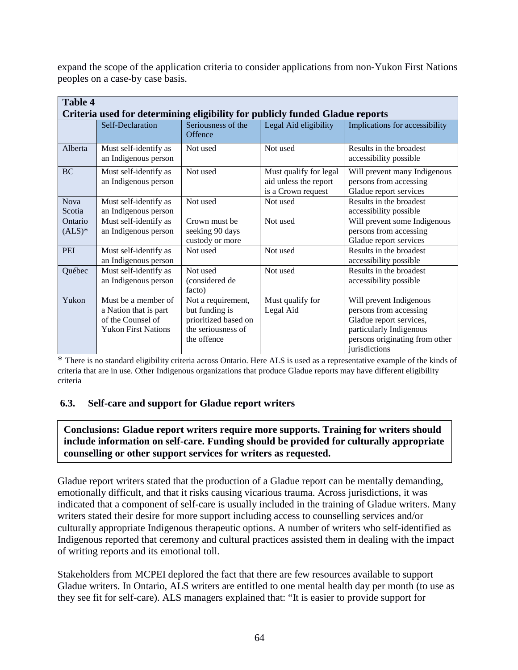expand the scope of the application criteria to consider applications from non-Yukon First Nations peoples on a case-by case basis.

| <b>Table 4</b>                                                               |                                                                                                 |                                                                                                   |                                                                       |                                                                                                                                                            |
|------------------------------------------------------------------------------|-------------------------------------------------------------------------------------------------|---------------------------------------------------------------------------------------------------|-----------------------------------------------------------------------|------------------------------------------------------------------------------------------------------------------------------------------------------------|
| Criteria used for determining eligibility for publicly funded Gladue reports |                                                                                                 |                                                                                                   |                                                                       |                                                                                                                                                            |
|                                                                              | Self-Declaration                                                                                | Seriousness of the<br>Offence                                                                     | Legal Aid eligibility                                                 | Implications for accessibility                                                                                                                             |
| Alberta                                                                      | Must self-identify as<br>an Indigenous person                                                   | Not used                                                                                          | Not used                                                              | Results in the broadest<br>accessibility possible                                                                                                          |
| <b>BC</b>                                                                    | Must self-identify as<br>an Indigenous person                                                   | Not used                                                                                          | Must qualify for legal<br>aid unless the report<br>is a Crown request | Will prevent many Indigenous<br>persons from accessing<br>Gladue report services                                                                           |
| <b>Nova</b><br>Scotia                                                        | Must self-identify as<br>an Indigenous person                                                   | Not used                                                                                          | Not used                                                              | Results in the broadest<br>accessibility possible                                                                                                          |
| Ontario<br>$(ALS)*$                                                          | Must self-identify as<br>an Indigenous person                                                   | Crown must be<br>seeking 90 days<br>custody or more                                               | Not used                                                              | Will prevent some Indigenous<br>persons from accessing<br>Gladue report services                                                                           |
| PEI                                                                          | Must self-identify as<br>an Indigenous person                                                   | Not used                                                                                          | Not used                                                              | Results in the broadest<br>accessibility possible                                                                                                          |
| Québec                                                                       | Must self-identify as<br>an Indigenous person                                                   | Not used<br>(considered de<br>facto)                                                              | Not used                                                              | Results in the broadest<br>accessibility possible                                                                                                          |
| Yukon                                                                        | Must be a member of<br>a Nation that is part<br>of the Counsel of<br><b>Yukon First Nations</b> | Not a requirement,<br>but funding is<br>prioritized based on<br>the seriousness of<br>the offence | Must qualify for<br>Legal Aid                                         | Will prevent Indigenous<br>persons from accessing<br>Gladue report services,<br>particularly Indigenous<br>persons originating from other<br>jurisdictions |

\* There is no standard eligibility criteria across Ontario. Here ALS is used as a representative example of the kinds of criteria that are in use. Other Indigenous organizations that produce Gladue reports may have different eligibility criteria

### **6.3. Self-care and support for Gladue report writers**

**Conclusions: Gladue report writers require more supports. Training for writers should include information on self-care. Funding should be provided for culturally appropriate counselling or other support services for writers as requested.** 

Gladue report writers stated that the production of a Gladue report can be mentally demanding, emotionally difficult, and that it risks causing vicarious trauma. Across jurisdictions, it was indicated that a component of self-care is usually included in the training of Gladue writers. Many writers stated their desire for more support including access to counselling services and/or culturally appropriate Indigenous therapeutic options. A number of writers who self-identified as Indigenous reported that ceremony and cultural practices assisted them in dealing with the impact of writing reports and its emotional toll.

Stakeholders from MCPEI deplored the fact that there are few resources available to support Gladue writers. In Ontario, ALS writers are entitled to one mental health day per month (to use as they see fit for self-care). ALS managers explained that: "It is easier to provide support for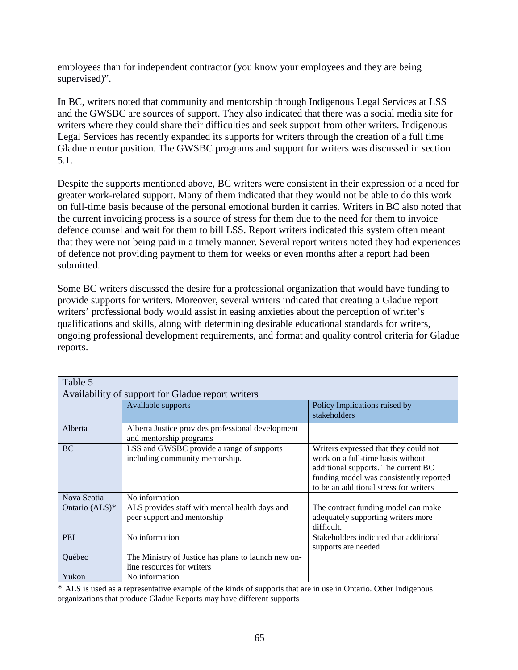employees than for independent contractor (you know your employees and they are being supervised)".

In BC, writers noted that community and mentorship through Indigenous Legal Services at LSS and the GWSBC are sources of support. They also indicated that there was a social media site for writers where they could share their difficulties and seek support from other writers. Indigenous Legal Services has recently expanded its supports for writers through the creation of a full time Gladue mentor position. The GWSBC programs and support for writers was discussed in section 5.1.

Despite the supports mentioned above, BC writers were consistent in their expression of a need for greater work-related support. Many of them indicated that they would not be able to do this work on full-time basis because of the personal emotional burden it carries. Writers in BC also noted that the current invoicing process is a source of stress for them due to the need for them to invoice defence counsel and wait for them to bill LSS. Report writers indicated this system often meant that they were not being paid in a timely manner. Several report writers noted they had experiences of defence not providing payment to them for weeks or even months after a report had been submitted.

Some BC writers discussed the desire for a professional organization that would have funding to provide supports for writers. Moreover, several writers indicated that creating a Gladue report writers' professional body would assist in easing anxieties about the perception of writer's qualifications and skills, along with determining desirable educational standards for writers, ongoing professional development requirements, and format and quality control criteria for Gladue reports.

| Table 5                                           |                                                                                   |                                                                                                                                                                                                        |  |
|---------------------------------------------------|-----------------------------------------------------------------------------------|--------------------------------------------------------------------------------------------------------------------------------------------------------------------------------------------------------|--|
| Availability of support for Gladue report writers |                                                                                   |                                                                                                                                                                                                        |  |
|                                                   | Available supports                                                                | Policy Implications raised by<br>stakeholders                                                                                                                                                          |  |
| Alberta                                           | Alberta Justice provides professional development<br>and mentorship programs      |                                                                                                                                                                                                        |  |
| <b>BC</b>                                         | LSS and GWSBC provide a range of supports<br>including community mentorship.      | Writers expressed that they could not<br>work on a full-time basis without<br>additional supports. The current BC<br>funding model was consistently reported<br>to be an additional stress for writers |  |
| Nova Scotia                                       | No information                                                                    |                                                                                                                                                                                                        |  |
| Ontario (ALS)*                                    | ALS provides staff with mental health days and<br>peer support and mentorship     | The contract funding model can make<br>adequately supporting writers more<br>difficult.                                                                                                                |  |
| <b>PEI</b>                                        | No information                                                                    | Stakeholders indicated that additional<br>supports are needed                                                                                                                                          |  |
| Québec                                            | The Ministry of Justice has plans to launch new on-<br>line resources for writers |                                                                                                                                                                                                        |  |
| Yukon                                             | No information                                                                    |                                                                                                                                                                                                        |  |

\* ALS is used as a representative example of the kinds of supports that are in use in Ontario. Other Indigenous organizations that produce Gladue Reports may have different supports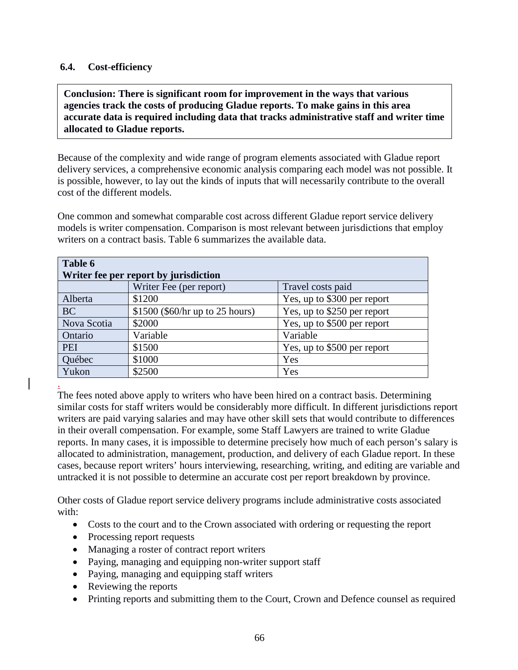#### **6.4. Cost-efficiency**

**Conclusion: There is significant room for improvement in the ways that various agencies track the costs of producing Gladue reports. To make gains in this area accurate data is required including data that tracks administrative staff and writer time allocated to Gladue reports.**

Because of the complexity and wide range of program elements associated with Gladue report delivery services, a comprehensive economic analysis comparing each model was not possible. It is possible, however, to lay out the kinds of inputs that will necessarily contribute to the overall cost of the different models.

One common and somewhat comparable cost across different Gladue report service delivery models is writer compensation. Comparison is most relevant between jurisdictions that employ writers on a contract basis. Table 6 summarizes the available data.

| Table 6<br>Writer fee per report by jurisdiction |                                  |                             |  |
|--------------------------------------------------|----------------------------------|-----------------------------|--|
|                                                  | Writer Fee (per report)          | Travel costs paid           |  |
| Alberta                                          | \$1200                           | Yes, up to \$300 per report |  |
| <b>BC</b>                                        | $$1500$ (\$60/hr up to 25 hours) | Yes, up to \$250 per report |  |
| Nova Scotia                                      | \$2000                           | Yes, up to \$500 per report |  |
| Ontario                                          | Variable                         | Variable                    |  |
| <b>PEI</b>                                       | \$1500                           | Yes, up to \$500 per report |  |
| Québec                                           | \$1000                           | Yes                         |  |
| Yukon                                            | \$2500                           | Yes                         |  |
|                                                  |                                  |                             |  |

The fees noted above apply to writers who have been hired on a contract basis. Determining similar costs for staff writers would be considerably more difficult. In different jurisdictions report writers are paid varying salaries and may have other skill sets that would contribute to differences in their overall compensation. For example, some Staff Lawyers are trained to write Gladue reports. In many cases, it is impossible to determine precisely how much of each person's salary is allocated to administration, management, production, and delivery of each Gladue report. In these cases, because report writers' hours interviewing, researching, writing, and editing are variable and untracked it is not possible to determine an accurate cost per report breakdown by province.

Other costs of Gladue report service delivery programs include administrative costs associated with:

- Costs to the court and to the Crown associated with ordering or requesting the report
- Processing report requests
- Managing a roster of contract report writers
- Paying, managing and equipping non-writer support staff
- Paying, managing and equipping staff writers
- Reviewing the reports
- Printing reports and submitting them to the Court, Crown and Defence counsel as required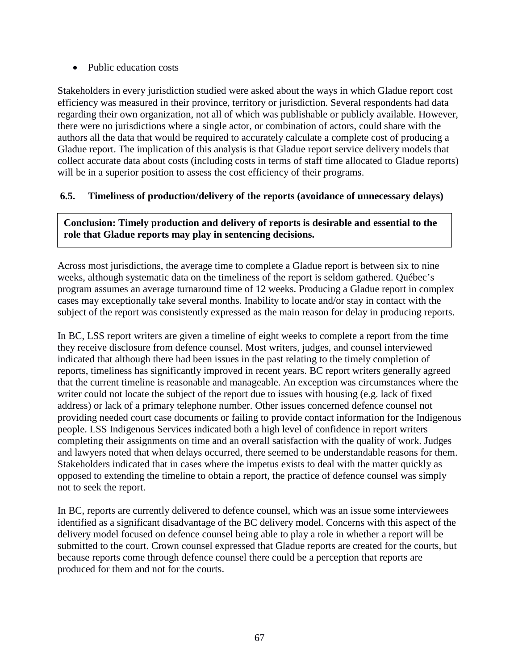• Public education costs

Stakeholders in every jurisdiction studied were asked about the ways in which Gladue report cost efficiency was measured in their province, territory or jurisdiction. Several respondents had data regarding their own organization, not all of which was publishable or publicly available. However, there were no jurisdictions where a single actor, or combination of actors, could share with the authors all the data that would be required to accurately calculate a complete cost of producing a Gladue report. The implication of this analysis is that Gladue report service delivery models that collect accurate data about costs (including costs in terms of staff time allocated to Gladue reports) will be in a superior position to assess the cost efficiency of their programs.

### **6.5. Timeliness of production/delivery of the reports (avoidance of unnecessary delays)**

**Conclusion: Timely production and delivery of reports is desirable and essential to the role that Gladue reports may play in sentencing decisions.** 

Across most jurisdictions, the average time to complete a Gladue report is between six to nine weeks, although systematic data on the timeliness of the report is seldom gathered. Québec's program assumes an average turnaround time of 12 weeks. Producing a Gladue report in complex cases may exceptionally take several months. Inability to locate and/or stay in contact with the subject of the report was consistently expressed as the main reason for delay in producing reports.

In BC, LSS report writers are given a timeline of eight weeks to complete a report from the time they receive disclosure from defence counsel. Most writers, judges, and counsel interviewed indicated that although there had been issues in the past relating to the timely completion of reports, timeliness has significantly improved in recent years. BC report writers generally agreed that the current timeline is reasonable and manageable. An exception was circumstances where the writer could not locate the subject of the report due to issues with housing (e.g. lack of fixed address) or lack of a primary telephone number. Other issues concerned defence counsel not providing needed court case documents or failing to provide contact information for the Indigenous people. LSS Indigenous Services indicated both a high level of confidence in report writers completing their assignments on time and an overall satisfaction with the quality of work. Judges and lawyers noted that when delays occurred, there seemed to be understandable reasons for them. Stakeholders indicated that in cases where the impetus exists to deal with the matter quickly as opposed to extending the timeline to obtain a report, the practice of defence counsel was simply not to seek the report.

In BC, reports are currently delivered to defence counsel, which was an issue some interviewees identified as a significant disadvantage of the BC delivery model. Concerns with this aspect of the delivery model focused on defence counsel being able to play a role in whether a report will be submitted to the court. Crown counsel expressed that Gladue reports are created for the courts, but because reports come through defence counsel there could be a perception that reports are produced for them and not for the courts.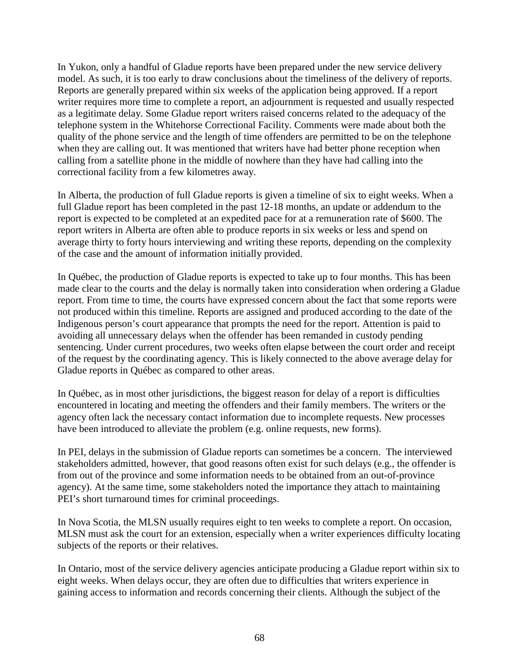In Yukon, only a handful of Gladue reports have been prepared under the new service delivery model. As such, it is too early to draw conclusions about the timeliness of the delivery of reports. Reports are generally prepared within six weeks of the application being approved. If a report writer requires more time to complete a report, an adjournment is requested and usually respected as a legitimate delay. Some Gladue report writers raised concerns related to the adequacy of the telephone system in the Whitehorse Correctional Facility. Comments were made about both the quality of the phone service and the length of time offenders are permitted to be on the telephone when they are calling out. It was mentioned that writers have had better phone reception when calling from a satellite phone in the middle of nowhere than they have had calling into the correctional facility from a few kilometres away.

In Alberta, the production of full Gladue reports is given a timeline of six to eight weeks. When a full Gladue report has been completed in the past 12-18 months, an update or addendum to the report is expected to be completed at an expedited pace for at a remuneration rate of \$600. The report writers in Alberta are often able to produce reports in six weeks or less and spend on average thirty to forty hours interviewing and writing these reports, depending on the complexity of the case and the amount of information initially provided.

In Québec, the production of Gladue reports is expected to take up to four months. This has been made clear to the courts and the delay is normally taken into consideration when ordering a Gladue report. From time to time, the courts have expressed concern about the fact that some reports were not produced within this timeline. Reports are assigned and produced according to the date of the Indigenous person's court appearance that prompts the need for the report. Attention is paid to avoiding all unnecessary delays when the offender has been remanded in custody pending sentencing. Under current procedures, two weeks often elapse between the court order and receipt of the request by the coordinating agency. This is likely connected to the above average delay for Gladue reports in Québec as compared to other areas.

In Québec, as in most other jurisdictions, the biggest reason for delay of a report is difficulties encountered in locating and meeting the offenders and their family members. The writers or the agency often lack the necessary contact information due to incomplete requests. New processes have been introduced to alleviate the problem (e.g. online requests, new forms).

In PEI, delays in the submission of Gladue reports can sometimes be a concern. The interviewed stakeholders admitted, however, that good reasons often exist for such delays (e.g., the offender is from out of the province and some information needs to be obtained from an out-of-province agency). At the same time, some stakeholders noted the importance they attach to maintaining PEI's short turnaround times for criminal proceedings.

In Nova Scotia, the MLSN usually requires eight to ten weeks to complete a report. On occasion, MLSN must ask the court for an extension, especially when a writer experiences difficulty locating subjects of the reports or their relatives.

In Ontario, most of the service delivery agencies anticipate producing a Gladue report within six to eight weeks. When delays occur, they are often due to difficulties that writers experience in gaining access to information and records concerning their clients. Although the subject of the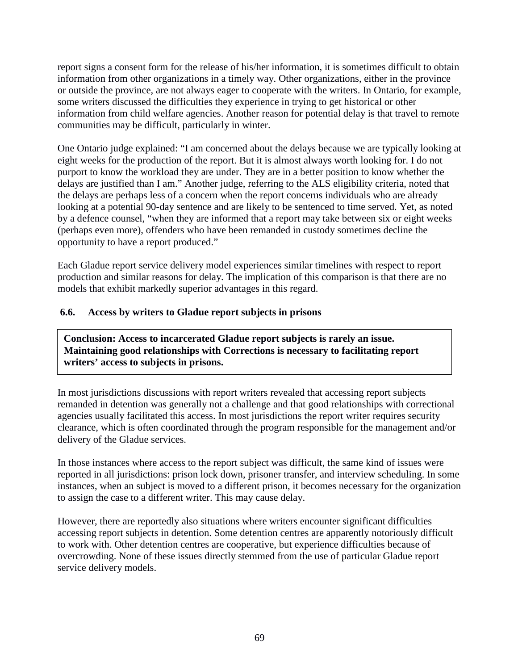report signs a consent form for the release of his/her information, it is sometimes difficult to obtain information from other organizations in a timely way. Other organizations, either in the province or outside the province, are not always eager to cooperate with the writers. In Ontario, for example, some writers discussed the difficulties they experience in trying to get historical or other information from child welfare agencies. Another reason for potential delay is that travel to remote communities may be difficult, particularly in winter.

One Ontario judge explained: "I am concerned about the delays because we are typically looking at eight weeks for the production of the report. But it is almost always worth looking for. I do not purport to know the workload they are under. They are in a better position to know whether the delays are justified than I am." Another judge, referring to the ALS eligibility criteria, noted that the delays are perhaps less of a concern when the report concerns individuals who are already looking at a potential 90-day sentence and are likely to be sentenced to time served. Yet, as noted by a defence counsel, "when they are informed that a report may take between six or eight weeks (perhaps even more), offenders who have been remanded in custody sometimes decline the opportunity to have a report produced."

Each Gladue report service delivery model experiences similar timelines with respect to report production and similar reasons for delay. The implication of this comparison is that there are no models that exhibit markedly superior advantages in this regard.

### **6.6. Access by writers to Gladue report subjects in prisons**

**Conclusion: Access to incarcerated Gladue report subjects is rarely an issue. Maintaining good relationships with Corrections is necessary to facilitating report writers' access to subjects in prisons.**

In most jurisdictions discussions with report writers revealed that accessing report subjects remanded in detention was generally not a challenge and that good relationships with correctional agencies usually facilitated this access. In most jurisdictions the report writer requires security clearance, which is often coordinated through the program responsible for the management and/or delivery of the Gladue services.

In those instances where access to the report subject was difficult, the same kind of issues were reported in all jurisdictions: prison lock down, prisoner transfer, and interview scheduling. In some instances, when an subject is moved to a different prison, it becomes necessary for the organization to assign the case to a different writer. This may cause delay.

However, there are reportedly also situations where writers encounter significant difficulties accessing report subjects in detention. Some detention centres are apparently notoriously difficult to work with. Other detention centres are cooperative, but experience difficulties because of overcrowding. None of these issues directly stemmed from the use of particular Gladue report service delivery models.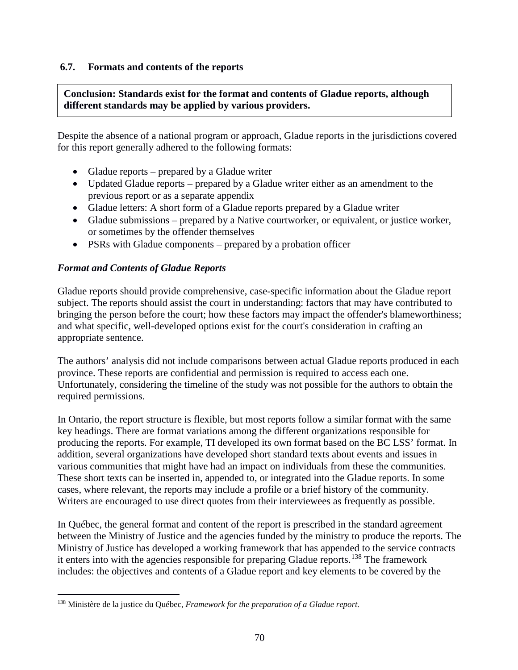### **6.7. Formats and contents of the reports**

**Conclusion: Standards exist for the format and contents of Gladue reports, although different standards may be applied by various providers.**

Despite the absence of a national program or approach, Gladue reports in the jurisdictions covered for this report generally adhered to the following formats:

- Gladue reports prepared by a Gladue writer
- Updated Gladue reports prepared by a Gladue writer either as an amendment to the previous report or as a separate appendix
- Gladue letters: A short form of a Gladue reports prepared by a Gladue writer
- Gladue submissions prepared by a Native courtworker, or equivalent, or justice worker, or sometimes by the offender themselves
- PSRs with Gladue components prepared by a probation officer

### *Format and Contents of Gladue Reports*

Gladue reports should provide comprehensive, case-specific information about the Gladue report subject. The reports should assist the court in understanding: factors that may have contributed to bringing the person before the court; how these factors may impact the offender's blameworthiness; and what specific, well-developed options exist for the court's consideration in crafting an appropriate sentence.

The authors' analysis did not include comparisons between actual Gladue reports produced in each province. These reports are confidential and permission is required to access each one. Unfortunately, considering the timeline of the study was not possible for the authors to obtain the required permissions.

In Ontario, the report structure is flexible, but most reports follow a similar format with the same key headings. There are format variations among the different organizations responsible for producing the reports. For example, TI developed its own format based on the BC LSS' format. In addition, several organizations have developed short standard texts about events and issues in various communities that might have had an impact on individuals from these the communities. These short texts can be inserted in, appended to, or integrated into the Gladue reports. In some cases, where relevant, the reports may include a profile or a brief history of the community. Writers are encouraged to use direct quotes from their interviewees as frequently as possible.

In Québec, the general format and content of the report is prescribed in the standard agreement between the Ministry of Justice and the agencies funded by the ministry to produce the reports. The Ministry of Justice has developed a working framework that has appended to the service contracts it enters into with the agencies responsible for preparing Gladue reports.<sup>[138](#page-70-0)</sup> The framework includes: the objectives and contents of a Gladue report and key elements to be covered by the

<span id="page-70-0"></span> <sup>138</sup> Ministère de la justice du Québec, *Framework for the preparation of a Gladue report*.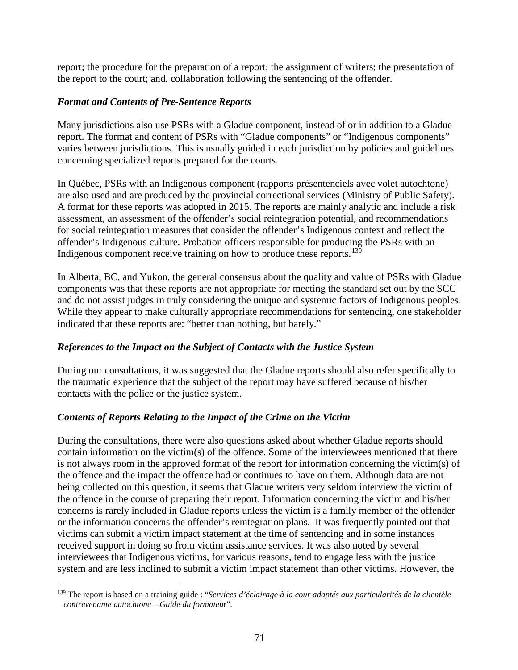report; the procedure for the preparation of a report; the assignment of writers; the presentation of the report to the court; and, collaboration following the sentencing of the offender.

### *Format and Contents of Pre-Sentence Reports*

Many jurisdictions also use PSRs with a Gladue component, instead of or in addition to a Gladue report. The format and content of PSRs with "Gladue components" or "Indigenous components" varies between jurisdictions. This is usually guided in each jurisdiction by policies and guidelines concerning specialized reports prepared for the courts.

In Québec, PSRs with an Indigenous component (rapports présentenciels avec volet autochtone) are also used and are produced by the provincial correctional services (Ministry of Public Safety). A format for these reports was adopted in 2015. The reports are mainly analytic and include a risk assessment, an assessment of the offender's social reintegration potential, and recommendations for social reintegration measures that consider the offender's Indigenous context and reflect the offender's Indigenous culture. Probation officers responsible for producing the PSRs with an Indigenous component receive training on how to produce these reports.<sup>[139](#page-71-0)</sup>

In Alberta, BC, and Yukon, the general consensus about the quality and value of PSRs with Gladue components was that these reports are not appropriate for meeting the standard set out by the SCC and do not assist judges in truly considering the unique and systemic factors of Indigenous peoples. While they appear to make culturally appropriate recommendations for sentencing, one stakeholder indicated that these reports are: "better than nothing, but barely."

## *References to the Impact on the Subject of Contacts with the Justice System*

During our consultations, it was suggested that the Gladue reports should also refer specifically to the traumatic experience that the subject of the report may have suffered because of his/her contacts with the police or the justice system.

## *Contents of Reports Relating to the Impact of the Crime on the Victim*

During the consultations, there were also questions asked about whether Gladue reports should contain information on the victim(s) of the offence. Some of the interviewees mentioned that there is not always room in the approved format of the report for information concerning the victim(s) of the offence and the impact the offence had or continues to have on them. Although data are not being collected on this question, it seems that Gladue writers very seldom interview the victim of the offence in the course of preparing their report. Information concerning the victim and his/her concerns is rarely included in Gladue reports unless the victim is a family member of the offender or the information concerns the offender's reintegration plans. It was frequently pointed out that victims can submit a victim impact statement at the time of sentencing and in some instances received support in doing so from victim assistance services. It was also noted by several interviewees that Indigenous victims, for various reasons, tend to engage less with the justice system and are less inclined to submit a victim impact statement than other victims. However, the

<span id="page-71-0"></span> <sup>139</sup> The report is based on a training guide : "*Services d'éclairage à la cour adaptés aux particularités de la clientèle contrevenante autochtone – Guide du formateu*r".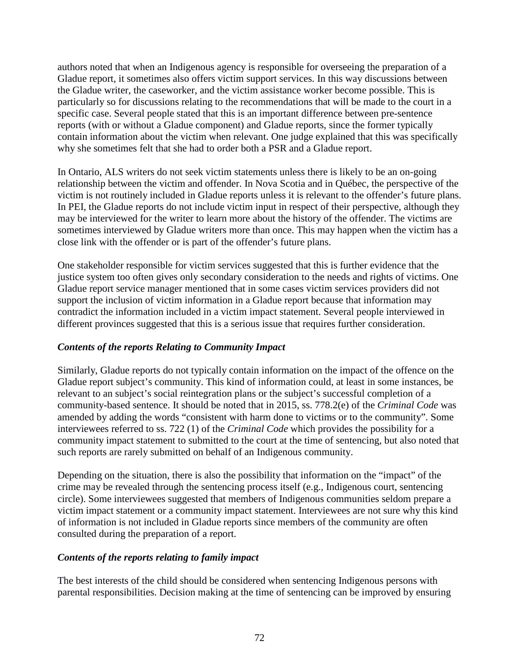authors noted that when an Indigenous agency is responsible for overseeing the preparation of a Gladue report, it sometimes also offers victim support services. In this way discussions between the Gladue writer, the caseworker, and the victim assistance worker become possible. This is particularly so for discussions relating to the recommendations that will be made to the court in a specific case. Several people stated that this is an important difference between pre-sentence reports (with or without a Gladue component) and Gladue reports, since the former typically contain information about the victim when relevant. One judge explained that this was specifically why she sometimes felt that she had to order both a PSR and a Gladue report.

In Ontario, ALS writers do not seek victim statements unless there is likely to be an on-going relationship between the victim and offender. In Nova Scotia and in Québec, the perspective of the victim is not routinely included in Gladue reports unless it is relevant to the offender's future plans. In PEI, the Gladue reports do not include victim input in respect of their perspective, although they may be interviewed for the writer to learn more about the history of the offender. The victims are sometimes interviewed by Gladue writers more than once. This may happen when the victim has a close link with the offender or is part of the offender's future plans.

One stakeholder responsible for victim services suggested that this is further evidence that the justice system too often gives only secondary consideration to the needs and rights of victims. One Gladue report service manager mentioned that in some cases victim services providers did not support the inclusion of victim information in a Gladue report because that information may contradict the information included in a victim impact statement. Several people interviewed in different provinces suggested that this is a serious issue that requires further consideration.

## *Contents of the reports Relating to Community Impact*

Similarly, Gladue reports do not typically contain information on the impact of the offence on the Gladue report subject's community. This kind of information could, at least in some instances, be relevant to an subject's social reintegration plans or the subject's successful completion of a community-based sentence. It should be noted that in 2015, ss. 778.2(e) of the *Criminal Code* was amended by adding the words "consistent with harm done to victims or to the community". Some interviewees referred to ss. 722 (1) of the *Criminal Code* which provides the possibility for a community impact statement to submitted to the court at the time of sentencing, but also noted that such reports are rarely submitted on behalf of an Indigenous community.

Depending on the situation, there is also the possibility that information on the "impact" of the crime may be revealed through the sentencing process itself (e.g., Indigenous court, sentencing circle). Some interviewees suggested that members of Indigenous communities seldom prepare a victim impact statement or a community impact statement. Interviewees are not sure why this kind of information is not included in Gladue reports since members of the community are often consulted during the preparation of a report.

## *Contents of the reports relating to family impact*

The best interests of the child should be considered when sentencing Indigenous persons with parental responsibilities. Decision making at the time of sentencing can be improved by ensuring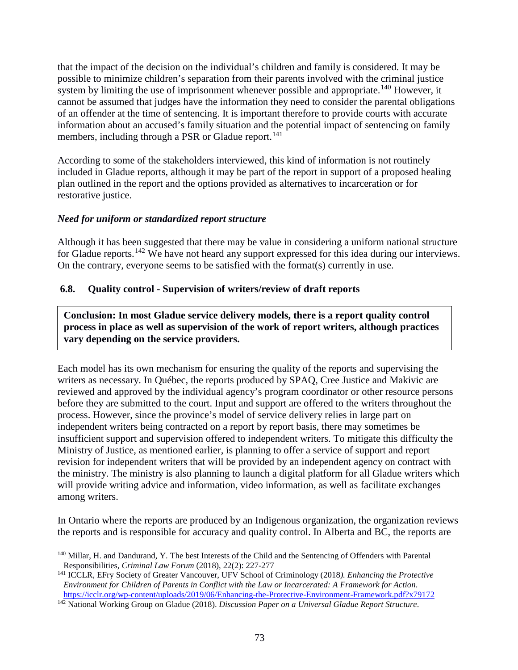that the impact of the decision on the individual's children and family is considered. It may be possible to minimize children's separation from their parents involved with the criminal justice system by limiting the use of imprisonment whenever possible and appropriate.<sup>[140](#page-73-0)</sup> However, it cannot be assumed that judges have the information they need to consider the parental obligations of an offender at the time of sentencing. It is important therefore to provide courts with accurate information about an accused's family situation and the potential impact of sentencing on family members, including through a PSR or Gladue report.<sup>[141](#page-73-1)</sup>

According to some of the stakeholders interviewed, this kind of information is not routinely included in Gladue reports, although it may be part of the report in support of a proposed healing plan outlined in the report and the options provided as alternatives to incarceration or for restorative justice.

## *Need for uniform or standardized report structure*

Although it has been suggested that there may be value in considering a uniform national structure for Gladue reports.<sup>[142](#page-73-2)</sup> We have not heard any support expressed for this idea during our interviews. On the contrary, everyone seems to be satisfied with the format(s) currently in use.

## **6.8. Quality control - Supervision of writers/review of draft reports**

**Conclusion: In most Gladue service delivery models, there is a report quality control process in place as well as supervision of the work of report writers, although practices vary depending on the service providers.**

Each model has its own mechanism for ensuring the quality of the reports and supervising the writers as necessary. In Québec, the reports produced by SPAQ, Cree Justice and Makivic are reviewed and approved by the individual agency's program coordinator or other resource persons before they are submitted to the court. Input and support are offered to the writers throughout the process. However, since the province's model of service delivery relies in large part on independent writers being contracted on a report by report basis, there may sometimes be insufficient support and supervision offered to independent writers. To mitigate this difficulty the Ministry of Justice, as mentioned earlier, is planning to offer a service of support and report revision for independent writers that will be provided by an independent agency on contract with the ministry. The ministry is also planning to launch a digital platform for all Gladue writers which will provide writing advice and information, video information, as well as facilitate exchanges among writers.

In Ontario where the reports are produced by an Indigenous organization, the organization reviews the reports and is responsible for accuracy and quality control. In Alberta and BC, the reports are

<span id="page-73-0"></span> <sup>140</sup> Millar, H. and Dandurand, Y. The best Interests of the Child and the Sentencing of Offenders with Parental Responsibilities*, Criminal Law Forum* (2018), 22(2): 227-277

<span id="page-73-1"></span><sup>141</sup> ICCLR, EFry Society of Greater Vancouver, UFV School of Criminology (2018*). Enhancing the Protective Environment for Children of Parents in Conflict with the Law or Incarcerated: A Framework for Action*. <https://icclr.org/wp-content/uploads/2019/06/Enhancing-the-Protective-Environment-Framework.pdf?x79172>

<span id="page-73-2"></span><sup>142</sup> National Working Group on Gladue (2018). *Discussion Paper on a Universal Gladue Report Structure*.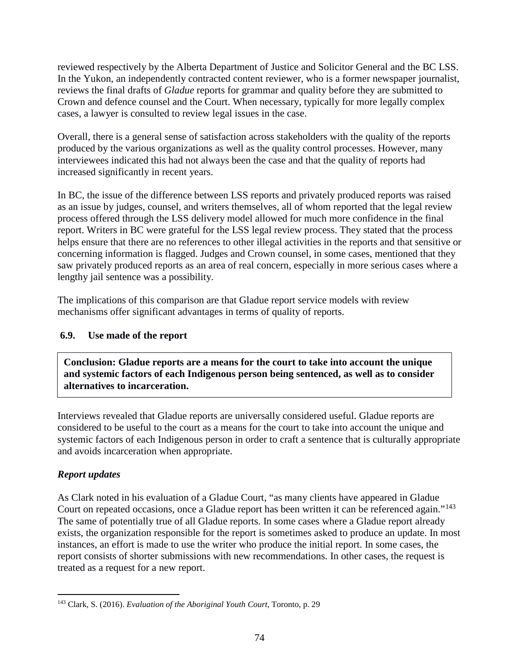reviewed respectively by the Alberta Department of Justice and Solicitor General and the BC LSS. In the Yukon, an independently contracted content reviewer, who is a former newspaper journalist, reviews the final drafts of *Gladue* reports for grammar and quality before they are submitted to Crown and defence counsel and the Court. When necessary, typically for more legally complex cases, a lawyer is consulted to review legal issues in the case.

Overall, there is a general sense of satisfaction across stakeholders with the quality of the reports produced by the various organizations as well as the quality control processes. However, many interviewees indicated this had not always been the case and that the quality of reports had increased significantly in recent years.

In BC, the issue of the difference between LSS reports and privately produced reports was raised as an issue by judges, counsel, and writers themselves, all of whom reported that the legal review process offered through the LSS delivery model allowed for much more confidence in the final report. Writers in BC were grateful for the LSS legal review process. They stated that the process helps ensure that there are no references to other illegal activities in the reports and that sensitive or concerning information is flagged. Judges and Crown counsel, in some cases, mentioned that they saw privately produced reports as an area of real concern, especially in more serious cases where a lengthy jail sentence was a possibility.

The implications of this comparison are that Gladue report service models with review mechanisms offer significant advantages in terms of quality of reports.

# **6.9. Use made of the report**

**Conclusion: Gladue reports are a means for the court to take into account the unique and systemic factors of each Indigenous person being sentenced, as well as to consider alternatives to incarceration.**

Interviews revealed that Gladue reports are universally considered useful. Gladue reports are considered to be useful to the court as a means for the court to take into account the unique and systemic factors of each Indigenous person in order to craft a sentence that is culturally appropriate and avoids incarceration when appropriate.

# *Report updates*

As Clark noted in his evaluation of a Gladue Court, "as many clients have appeared in Gladue Court on repeated occasions, once a Gladue report has been written it can be referenced again."[143](#page-74-0)  The same of potentially true of all Gladue reports. In some cases where a Gladue report already exists, the organization responsible for the report is sometimes asked to produce an update. In most instances, an effort is made to use the writer who produce the initial report. In some cases, the report consists of shorter submissions with new recommendations. In other cases, the request is treated as a request for a new report.

<span id="page-74-0"></span> <sup>143</sup> Clark, S. (2016). *Evaluation of the Aboriginal Youth Court*, Toronto, p. 29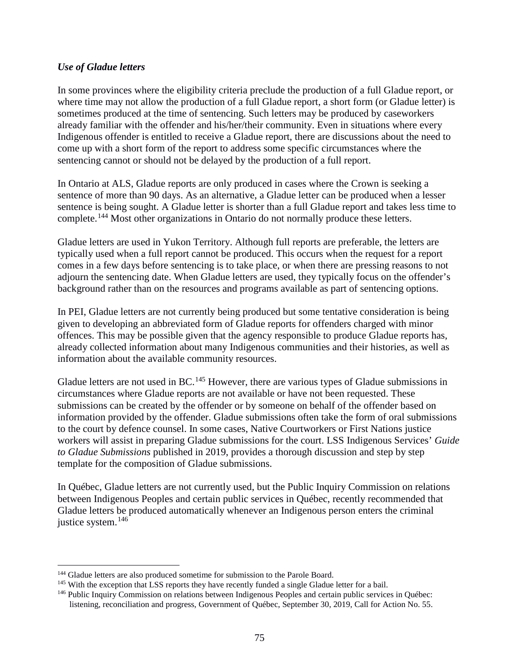#### *Use of Gladue letters*

In some provinces where the eligibility criteria preclude the production of a full Gladue report, or where time may not allow the production of a full Gladue report, a short form (or Gladue letter) is sometimes produced at the time of sentencing. Such letters may be produced by caseworkers already familiar with the offender and his/her/their community. Even in situations where every Indigenous offender is entitled to receive a Gladue report, there are discussions about the need to come up with a short form of the report to address some specific circumstances where the sentencing cannot or should not be delayed by the production of a full report.

In Ontario at ALS, Gladue reports are only produced in cases where the Crown is seeking a sentence of more than 90 days. As an alternative, a Gladue letter can be produced when a lesser sentence is being sought. A Gladue letter is shorter than a full Gladue report and takes less time to complete.<sup>[144](#page-75-0)</sup> Most other organizations in Ontario do not normally produce these letters.

Gladue letters are used in Yukon Territory. Although full reports are preferable, the letters are typically used when a full report cannot be produced. This occurs when the request for a report comes in a few days before sentencing is to take place, or when there are pressing reasons to not adjourn the sentencing date. When Gladue letters are used, they typically focus on the offender's background rather than on the resources and programs available as part of sentencing options.

In PEI, Gladue letters are not currently being produced but some tentative consideration is being given to developing an abbreviated form of Gladue reports for offenders charged with minor offences. This may be possible given that the agency responsible to produce Gladue reports has, already collected information about many Indigenous communities and their histories, as well as information about the available community resources.

Gladue letters are not used in BC.<sup>[145](#page-75-1)</sup> However, there are various types of Gladue submissions in circumstances where Gladue reports are not available or have not been requested. These submissions can be created by the offender or by someone on behalf of the offender based on information provided by the offender. Gladue submissions often take the form of oral submissions to the court by defence counsel. In some cases, Native Courtworkers or First Nations justice workers will assist in preparing Gladue submissions for the court. LSS Indigenous Services' *Guide to Gladue Submissions* published in 2019, provides a thorough discussion and step by step template for the composition of Gladue submissions.

In Québec, Gladue letters are not currently used, but the Public Inquiry Commission on relations between Indigenous Peoples and certain public services in Québec, recently recommended that Gladue letters be produced automatically whenever an Indigenous person enters the criminal justice system.<sup>[146](#page-75-2)</sup>

<span id="page-75-0"></span><sup>&</sup>lt;sup>144</sup> Gladue letters are also produced sometime for submission to the Parole Board.

<span id="page-75-1"></span><sup>&</sup>lt;sup>145</sup> With the exception that LSS reports they have recently funded a single Gladue letter for a bail.

<span id="page-75-2"></span><sup>146</sup> Public Inquiry Commission on relations between Indigenous Peoples and certain public services in Québec: listening, reconciliation and progress, Government of Québec, September 30, 2019, Call for Action No. 55.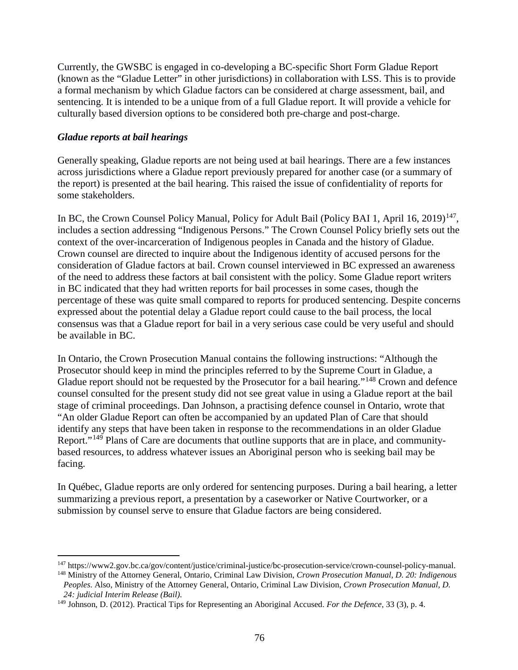Currently, the GWSBC is engaged in co-developing a BC-specific Short Form Gladue Report (known as the "Gladue Letter" in other jurisdictions) in collaboration with LSS. This is to provide a formal mechanism by which Gladue factors can be considered at charge assessment, bail, and sentencing. It is intended to be a unique from of a full Gladue report. It will provide a vehicle for culturally based diversion options to be considered both pre-charge and post-charge.

#### *Gladue reports at bail hearings*

Generally speaking, Gladue reports are not being used at bail hearings. There are a few instances across jurisdictions where a Gladue report previously prepared for another case (or a summary of the report) is presented at the bail hearing. This raised the issue of confidentiality of reports for some stakeholders.

In BC, the Crown Counsel Policy Manual, Policy for Adult Bail (Policy BAI 1, April 16, 2019)<sup>147</sup>, includes a section addressing "Indigenous Persons." The Crown Counsel Policy briefly sets out the context of the over-incarceration of Indigenous peoples in Canada and the history of Gladue. Crown counsel are directed to inquire about the Indigenous identity of accused persons for the consideration of Gladue factors at bail. Crown counsel interviewed in BC expressed an awareness of the need to address these factors at bail consistent with the policy. Some Gladue report writers in BC indicated that they had written reports for bail processes in some cases, though the percentage of these was quite small compared to reports for produced sentencing. Despite concerns expressed about the potential delay a Gladue report could cause to the bail process, the local consensus was that a Gladue report for bail in a very serious case could be very useful and should be available in BC.

In Ontario, the Crown Prosecution Manual contains the following instructions: "Although the Prosecutor should keep in mind the principles referred to by the Supreme Court in Gladue, a Gladue report should not be requested by the Prosecutor for a bail hearing."<sup>[148](#page-76-1)</sup> Crown and defence counsel consulted for the present study did not see great value in using a Gladue report at the bail stage of criminal proceedings. Dan Johnson, a practising defence counsel in Ontario, wrote that "An older Gladue Report can often be accompanied by an updated Plan of Care that should identify any steps that have been taken in response to the recommendations in an older Gladue Report."[149](#page-76-2) Plans of Care are documents that outline supports that are in place, and communitybased resources, to address whatever issues an Aboriginal person who is seeking bail may be facing.

In Québec, Gladue reports are only ordered for sentencing purposes. During a bail hearing, a letter summarizing a previous report, a presentation by a caseworker or Native Courtworker, or a submission by counsel serve to ensure that Gladue factors are being considered.

<span id="page-76-1"></span><span id="page-76-0"></span> <sup>147</sup> https://www2.gov.bc.ca/gov/content/justice/criminal-justice/bc-prosecution-service/crown-counsel-policy-manual. <sup>148</sup> Ministry of the Attorney General, Ontario, Criminal Law Division, *Crown Prosecution Manual, D. 20: Indigenous* 

*Peoples*. Also, Ministry of the Attorney General, Ontario, Criminal Law Division, *Crown Prosecution Manual, D. 24: judicial Interim Release (Bail)*.

<span id="page-76-2"></span><sup>149</sup> Johnson, D. (2012). Practical Tips for Representing an Aboriginal Accused. *For the Defence*, 33 (3), p. 4.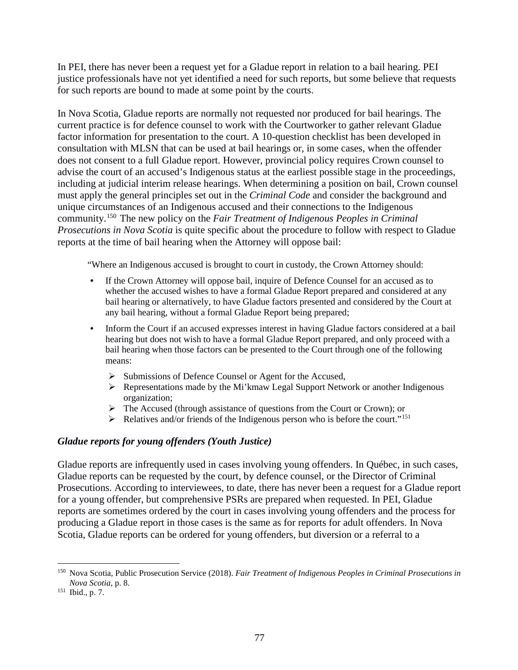In PEI, there has never been a request yet for a Gladue report in relation to a bail hearing. PEI justice professionals have not yet identified a need for such reports, but some believe that requests for such reports are bound to made at some point by the courts.

In Nova Scotia, Gladue reports are normally not requested nor produced for bail hearings. The current practice is for defence counsel to work with the Courtworker to gather relevant Gladue factor information for presentation to the court. A 10-question checklist has been developed in consultation with MLSN that can be used at bail hearings or, in some cases, when the offender does not consent to a full Gladue report. However, provincial policy requires Crown counsel to advise the court of an accused's Indigenous status at the earliest possible stage in the proceedings, including at judicial interim release hearings. When determining a position on bail, Crown counsel must apply the general principles set out in the *Criminal Code* and consider the background and unique circumstances of an Indigenous accused and their connections to the Indigenous community.[150](#page-77-0) The new policy on the *Fair Treatment of Indigenous Peoples in Criminal Prosecutions in Nova Scotia* is quite specific about the procedure to follow with respect to Gladue reports at the time of bail hearing when the Attorney will oppose bail:

"Where an Indigenous accused is brought to court in custody, the Crown Attorney should:

- If the Crown Attorney will oppose bail, inquire of Defence Counsel for an accused as to whether the accused wishes to have a formal Gladue Report prepared and considered at any bail hearing or alternatively, to have Gladue factors presented and considered by the Court at any bail hearing, without a formal Gladue Report being prepared;
- Inform the Court if an accused expresses interest in having Gladue factors considered at a bail hearing but does not wish to have a formal Gladue Report prepared, and only proceed with a bail hearing when those factors can be presented to the Court through one of the following means:
	- $\triangleright$  Submissions of Defence Counsel or Agent for the Accused,
	- $\triangleright$  Representations made by the Mi'kmaw Legal Support Network or another Indigenous organization;
	- $\triangleright$  The Accused (through assistance of questions from the Court or Crown); or
	- $\triangleright$  Relatives and/or friends of the Indigenous person who is before the court."<sup>[151](#page-77-1)</sup>

#### *Gladue reports for young offenders (Youth Justice)*

Gladue reports are infrequently used in cases involving young offenders. In Québec, in such cases, Gladue reports can be requested by the court, by defence counsel, or the Director of Criminal Prosecutions. According to interviewees, to date, there has never been a request for a Gladue report for a young offender, but comprehensive PSRs are prepared when requested. In PEI, Gladue reports are sometimes ordered by the court in cases involving young offenders and the process for producing a Gladue report in those cases is the same as for reports for adult offenders. In Nova Scotia, Gladue reports can be ordered for young offenders, but diversion or a referral to a

<span id="page-77-0"></span> <sup>150</sup> Nova Scotia, Public Prosecution Service (2018). *Fair Treatment of Indigenous Peoples in Criminal Prosecutions in Nova Scotia*, p. 8.<br><sup>151</sup> Ibid., p. 7.

<span id="page-77-1"></span>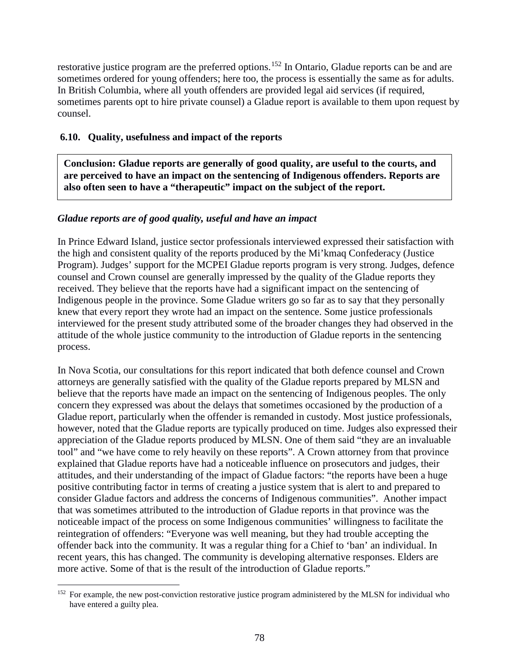restorative justice program are the preferred options.<sup>[152](#page-78-0)</sup> In Ontario, Gladue reports can be and are sometimes ordered for young offenders; here too, the process is essentially the same as for adults. In British Columbia, where all youth offenders are provided legal aid services (if required, sometimes parents opt to hire private counsel) a Gladue report is available to them upon request by counsel.

### **6.10. Quality, usefulness and impact of the reports**

**Conclusion: Gladue reports are generally of good quality, are useful to the courts, and are perceived to have an impact on the sentencing of Indigenous offenders. Reports are also often seen to have a "therapeutic" impact on the subject of the report.** 

#### *Gladue reports are of good quality, useful and have an impact*

In Prince Edward Island, justice sector professionals interviewed expressed their satisfaction with the high and consistent quality of the reports produced by the Mi'kmaq Confederacy (Justice Program). Judges' support for the MCPEI Gladue reports program is very strong. Judges, defence counsel and Crown counsel are generally impressed by the quality of the Gladue reports they received. They believe that the reports have had a significant impact on the sentencing of Indigenous people in the province. Some Gladue writers go so far as to say that they personally knew that every report they wrote had an impact on the sentence. Some justice professionals interviewed for the present study attributed some of the broader changes they had observed in the attitude of the whole justice community to the introduction of Gladue reports in the sentencing process.

In Nova Scotia, our consultations for this report indicated that both defence counsel and Crown attorneys are generally satisfied with the quality of the Gladue reports prepared by MLSN and believe that the reports have made an impact on the sentencing of Indigenous peoples. The only concern they expressed was about the delays that sometimes occasioned by the production of a Gladue report, particularly when the offender is remanded in custody. Most justice professionals, however, noted that the Gladue reports are typically produced on time. Judges also expressed their appreciation of the Gladue reports produced by MLSN. One of them said "they are an invaluable tool" and "we have come to rely heavily on these reports". A Crown attorney from that province explained that Gladue reports have had a noticeable influence on prosecutors and judges, their attitudes, and their understanding of the impact of Gladue factors: "the reports have been a huge positive contributing factor in terms of creating a justice system that is alert to and prepared to consider Gladue factors and address the concerns of Indigenous communities". Another impact that was sometimes attributed to the introduction of Gladue reports in that province was the noticeable impact of the process on some Indigenous communities' willingness to facilitate the reintegration of offenders: "Everyone was well meaning, but they had trouble accepting the offender back into the community. It was a regular thing for a Chief to 'ban' an individual. In recent years, this has changed. The community is developing alternative responses. Elders are more active. Some of that is the result of the introduction of Gladue reports."

<span id="page-78-0"></span><sup>&</sup>lt;sup>152</sup> For example, the new post-conviction restorative justice program administered by the MLSN for individual who have entered a guilty plea.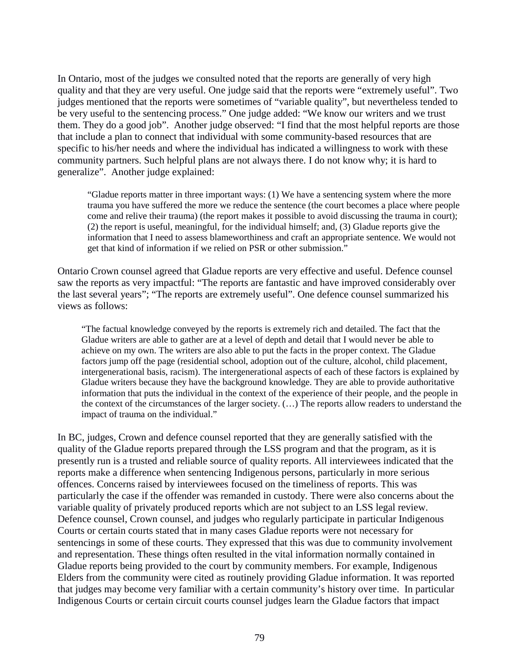In Ontario, most of the judges we consulted noted that the reports are generally of very high quality and that they are very useful. One judge said that the reports were "extremely useful". Two judges mentioned that the reports were sometimes of "variable quality", but nevertheless tended to be very useful to the sentencing process." One judge added: "We know our writers and we trust them. They do a good job". Another judge observed: "I find that the most helpful reports are those that include a plan to connect that individual with some community-based resources that are specific to his/her needs and where the individual has indicated a willingness to work with these community partners. Such helpful plans are not always there. I do not know why; it is hard to generalize". Another judge explained:

"Gladue reports matter in three important ways: (1) We have a sentencing system where the more trauma you have suffered the more we reduce the sentence (the court becomes a place where people come and relive their trauma) (the report makes it possible to avoid discussing the trauma in court); (2) the report is useful, meaningful, for the individual himself; and, (3) Gladue reports give the information that I need to assess blameworthiness and craft an appropriate sentence. We would not get that kind of information if we relied on PSR or other submission."

Ontario Crown counsel agreed that Gladue reports are very effective and useful. Defence counsel saw the reports as very impactful: "The reports are fantastic and have improved considerably over the last several years"; "The reports are extremely useful". One defence counsel summarized his views as follows:

"The factual knowledge conveyed by the reports is extremely rich and detailed. The fact that the Gladue writers are able to gather are at a level of depth and detail that I would never be able to achieve on my own. The writers are also able to put the facts in the proper context. The Gladue factors jump off the page (residential school, adoption out of the culture, alcohol, child placement, intergenerational basis, racism). The intergenerational aspects of each of these factors is explained by Gladue writers because they have the background knowledge. They are able to provide authoritative information that puts the individual in the context of the experience of their people, and the people in the context of the circumstances of the larger society. (…) The reports allow readers to understand the impact of trauma on the individual."

In BC, judges, Crown and defence counsel reported that they are generally satisfied with the quality of the Gladue reports prepared through the LSS program and that the program, as it is presently run is a trusted and reliable source of quality reports. All interviewees indicated that the reports make a difference when sentencing Indigenous persons, particularly in more serious offences. Concerns raised by interviewees focused on the timeliness of reports. This was particularly the case if the offender was remanded in custody. There were also concerns about the variable quality of privately produced reports which are not subject to an LSS legal review. Defence counsel, Crown counsel, and judges who regularly participate in particular Indigenous Courts or certain courts stated that in many cases Gladue reports were not necessary for sentencings in some of these courts. They expressed that this was due to community involvement and representation. These things often resulted in the vital information normally contained in Gladue reports being provided to the court by community members. For example, Indigenous Elders from the community were cited as routinely providing Gladue information. It was reported that judges may become very familiar with a certain community's history over time. In particular Indigenous Courts or certain circuit courts counsel judges learn the Gladue factors that impact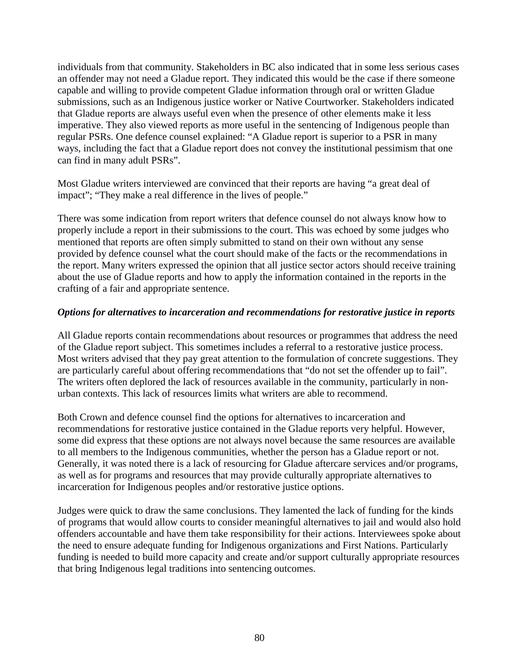individuals from that community. Stakeholders in BC also indicated that in some less serious cases an offender may not need a Gladue report. They indicated this would be the case if there someone capable and willing to provide competent Gladue information through oral or written Gladue submissions, such as an Indigenous justice worker or Native Courtworker. Stakeholders indicated that Gladue reports are always useful even when the presence of other elements make it less imperative. They also viewed reports as more useful in the sentencing of Indigenous people than regular PSRs. One defence counsel explained: "A Gladue report is superior to a PSR in many ways, including the fact that a Gladue report does not convey the institutional pessimism that one can find in many adult PSRs".

Most Gladue writers interviewed are convinced that their reports are having "a great deal of impact"; "They make a real difference in the lives of people."

There was some indication from report writers that defence counsel do not always know how to properly include a report in their submissions to the court. This was echoed by some judges who mentioned that reports are often simply submitted to stand on their own without any sense provided by defence counsel what the court should make of the facts or the recommendations in the report. Many writers expressed the opinion that all justice sector actors should receive training about the use of Gladue reports and how to apply the information contained in the reports in the crafting of a fair and appropriate sentence.

## *Options for alternatives to incarceration and recommendations for restorative justice in reports*

All Gladue reports contain recommendations about resources or programmes that address the need of the Gladue report subject. This sometimes includes a referral to a restorative justice process. Most writers advised that they pay great attention to the formulation of concrete suggestions. They are particularly careful about offering recommendations that "do not set the offender up to fail". The writers often deplored the lack of resources available in the community, particularly in nonurban contexts. This lack of resources limits what writers are able to recommend.

Both Crown and defence counsel find the options for alternatives to incarceration and recommendations for restorative justice contained in the Gladue reports very helpful. However, some did express that these options are not always novel because the same resources are available to all members to the Indigenous communities, whether the person has a Gladue report or not. Generally, it was noted there is a lack of resourcing for Gladue aftercare services and/or programs, as well as for programs and resources that may provide culturally appropriate alternatives to incarceration for Indigenous peoples and/or restorative justice options.

Judges were quick to draw the same conclusions. They lamented the lack of funding for the kinds of programs that would allow courts to consider meaningful alternatives to jail and would also hold offenders accountable and have them take responsibility for their actions. Interviewees spoke about the need to ensure adequate funding for Indigenous organizations and First Nations. Particularly funding is needed to build more capacity and create and/or support culturally appropriate resources that bring Indigenous legal traditions into sentencing outcomes.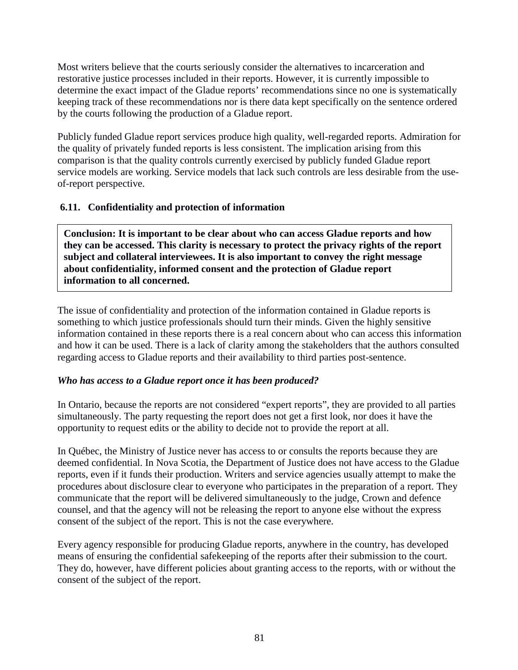Most writers believe that the courts seriously consider the alternatives to incarceration and restorative justice processes included in their reports. However, it is currently impossible to determine the exact impact of the Gladue reports' recommendations since no one is systematically keeping track of these recommendations nor is there data kept specifically on the sentence ordered by the courts following the production of a Gladue report.

Publicly funded Gladue report services produce high quality, well-regarded reports. Admiration for the quality of privately funded reports is less consistent. The implication arising from this comparison is that the quality controls currently exercised by publicly funded Gladue report service models are working. Service models that lack such controls are less desirable from the useof-report perspective.

# **6.11. Confidentiality and protection of information**

**Conclusion: It is important to be clear about who can access Gladue reports and how they can be accessed. This clarity is necessary to protect the privacy rights of the report subject and collateral interviewees. It is also important to convey the right message about confidentiality, informed consent and the protection of Gladue report information to all concerned.** 

The issue of confidentiality and protection of the information contained in Gladue reports is something to which justice professionals should turn their minds. Given the highly sensitive information contained in these reports there is a real concern about who can access this information and how it can be used. There is a lack of clarity among the stakeholders that the authors consulted regarding access to Gladue reports and their availability to third parties post-sentence.

## *Who has access to a Gladue report once it has been produced?*

In Ontario, because the reports are not considered "expert reports", they are provided to all parties simultaneously. The party requesting the report does not get a first look, nor does it have the opportunity to request edits or the ability to decide not to provide the report at all.

In Québec, the Ministry of Justice never has access to or consults the reports because they are deemed confidential. In Nova Scotia, the Department of Justice does not have access to the Gladue reports, even if it funds their production. Writers and service agencies usually attempt to make the procedures about disclosure clear to everyone who participates in the preparation of a report. They communicate that the report will be delivered simultaneously to the judge, Crown and defence counsel, and that the agency will not be releasing the report to anyone else without the express consent of the subject of the report. This is not the case everywhere.

Every agency responsible for producing Gladue reports, anywhere in the country, has developed means of ensuring the confidential safekeeping of the reports after their submission to the court. They do, however, have different policies about granting access to the reports, with or without the consent of the subject of the report.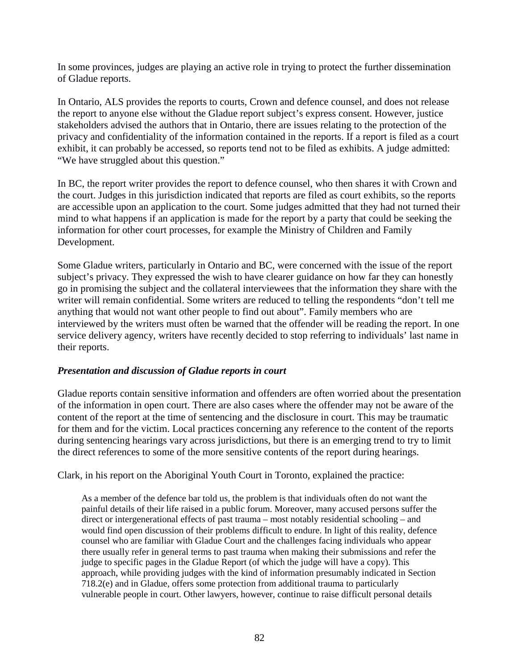In some provinces, judges are playing an active role in trying to protect the further dissemination of Gladue reports.

In Ontario, ALS provides the reports to courts, Crown and defence counsel, and does not release the report to anyone else without the Gladue report subject's express consent. However, justice stakeholders advised the authors that in Ontario, there are issues relating to the protection of the privacy and confidentiality of the information contained in the reports. If a report is filed as a court exhibit, it can probably be accessed, so reports tend not to be filed as exhibits. A judge admitted: "We have struggled about this question."

In BC, the report writer provides the report to defence counsel, who then shares it with Crown and the court. Judges in this jurisdiction indicated that reports are filed as court exhibits, so the reports are accessible upon an application to the court. Some judges admitted that they had not turned their mind to what happens if an application is made for the report by a party that could be seeking the information for other court processes, for example the Ministry of Children and Family Development.

Some Gladue writers, particularly in Ontario and BC, were concerned with the issue of the report subject's privacy. They expressed the wish to have clearer guidance on how far they can honestly go in promising the subject and the collateral interviewees that the information they share with the writer will remain confidential. Some writers are reduced to telling the respondents "don't tell me anything that would not want other people to find out about". Family members who are interviewed by the writers must often be warned that the offender will be reading the report. In one service delivery agency, writers have recently decided to stop referring to individuals' last name in their reports.

## *Presentation and discussion of Gladue reports in court*

Gladue reports contain sensitive information and offenders are often worried about the presentation of the information in open court. There are also cases where the offender may not be aware of the content of the report at the time of sentencing and the disclosure in court. This may be traumatic for them and for the victim. Local practices concerning any reference to the content of the reports during sentencing hearings vary across jurisdictions, but there is an emerging trend to try to limit the direct references to some of the more sensitive contents of the report during hearings.

Clark, in his report on the Aboriginal Youth Court in Toronto, explained the practice:

As a member of the defence bar told us, the problem is that individuals often do not want the painful details of their life raised in a public forum. Moreover, many accused persons suffer the direct or intergenerational effects of past trauma – most notably residential schooling – and would find open discussion of their problems difficult to endure. In light of this reality, defence counsel who are familiar with Gladue Court and the challenges facing individuals who appear there usually refer in general terms to past trauma when making their submissions and refer the judge to specific pages in the Gladue Report (of which the judge will have a copy). This approach, while providing judges with the kind of information presumably indicated in Section 718.2(e) and in Gladue, offers some protection from additional trauma to particularly vulnerable people in court. Other lawyers, however, continue to raise difficult personal details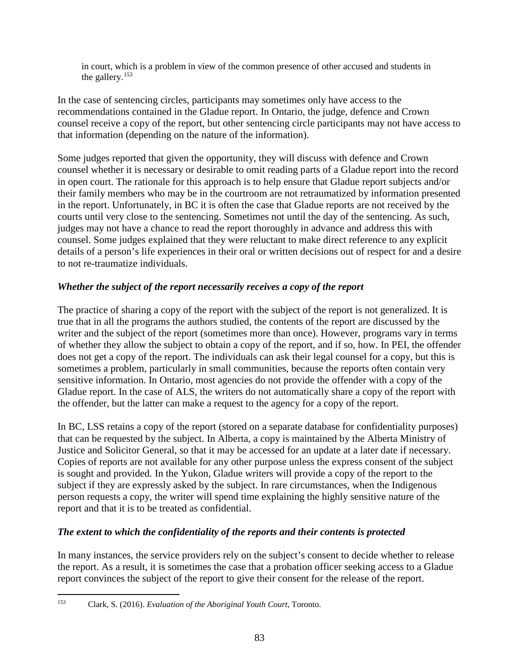in court, which is a problem in view of the common presence of other accused and students in the gallery.[153](#page-83-0)

In the case of sentencing circles, participants may sometimes only have access to the recommendations contained in the Gladue report. In Ontario, the judge, defence and Crown counsel receive a copy of the report, but other sentencing circle participants may not have access to that information (depending on the nature of the information).

Some judges reported that given the opportunity, they will discuss with defence and Crown counsel whether it is necessary or desirable to omit reading parts of a Gladue report into the record in open court. The rationale for this approach is to help ensure that Gladue report subjects and/or their family members who may be in the courtroom are not retraumatized by information presented in the report. Unfortunately, in BC it is often the case that Gladue reports are not received by the courts until very close to the sentencing. Sometimes not until the day of the sentencing. As such, judges may not have a chance to read the report thoroughly in advance and address this with counsel. Some judges explained that they were reluctant to make direct reference to any explicit details of a person's life experiences in their oral or written decisions out of respect for and a desire to not re-traumatize individuals.

# *Whether the subject of the report necessarily receives a copy of the report*

The practice of sharing a copy of the report with the subject of the report is not generalized. It is true that in all the programs the authors studied, the contents of the report are discussed by the writer and the subject of the report (sometimes more than once). However, programs vary in terms of whether they allow the subject to obtain a copy of the report, and if so, how. In PEI, the offender does not get a copy of the report. The individuals can ask their legal counsel for a copy, but this is sometimes a problem, particularly in small communities, because the reports often contain very sensitive information. In Ontario, most agencies do not provide the offender with a copy of the Gladue report. In the case of ALS, the writers do not automatically share a copy of the report with the offender, but the latter can make a request to the agency for a copy of the report.

In BC, LSS retains a copy of the report (stored on a separate database for confidentiality purposes) that can be requested by the subject. In Alberta, a copy is maintained by the Alberta Ministry of Justice and Solicitor General, so that it may be accessed for an update at a later date if necessary. Copies of reports are not available for any other purpose unless the express consent of the subject is sought and provided. In the Yukon, Gladue writers will provide a copy of the report to the subject if they are expressly asked by the subject. In rare circumstances, when the Indigenous person requests a copy, the writer will spend time explaining the highly sensitive nature of the report and that it is to be treated as confidential.

# *The extent to which the confidentiality of the reports and their contents is protected*

In many instances, the service providers rely on the subject's consent to decide whether to release the report. As a result, it is sometimes the case that a probation officer seeking access to a Gladue report convinces the subject of the report to give their consent for the release of the report.

<span id="page-83-0"></span> <sup>153</sup> Clark, S. (2016). *Evaluation of the Aboriginal Youth Court*, Toronto.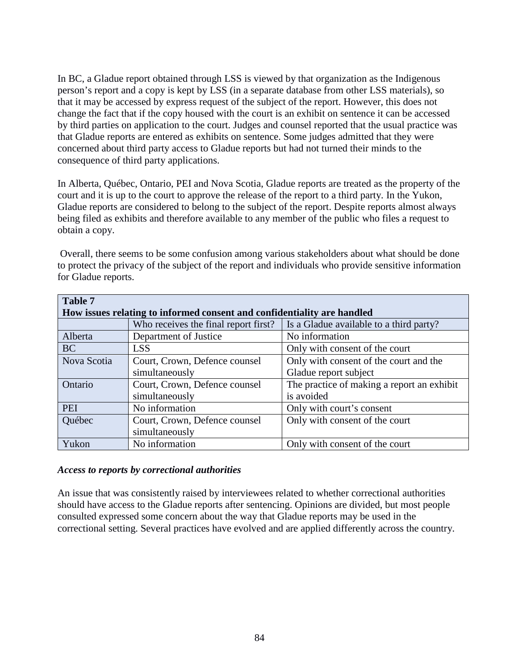In BC, a Gladue report obtained through LSS is viewed by that organization as the Indigenous person's report and a copy is kept by LSS (in a separate database from other LSS materials), so that it may be accessed by express request of the subject of the report. However, this does not change the fact that if the copy housed with the court is an exhibit on sentence it can be accessed by third parties on application to the court. Judges and counsel reported that the usual practice was that Gladue reports are entered as exhibits on sentence. Some judges admitted that they were concerned about third party access to Gladue reports but had not turned their minds to the consequence of third party applications.

In Alberta, Québec, Ontario, PEI and Nova Scotia, Gladue reports are treated as the property of the court and it is up to the court to approve the release of the report to a third party. In the Yukon, Gladue reports are considered to belong to the subject of the report. Despite reports almost always being filed as exhibits and therefore available to any member of the public who files a request to obtain a copy.

Overall, there seems to be some confusion among various stakeholders about what should be done to protect the privacy of the subject of the report and individuals who provide sensitive information for Gladue reports.

| <b>Table 7</b>                                                          |                                      |                                            |
|-------------------------------------------------------------------------|--------------------------------------|--------------------------------------------|
| How issues relating to informed consent and confidentiality are handled |                                      |                                            |
|                                                                         | Who receives the final report first? | Is a Gladue available to a third party?    |
| Alberta                                                                 | Department of Justice                | No information                             |
| <b>BC</b>                                                               | <b>LSS</b>                           | Only with consent of the court             |
| Nova Scotia                                                             | Court, Crown, Defence counsel        | Only with consent of the court and the     |
|                                                                         | simultaneously                       | Gladue report subject                      |
| Ontario                                                                 | Court, Crown, Defence counsel        | The practice of making a report an exhibit |
|                                                                         | simultaneously                       | is avoided                                 |
| <b>PEI</b>                                                              | No information                       | Only with court's consent                  |
| Québec                                                                  | Court, Crown, Defence counsel        | Only with consent of the court             |
|                                                                         | simultaneously                       |                                            |
| Yukon                                                                   | No information                       | Only with consent of the court             |

#### *Access to reports by correctional authorities*

An issue that was consistently raised by interviewees related to whether correctional authorities should have access to the Gladue reports after sentencing. Opinions are divided, but most people consulted expressed some concern about the way that Gladue reports may be used in the correctional setting. Several practices have evolved and are applied differently across the country.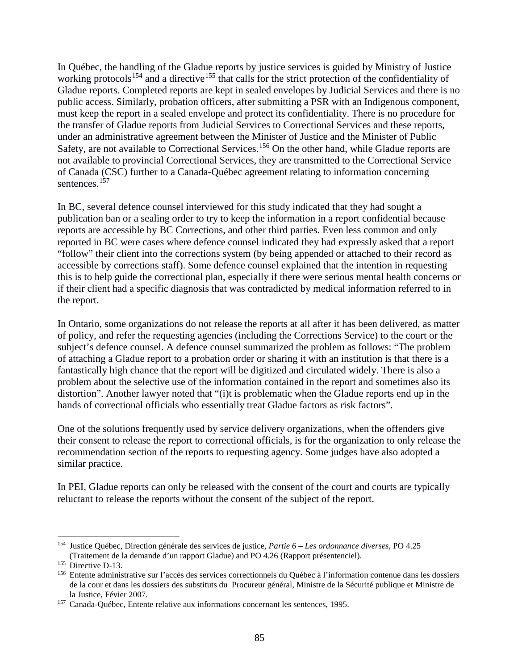In Québec, the handling of the Gladue reports by justice services is guided by Ministry of Justice working protocols<sup>[154](#page-85-0)</sup> and a directive<sup>[155](#page-85-1)</sup> that calls for the strict protection of the confidentiality of Gladue reports. Completed reports are kept in sealed envelopes by Judicial Services and there is no public access. Similarly, probation officers, after submitting a PSR with an Indigenous component, must keep the report in a sealed envelope and protect its confidentiality. There is no procedure for the transfer of Gladue reports from Judicial Services to Correctional Services and these reports, under an administrative agreement between the Minister of Justice and the Minister of Public Safety, are not available to Correctional Services.<sup>[156](#page-85-2)</sup> On the other hand, while Gladue reports are not available to provincial Correctional Services, they are transmitted to the Correctional Service of Canada (CSC) further to a Canada-Québec agreement relating to information concerning sentences.<sup>[157](#page-85-3)</sup>

In BC, several defence counsel interviewed for this study indicated that they had sought a publication ban or a sealing order to try to keep the information in a report confidential because reports are accessible by BC Corrections, and other third parties. Even less common and only reported in BC were cases where defence counsel indicated they had expressly asked that a report "follow" their client into the corrections system (by being appended or attached to their record as accessible by corrections staff). Some defence counsel explained that the intention in requesting this is to help guide the correctional plan, especially if there were serious mental health concerns or if their client had a specific diagnosis that was contradicted by medical information referred to in the report.

In Ontario, some organizations do not release the reports at all after it has been delivered, as matter of policy, and refer the requesting agencies (including the Corrections Service) to the court or the subject's defence counsel. A defence counsel summarized the problem as follows: "The problem of attaching a Gladue report to a probation order or sharing it with an institution is that there is a fantastically high chance that the report will be digitized and circulated widely. There is also a problem about the selective use of the information contained in the report and sometimes also its distortion". Another lawyer noted that "(i)t is problematic when the Gladue reports end up in the hands of correctional officials who essentially treat Gladue factors as risk factors".

One of the solutions frequently used by service delivery organizations, when the offenders give their consent to release the report to correctional officials, is for the organization to only release the recommendation section of the reports to requesting agency. Some judges have also adopted a similar practice.

In PEI, Gladue reports can only be released with the consent of the court and courts are typically reluctant to release the reports without the consent of the subject of the report.

<span id="page-85-0"></span> <sup>154</sup> Justice Québec, Direction générale des services de justice, *Partie 6 – Les ordonnance diverses*, PO 4.25 (Traitement de la demande d'un rapport Gladue) and PO 4.26 (Rapport présentenciel).

<span id="page-85-1"></span><sup>&</sup>lt;sup>155</sup> Directive D-13.

<span id="page-85-2"></span><sup>156</sup> Entente administrative sur l'accès des services correctionnels du Québec à l'information contenue dans les dossiers de la cour et dans les dossiers des substituts du Procureur général, Ministre de la Sécurité publique et Ministre de la Justice, Févier 2007.

<span id="page-85-3"></span><sup>157</sup> Canada-Québec, Entente relative aux informations concernant les sentences, 1995.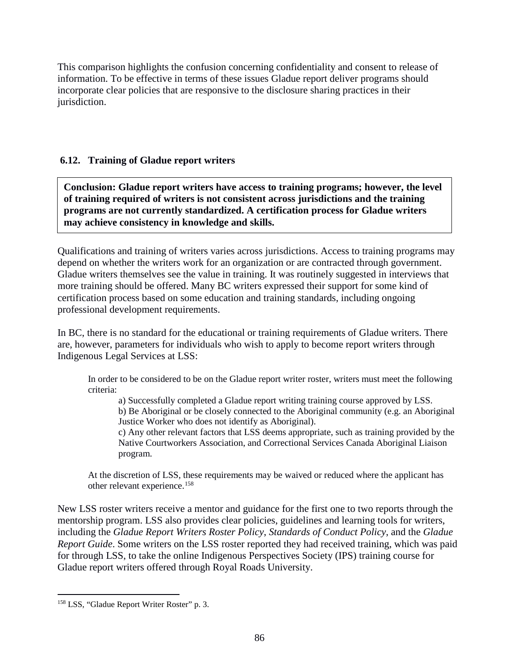This comparison highlights the confusion concerning confidentiality and consent to release of information. To be effective in terms of these issues Gladue report deliver programs should incorporate clear policies that are responsive to the disclosure sharing practices in their jurisdiction.

# **6.12. Training of Gladue report writers**

**Conclusion: Gladue report writers have access to training programs; however, the level of training required of writers is not consistent across jurisdictions and the training programs are not currently standardized. A certification process for Gladue writers may achieve consistency in knowledge and skills.**

Qualifications and training of writers varies across jurisdictions. Access to training programs may depend on whether the writers work for an organization or are contracted through government. Gladue writers themselves see the value in training. It was routinely suggested in interviews that more training should be offered. Many BC writers expressed their support for some kind of certification process based on some education and training standards, including ongoing professional development requirements.

In BC, there is no standard for the educational or training requirements of Gladue writers. There are, however, parameters for individuals who wish to apply to become report writers through Indigenous Legal Services at LSS:

In order to be considered to be on the Gladue report writer roster, writers must meet the following criteria:

a) Successfully completed a Gladue report writing training course approved by LSS. b) Be Aboriginal or be closely connected to the Aboriginal community (e.g. an Aboriginal Justice Worker who does not identify as Aboriginal).

c) Any other relevant factors that LSS deems appropriate, such as training provided by the Native Courtworkers Association, and Correctional Services Canada Aboriginal Liaison program.

At the discretion of LSS, these requirements may be waived or reduced where the applicant has other relevant experience.[158](#page-86-0)

New LSS roster writers receive a mentor and guidance for the first one to two reports through the mentorship program. LSS also provides clear policies, guidelines and learning tools for writers, including the *Gladue Report Writers Roster Policy*, *Standards of Conduct Policy*, and the *Gladue Report Guide*. Some writers on the LSS roster reported they had received training, which was paid for through LSS, to take the online Indigenous Perspectives Society (IPS) training course for Gladue report writers offered through Royal Roads University.

<span id="page-86-0"></span><sup>&</sup>lt;sup>158</sup> LSS, "Gladue Report Writer Roster" p. 3.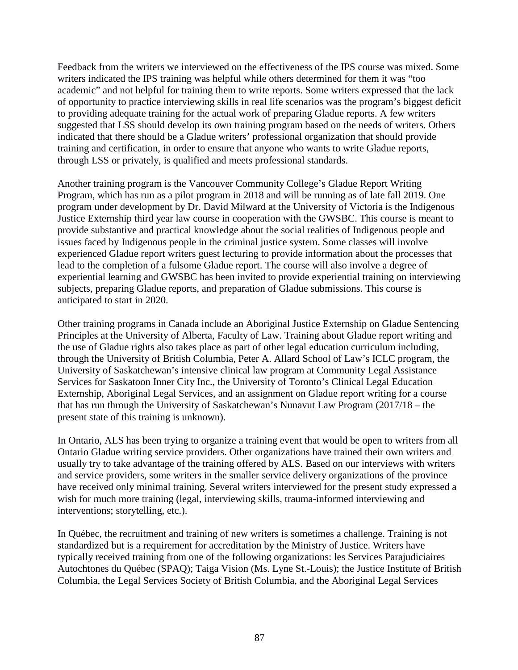Feedback from the writers we interviewed on the effectiveness of the IPS course was mixed. Some writers indicated the IPS training was helpful while others determined for them it was "too academic" and not helpful for training them to write reports. Some writers expressed that the lack of opportunity to practice interviewing skills in real life scenarios was the program's biggest deficit to providing adequate training for the actual work of preparing Gladue reports. A few writers suggested that LSS should develop its own training program based on the needs of writers. Others indicated that there should be a Gladue writers' professional organization that should provide training and certification, in order to ensure that anyone who wants to write Gladue reports, through LSS or privately, is qualified and meets professional standards.

Another training program is the Vancouver Community College's Gladue Report Writing Program, which has run as a pilot program in 2018 and will be running as of late fall 2019. One program under development by Dr. David Milward at the University of Victoria is the Indigenous Justice Externship third year law course in cooperation with the GWSBC. This course is meant to provide substantive and practical knowledge about the social realities of Indigenous people and issues faced by Indigenous people in the criminal justice system. Some classes will involve experienced Gladue report writers guest lecturing to provide information about the processes that lead to the completion of a fulsome Gladue report. The course will also involve a degree of experiential learning and GWSBC has been invited to provide experiential training on interviewing subjects, preparing Gladue reports, and preparation of Gladue submissions. This course is anticipated to start in 2020.

Other training programs in Canada include an Aboriginal Justice Externship on Gladue Sentencing Principles at the University of Alberta, Faculty of Law. Training about Gladue report writing and the use of Gladue rights also takes place as part of other legal education curriculum including, through the University of British Columbia, Peter A. Allard School of Law's ICLC program, the University of Saskatchewan's intensive clinical law program at Community Legal Assistance Services for Saskatoon Inner City Inc., the University of Toronto's Clinical Legal Education Externship, Aboriginal Legal Services, and an assignment on Gladue report writing for a course that has run through the University of Saskatchewan's Nunavut Law Program (2017/18 – the present state of this training is unknown).

In Ontario, ALS has been trying to organize a training event that would be open to writers from all Ontario Gladue writing service providers. Other organizations have trained their own writers and usually try to take advantage of the training offered by ALS. Based on our interviews with writers and service providers, some writers in the smaller service delivery organizations of the province have received only minimal training. Several writers interviewed for the present study expressed a wish for much more training (legal, interviewing skills, trauma-informed interviewing and interventions; storytelling, etc.).

In Québec, the recruitment and training of new writers is sometimes a challenge. Training is not standardized but is a requirement for accreditation by the Ministry of Justice. Writers have typically received training from one of the following organizations: les Services Parajudiciaires Autochtones du Québec (SPAQ); Taiga Vision (Ms. Lyne St.-Louis); the Justice Institute of British Columbia, the Legal Services Society of British Columbia, and the Aboriginal Legal Services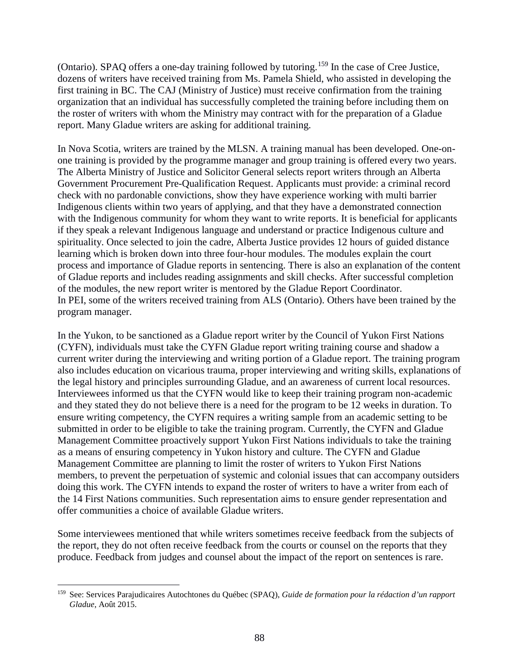(Ontario). SPAQ offers a one-day training followed by tutoring.[159](#page-88-0) In the case of Cree Justice, dozens of writers have received training from Ms. Pamela Shield, who assisted in developing the first training in BC. The CAJ (Ministry of Justice) must receive confirmation from the training organization that an individual has successfully completed the training before including them on the roster of writers with whom the Ministry may contract with for the preparation of a Gladue report. Many Gladue writers are asking for additional training.

In Nova Scotia, writers are trained by the MLSN. A training manual has been developed. One-onone training is provided by the programme manager and group training is offered every two years. The Alberta Ministry of Justice and Solicitor General selects report writers through an Alberta Government Procurement Pre-Qualification Request. Applicants must provide: a criminal record check with no pardonable convictions, show they have experience working with multi barrier Indigenous clients within two years of applying, and that they have a demonstrated connection with the Indigenous community for whom they want to write reports. It is beneficial for applicants if they speak a relevant Indigenous language and understand or practice Indigenous culture and spirituality. Once selected to join the cadre, Alberta Justice provides 12 hours of guided distance learning which is broken down into three four-hour modules. The modules explain the court process and importance of Gladue reports in sentencing. There is also an explanation of the content of Gladue reports and includes reading assignments and skill checks. After successful completion of the modules, the new report writer is mentored by the Gladue Report Coordinator. In PEI, some of the writers received training from ALS (Ontario). Others have been trained by the program manager.

In the Yukon, to be sanctioned as a Gladue report writer by the Council of Yukon First Nations (CYFN), individuals must take the CYFN Gladue report writing training course and shadow a current writer during the interviewing and writing portion of a Gladue report. The training program also includes education on vicarious trauma, proper interviewing and writing skills, explanations of the legal history and principles surrounding Gladue, and an awareness of current local resources. Interviewees informed us that the CYFN would like to keep their training program non-academic and they stated they do not believe there is a need for the program to be 12 weeks in duration. To ensure writing competency, the CYFN requires a writing sample from an academic setting to be submitted in order to be eligible to take the training program. Currently, the CYFN and Gladue Management Committee proactively support Yukon First Nations individuals to take the training as a means of ensuring competency in Yukon history and culture. The CYFN and Gladue Management Committee are planning to limit the roster of writers to Yukon First Nations members, to prevent the perpetuation of systemic and colonial issues that can accompany outsiders doing this work. The CYFN intends to expand the roster of writers to have a writer from each of the 14 First Nations communities. Such representation aims to ensure gender representation and offer communities a choice of available Gladue writers.

Some interviewees mentioned that while writers sometimes receive feedback from the subjects of the report, they do not often receive feedback from the courts or counsel on the reports that they produce. Feedback from judges and counsel about the impact of the report on sentences is rare.

<span id="page-88-0"></span> <sup>159</sup> See: Services Parajudicaires Autochtones du Québec (SPAQ), *Guide de formation pour la rédaction d'un rapport Gladue*, Août 2015.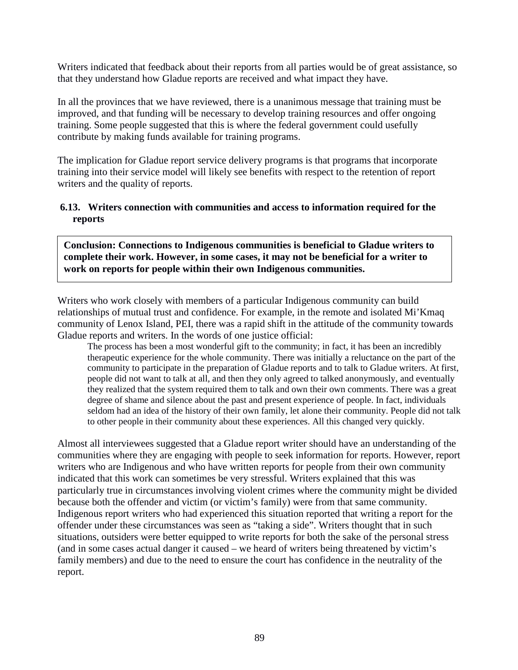Writers indicated that feedback about their reports from all parties would be of great assistance, so that they understand how Gladue reports are received and what impact they have.

In all the provinces that we have reviewed, there is a unanimous message that training must be improved, and that funding will be necessary to develop training resources and offer ongoing training. Some people suggested that this is where the federal government could usefully contribute by making funds available for training programs.

The implication for Gladue report service delivery programs is that programs that incorporate training into their service model will likely see benefits with respect to the retention of report writers and the quality of reports.

#### **6.13. Writers connection with communities and access to information required for the reports**

**Conclusion: Connections to Indigenous communities is beneficial to Gladue writers to complete their work. However, in some cases, it may not be beneficial for a writer to work on reports for people within their own Indigenous communities.**

Writers who work closely with members of a particular Indigenous community can build relationships of mutual trust and confidence. For example, in the remote and isolated Mi'Kmaq community of Lenox Island, PEI, there was a rapid shift in the attitude of the community towards Gladue reports and writers. In the words of one justice official:

The process has been a most wonderful gift to the community; in fact, it has been an incredibly therapeutic experience for the whole community. There was initially a reluctance on the part of the community to participate in the preparation of Gladue reports and to talk to Gladue writers. At first, people did not want to talk at all, and then they only agreed to talked anonymously, and eventually they realized that the system required them to talk and own their own comments. There was a great degree of shame and silence about the past and present experience of people. In fact, individuals seldom had an idea of the history of their own family, let alone their community. People did not talk to other people in their community about these experiences. All this changed very quickly.

Almost all interviewees suggested that a Gladue report writer should have an understanding of the communities where they are engaging with people to seek information for reports. However, report writers who are Indigenous and who have written reports for people from their own community indicated that this work can sometimes be very stressful. Writers explained that this was particularly true in circumstances involving violent crimes where the community might be divided because both the offender and victim (or victim's family) were from that same community. Indigenous report writers who had experienced this situation reported that writing a report for the offender under these circumstances was seen as "taking a side". Writers thought that in such situations, outsiders were better equipped to write reports for both the sake of the personal stress (and in some cases actual danger it caused – we heard of writers being threatened by victim's family members) and due to the need to ensure the court has confidence in the neutrality of the report.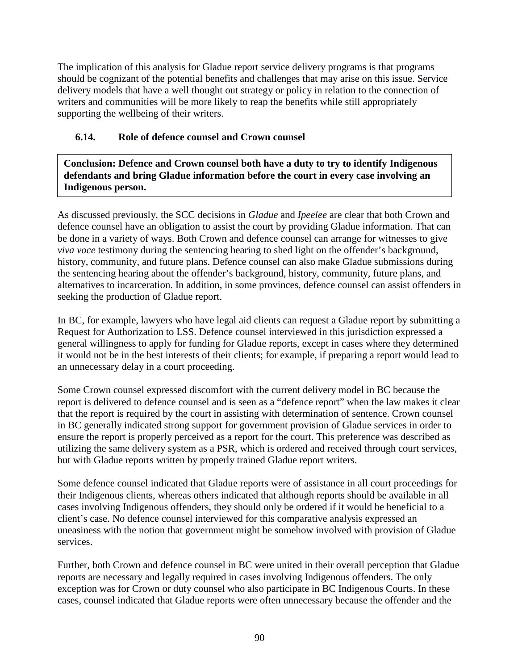The implication of this analysis for Gladue report service delivery programs is that programs should be cognizant of the potential benefits and challenges that may arise on this issue. Service delivery models that have a well thought out strategy or policy in relation to the connection of writers and communities will be more likely to reap the benefits while still appropriately supporting the wellbeing of their writers.

# **6.14. Role of defence counsel and Crown counsel**

**Conclusion: Defence and Crown counsel both have a duty to try to identify Indigenous defendants and bring Gladue information before the court in every case involving an Indigenous person.** 

As discussed previously, the SCC decisions in *Gladue* and *Ipeelee* are clear that both Crown and defence counsel have an obligation to assist the court by providing Gladue information. That can be done in a variety of ways. Both Crown and defence counsel can arrange for witnesses to give *viva voce* testimony during the sentencing hearing to shed light on the offender's background, history, community, and future plans. Defence counsel can also make Gladue submissions during the sentencing hearing about the offender's background, history, community, future plans, and alternatives to incarceration. In addition, in some provinces, defence counsel can assist offenders in seeking the production of Gladue report.

In BC, for example, lawyers who have legal aid clients can request a Gladue report by submitting a Request for Authorization to LSS. Defence counsel interviewed in this jurisdiction expressed a general willingness to apply for funding for Gladue reports, except in cases where they determined it would not be in the best interests of their clients; for example, if preparing a report would lead to an unnecessary delay in a court proceeding.

Some Crown counsel expressed discomfort with the current delivery model in BC because the report is delivered to defence counsel and is seen as a "defence report" when the law makes it clear that the report is required by the court in assisting with determination of sentence. Crown counsel in BC generally indicated strong support for government provision of Gladue services in order to ensure the report is properly perceived as a report for the court. This preference was described as utilizing the same delivery system as a PSR, which is ordered and received through court services, but with Gladue reports written by properly trained Gladue report writers.

Some defence counsel indicated that Gladue reports were of assistance in all court proceedings for their Indigenous clients, whereas others indicated that although reports should be available in all cases involving Indigenous offenders, they should only be ordered if it would be beneficial to a client's case. No defence counsel interviewed for this comparative analysis expressed an uneasiness with the notion that government might be somehow involved with provision of Gladue services.

Further, both Crown and defence counsel in BC were united in their overall perception that Gladue reports are necessary and legally required in cases involving Indigenous offenders. The only exception was for Crown or duty counsel who also participate in BC Indigenous Courts. In these cases, counsel indicated that Gladue reports were often unnecessary because the offender and the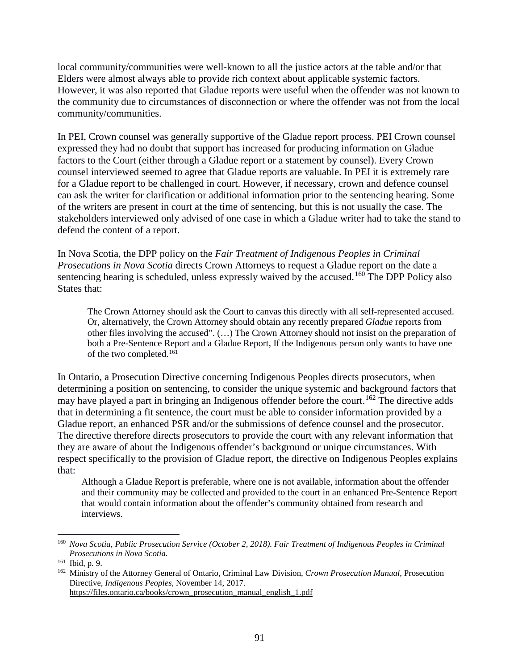local community/communities were well-known to all the justice actors at the table and/or that Elders were almost always able to provide rich context about applicable systemic factors. However, it was also reported that Gladue reports were useful when the offender was not known to the community due to circumstances of disconnection or where the offender was not from the local community/communities.

In PEI, Crown counsel was generally supportive of the Gladue report process. PEI Crown counsel expressed they had no doubt that support has increased for producing information on Gladue factors to the Court (either through a Gladue report or a statement by counsel). Every Crown counsel interviewed seemed to agree that Gladue reports are valuable. In PEI it is extremely rare for a Gladue report to be challenged in court. However, if necessary, crown and defence counsel can ask the writer for clarification or additional information prior to the sentencing hearing. Some of the writers are present in court at the time of sentencing, but this is not usually the case. The stakeholders interviewed only advised of one case in which a Gladue writer had to take the stand to defend the content of a report.

In Nova Scotia, the DPP policy on the *Fair Treatment of Indigenous Peoples in Criminal Prosecutions in Nova Scotia* directs Crown Attorneys to request a Gladue report on the date a sentencing hearing is scheduled, unless expressly waived by the accused.<sup>[160](#page-91-0)</sup> The DPP Policy also States that:

The Crown Attorney should ask the Court to canvas this directly with all self-represented accused. Or, alternatively, the Crown Attorney should obtain any recently prepared *Gladue* reports from other files involving the accused". (…) The Crown Attorney should not insist on the preparation of both a Pre-Sentence Report and a Gladue Report, If the Indigenous person only wants to have one of the two completed.<sup>[161](#page-91-1)</sup>

In Ontario, a Prosecution Directive concerning Indigenous Peoples directs prosecutors, when determining a position on sentencing, to consider the unique systemic and background factors that may have played a part in bringing an Indigenous offender before the court.<sup>[162](#page-91-2)</sup> The directive adds that in determining a fit sentence, the court must be able to consider information provided by a Gladue report, an enhanced PSR and/or the submissions of defence counsel and the prosecutor. The directive therefore directs prosecutors to provide the court with any relevant information that they are aware of about the Indigenous offender's background or unique circumstances. With respect specifically to the provision of Gladue report, the directive on Indigenous Peoples explains that:

Although a Gladue Report is preferable, where one is not available, information about the offender and their community may be collected and provided to the court in an enhanced Pre-Sentence Report that would contain information about the offender's community obtained from research and interviews.

<span id="page-91-0"></span> <sup>160</sup> *Nova Scotia, Public Prosecution Service (October 2, 2018). Fair Treatment of Indigenous Peoples in Criminal Prosecutions in Nova Scotia.*

<span id="page-91-2"></span><span id="page-91-1"></span><sup>&</sup>lt;sup>162</sup> Ministry of the Attorney General of Ontario, Criminal Law Division, *Crown Prosecution Manual*, Prosecution Directive, *Indigenous Peoples*, November 14, 2017. https://files.ontario.ca/books/crown\_prosecution\_manual\_english\_1.pdf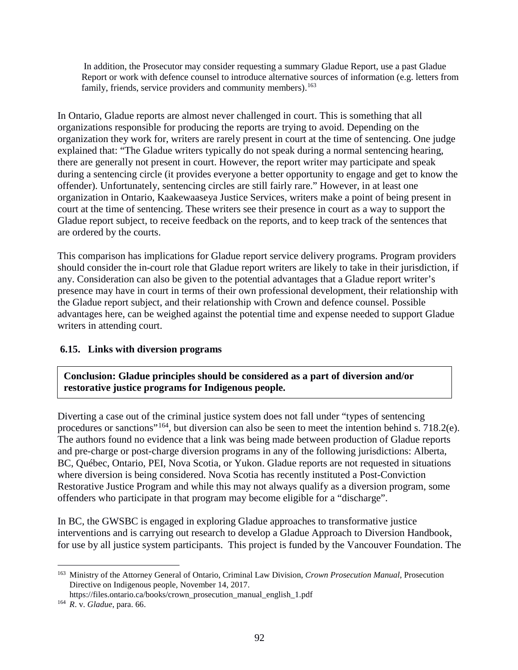In addition, the Prosecutor may consider requesting a summary Gladue Report, use a past Gladue Report or work with defence counsel to introduce alternative sources of information (e.g. letters from family, friends, service providers and community members).<sup>[163](#page-92-0)</sup>

In Ontario, Gladue reports are almost never challenged in court. This is something that all organizations responsible for producing the reports are trying to avoid. Depending on the organization they work for, writers are rarely present in court at the time of sentencing. One judge explained that: "The Gladue writers typically do not speak during a normal sentencing hearing, there are generally not present in court. However, the report writer may participate and speak during a sentencing circle (it provides everyone a better opportunity to engage and get to know the offender). Unfortunately, sentencing circles are still fairly rare." However, in at least one organization in Ontario, Kaakewaaseya Justice Services, writers make a point of being present in court at the time of sentencing. These writers see their presence in court as a way to support the Gladue report subject, to receive feedback on the reports, and to keep track of the sentences that are ordered by the courts.

This comparison has implications for Gladue report service delivery programs. Program providers should consider the in-court role that Gladue report writers are likely to take in their jurisdiction, if any. Consideration can also be given to the potential advantages that a Gladue report writer's presence may have in court in terms of their own professional development, their relationship with the Gladue report subject, and their relationship with Crown and defence counsel. Possible advantages here, can be weighed against the potential time and expense needed to support Gladue writers in attending court.

## **6.15. Links with diversion programs**

**Conclusion: Gladue principles should be considered as a part of diversion and/or restorative justice programs for Indigenous people.**

Diverting a case out of the criminal justice system does not fall under "types of sentencing procedures or sanctions"[164](#page-92-1), but diversion can also be seen to meet the intention behind s. 718.2(e). The authors found no evidence that a link was being made between production of Gladue reports and pre-charge or post-charge diversion programs in any of the following jurisdictions: Alberta, BC, Québec, Ontario, PEI, Nova Scotia, or Yukon. Gladue reports are not requested in situations where diversion is being considered. Nova Scotia has recently instituted a Post-Conviction Restorative Justice Program and while this may not always qualify as a diversion program, some offenders who participate in that program may become eligible for a "discharge".

In BC, the GWSBC is engaged in exploring Gladue approaches to transformative justice interventions and is carrying out research to develop a Gladue Approach to Diversion Handbook, for use by all justice system participants. This project is funded by the Vancouver Foundation. The

<span id="page-92-0"></span> <sup>163</sup> Ministry of the Attorney General of Ontario, Criminal Law Division, *Crown Prosecution Manual*, Prosecution Directive on Indigenous people, November 14, 2017.

https://files.ontario.ca/books/crown\_prosecution\_manual\_english\_1.pdf

<span id="page-92-1"></span><sup>164</sup> *R*. v. *Gladue*, para. 66.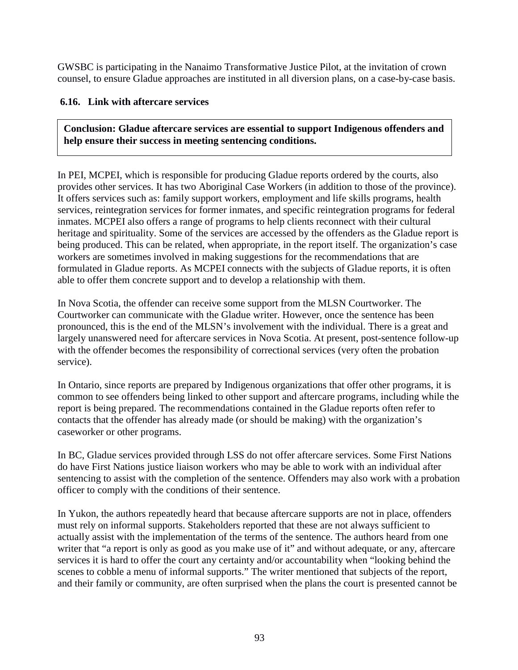GWSBC is participating in the Nanaimo Transformative Justice Pilot, at the invitation of crown counsel, to ensure Gladue approaches are instituted in all diversion plans, on a case-by-case basis.

## **6.16. Link with aftercare services**

**Conclusion: Gladue aftercare services are essential to support Indigenous offenders and help ensure their success in meeting sentencing conditions.**

In PEI, MCPEI, which is responsible for producing Gladue reports ordered by the courts, also provides other services. It has two Aboriginal Case Workers (in addition to those of the province). It offers services such as: family support workers, employment and life skills programs, health services, reintegration services for former inmates, and specific reintegration programs for federal inmates. MCPEI also offers a range of programs to help clients reconnect with their cultural heritage and spirituality. Some of the services are accessed by the offenders as the Gladue report is being produced. This can be related, when appropriate, in the report itself. The organization's case workers are sometimes involved in making suggestions for the recommendations that are formulated in Gladue reports. As MCPEI connects with the subjects of Gladue reports, it is often able to offer them concrete support and to develop a relationship with them.

In Nova Scotia, the offender can receive some support from the MLSN Courtworker. The Courtworker can communicate with the Gladue writer. However, once the sentence has been pronounced, this is the end of the MLSN's involvement with the individual. There is a great and largely unanswered need for aftercare services in Nova Scotia. At present, post-sentence follow-up with the offender becomes the responsibility of correctional services (very often the probation service).

In Ontario, since reports are prepared by Indigenous organizations that offer other programs, it is common to see offenders being linked to other support and aftercare programs, including while the report is being prepared. The recommendations contained in the Gladue reports often refer to contacts that the offender has already made (or should be making) with the organization's caseworker or other programs.

In BC, Gladue services provided through LSS do not offer aftercare services. Some First Nations do have First Nations justice liaison workers who may be able to work with an individual after sentencing to assist with the completion of the sentence. Offenders may also work with a probation officer to comply with the conditions of their sentence.

In Yukon, the authors repeatedly heard that because aftercare supports are not in place, offenders must rely on informal supports. Stakeholders reported that these are not always sufficient to actually assist with the implementation of the terms of the sentence. The authors heard from one writer that "a report is only as good as you make use of it" and without adequate, or any, aftercare services it is hard to offer the court any certainty and/or accountability when "looking behind the scenes to cobble a menu of informal supports." The writer mentioned that subjects of the report, and their family or community, are often surprised when the plans the court is presented cannot be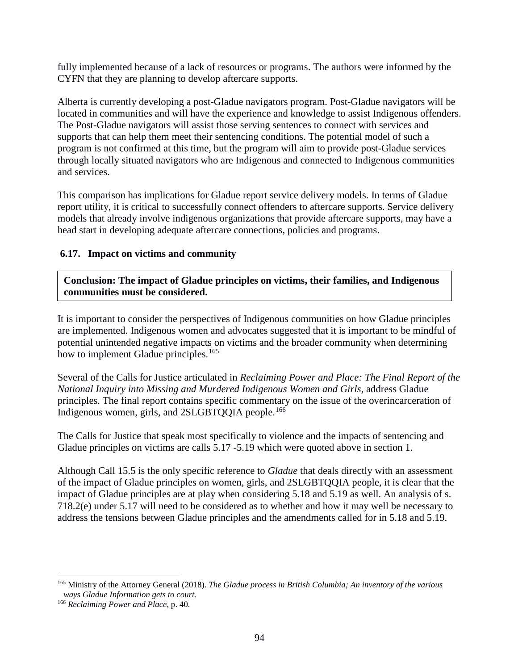fully implemented because of a lack of resources or programs. The authors were informed by the CYFN that they are planning to develop aftercare supports.

Alberta is currently developing a post-Gladue navigators program. Post-Gladue navigators will be located in communities and will have the experience and knowledge to assist Indigenous offenders. The Post-Gladue navigators will assist those serving sentences to connect with services and supports that can help them meet their sentencing conditions. The potential model of such a program is not confirmed at this time, but the program will aim to provide post-Gladue services through locally situated navigators who are Indigenous and connected to Indigenous communities and services.

This comparison has implications for Gladue report service delivery models. In terms of Gladue report utility, it is critical to successfully connect offenders to aftercare supports. Service delivery models that already involve indigenous organizations that provide aftercare supports, may have a head start in developing adequate aftercare connections, policies and programs.

## **6.17. Impact on victims and community**

**Conclusion: The impact of Gladue principles on victims, their families, and Indigenous communities must be considered.**

It is important to consider the perspectives of Indigenous communities on how Gladue principles are implemented. Indigenous women and advocates suggested that it is important to be mindful of potential unintended negative impacts on victims and the broader community when determining how to implement Gladue principles.<sup>[165](#page-94-0)</sup>

Several of the Calls for Justice articulated in *Reclaiming Power and Place: The Final Report of the National Inquiry into Missing and Murdered Indigenous Women and Girls*, address Gladue principles. The final report contains specific commentary on the issue of the overincarceration of Indigenous women, girls, and 2SLGBTQOIA people.<sup>[166](#page-94-1)</sup>

The Calls for Justice that speak most specifically to violence and the impacts of sentencing and Gladue principles on victims are calls 5.17 -5.19 which were quoted above in section 1.

Although Call 15.5 is the only specific reference to *Gladue* that deals directly with an assessment of the impact of Gladue principles on women, girls, and 2SLGBTQQIA people, it is clear that the impact of Gladue principles are at play when considering 5.18 and 5.19 as well. An analysis of s. 718.2(e) under 5.17 will need to be considered as to whether and how it may well be necessary to address the tensions between Gladue principles and the amendments called for in 5.18 and 5.19.

<span id="page-94-0"></span> <sup>165</sup> Ministry of the Attorney General (2018). *The Gladue process in British Columbia; An inventory of the various ways Gladue Information gets to court.*

<span id="page-94-1"></span><sup>166</sup> *Reclaiming Power and Place*, p. 40.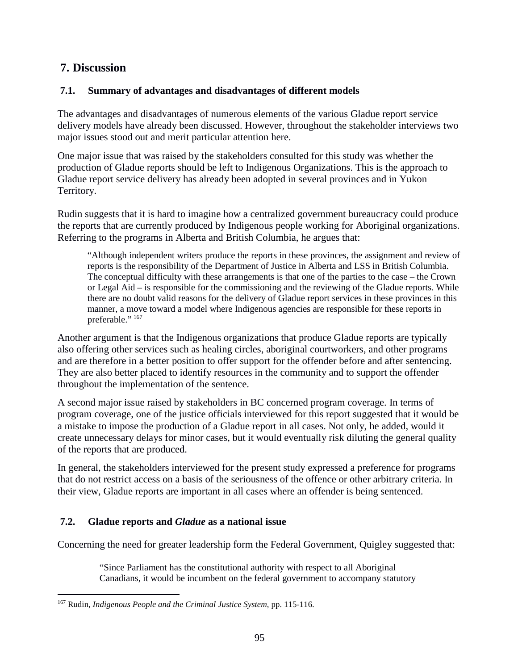# **7. Discussion**

## **7.1. Summary of advantages and disadvantages of different models**

The advantages and disadvantages of numerous elements of the various Gladue report service delivery models have already been discussed. However, throughout the stakeholder interviews two major issues stood out and merit particular attention here.

One major issue that was raised by the stakeholders consulted for this study was whether the production of Gladue reports should be left to Indigenous Organizations. This is the approach to Gladue report service delivery has already been adopted in several provinces and in Yukon Territory.

Rudin suggests that it is hard to imagine how a centralized government bureaucracy could produce the reports that are currently produced by Indigenous people working for Aboriginal organizations. Referring to the programs in Alberta and British Columbia, he argues that:

"Although independent writers produce the reports in these provinces, the assignment and review of reports is the responsibility of the Department of Justice in Alberta and LSS in British Columbia. The conceptual difficulty with these arrangements is that one of the parties to the case – the Crown or Legal Aid – is responsible for the commissioning and the reviewing of the Gladue reports. While there are no doubt valid reasons for the delivery of Gladue report services in these provinces in this manner, a move toward a model where Indigenous agencies are responsible for these reports in preferable." [167](#page-95-0)

Another argument is that the Indigenous organizations that produce Gladue reports are typically also offering other services such as healing circles, aboriginal courtworkers, and other programs and are therefore in a better position to offer support for the offender before and after sentencing. They are also better placed to identify resources in the community and to support the offender throughout the implementation of the sentence.

A second major issue raised by stakeholders in BC concerned program coverage. In terms of program coverage, one of the justice officials interviewed for this report suggested that it would be a mistake to impose the production of a Gladue report in all cases. Not only, he added, would it create unnecessary delays for minor cases, but it would eventually risk diluting the general quality of the reports that are produced.

In general, the stakeholders interviewed for the present study expressed a preference for programs that do not restrict access on a basis of the seriousness of the offence or other arbitrary criteria. In their view, Gladue reports are important in all cases where an offender is being sentenced.

# **7.2. Gladue reports and** *Gladue* **as a national issue**

Concerning the need for greater leadership form the Federal Government, Quigley suggested that:

"Since Parliament has the constitutional authority with respect to all Aboriginal Canadians, it would be incumbent on the federal government to accompany statutory

<span id="page-95-0"></span> <sup>167</sup> Rudin, *Indigenous People and the Criminal Justice System*, pp. 115-116.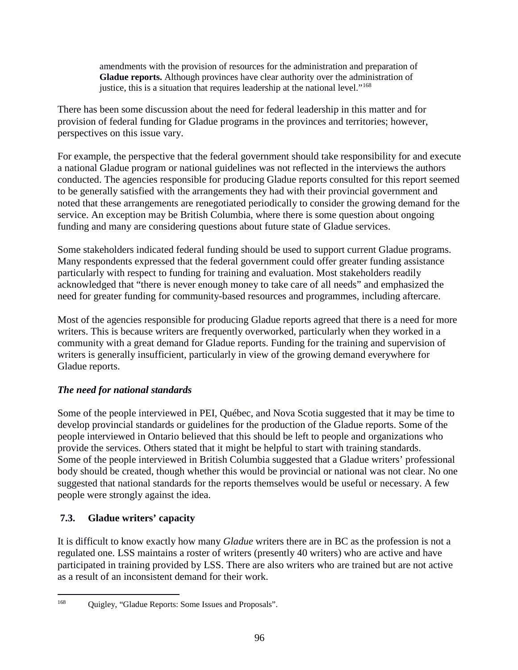amendments with the provision of resources for the administration and preparation of **Gladue reports.** Although provinces have clear authority over the administration of justice, this is a situation that requires leadership at the national level."<sup>[168](#page-96-0)</sup>

There has been some discussion about the need for federal leadership in this matter and for provision of federal funding for Gladue programs in the provinces and territories; however, perspectives on this issue vary.

For example, the perspective that the federal government should take responsibility for and execute a national Gladue program or national guidelines was not reflected in the interviews the authors conducted. The agencies responsible for producing Gladue reports consulted for this report seemed to be generally satisfied with the arrangements they had with their provincial government and noted that these arrangements are renegotiated periodically to consider the growing demand for the service. An exception may be British Columbia, where there is some question about ongoing funding and many are considering questions about future state of Gladue services.

Some stakeholders indicated federal funding should be used to support current Gladue programs. Many respondents expressed that the federal government could offer greater funding assistance particularly with respect to funding for training and evaluation. Most stakeholders readily acknowledged that "there is never enough money to take care of all needs" and emphasized the need for greater funding for community-based resources and programmes, including aftercare.

Most of the agencies responsible for producing Gladue reports agreed that there is a need for more writers. This is because writers are frequently overworked, particularly when they worked in a community with a great demand for Gladue reports. Funding for the training and supervision of writers is generally insufficient, particularly in view of the growing demand everywhere for Gladue reports.

# *The need for national standards*

Some of the people interviewed in PEI, Québec, and Nova Scotia suggested that it may be time to develop provincial standards or guidelines for the production of the Gladue reports. Some of the people interviewed in Ontario believed that this should be left to people and organizations who provide the services. Others stated that it might be helpful to start with training standards. Some of the people interviewed in British Columbia suggested that a Gladue writers' professional body should be created, though whether this would be provincial or national was not clear. No one suggested that national standards for the reports themselves would be useful or necessary. A few people were strongly against the idea.

# **7.3. Gladue writers' capacity**

It is difficult to know exactly how many *Gladue* writers there are in BC as the profession is not a regulated one. LSS maintains a roster of writers (presently 40 writers) who are active and have participated in training provided by LSS. There are also writers who are trained but are not active as a result of an inconsistent demand for their work.

<span id="page-96-0"></span> <sup>168</sup> Quigley, "Gladue Reports: Some Issues and Proposals".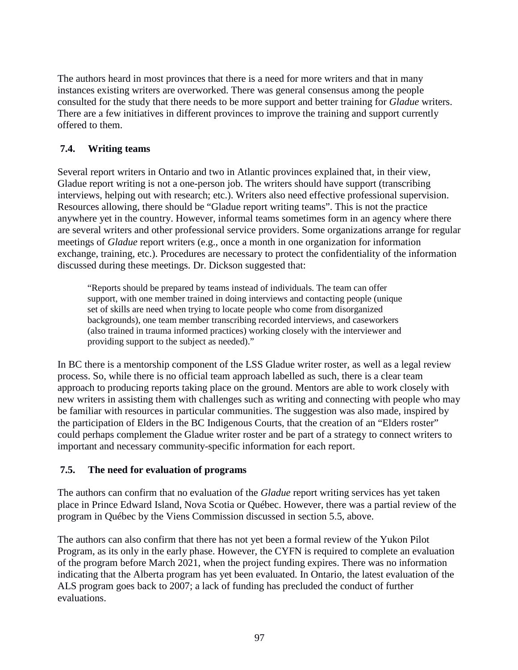The authors heard in most provinces that there is a need for more writers and that in many instances existing writers are overworked. There was general consensus among the people consulted for the study that there needs to be more support and better training for *Gladue* writers. There are a few initiatives in different provinces to improve the training and support currently offered to them.

# **7.4. Writing teams**

Several report writers in Ontario and two in Atlantic provinces explained that, in their view, Gladue report writing is not a one-person job. The writers should have support (transcribing interviews, helping out with research; etc.). Writers also need effective professional supervision. Resources allowing, there should be "Gladue report writing teams". This is not the practice anywhere yet in the country. However, informal teams sometimes form in an agency where there are several writers and other professional service providers. Some organizations arrange for regular meetings of *Gladue* report writers (e.g., once a month in one organization for information exchange, training, etc.). Procedures are necessary to protect the confidentiality of the information discussed during these meetings. Dr. Dickson suggested that:

"Reports should be prepared by teams instead of individuals. The team can offer support, with one member trained in doing interviews and contacting people (unique set of skills are need when trying to locate people who come from disorganized backgrounds), one team member transcribing recorded interviews, and caseworkers (also trained in trauma informed practices) working closely with the interviewer and providing support to the subject as needed)."

In BC there is a mentorship component of the LSS Gladue writer roster, as well as a legal review process. So, while there is no official team approach labelled as such, there is a clear team approach to producing reports taking place on the ground. Mentors are able to work closely with new writers in assisting them with challenges such as writing and connecting with people who may be familiar with resources in particular communities. The suggestion was also made, inspired by the participation of Elders in the BC Indigenous Courts, that the creation of an "Elders roster" could perhaps complement the Gladue writer roster and be part of a strategy to connect writers to important and necessary community-specific information for each report.

## **7.5. The need for evaluation of programs**

The authors can confirm that no evaluation of the *Gladue* report writing services has yet taken place in Prince Edward Island, Nova Scotia or Québec. However, there was a partial review of the program in Québec by the Viens Commission discussed in section 5.5, above.

The authors can also confirm that there has not yet been a formal review of the Yukon Pilot Program, as its only in the early phase. However, the CYFN is required to complete an evaluation of the program before March 2021, when the project funding expires. There was no information indicating that the Alberta program has yet been evaluated. In Ontario, the latest evaluation of the ALS program goes back to 2007; a lack of funding has precluded the conduct of further evaluations.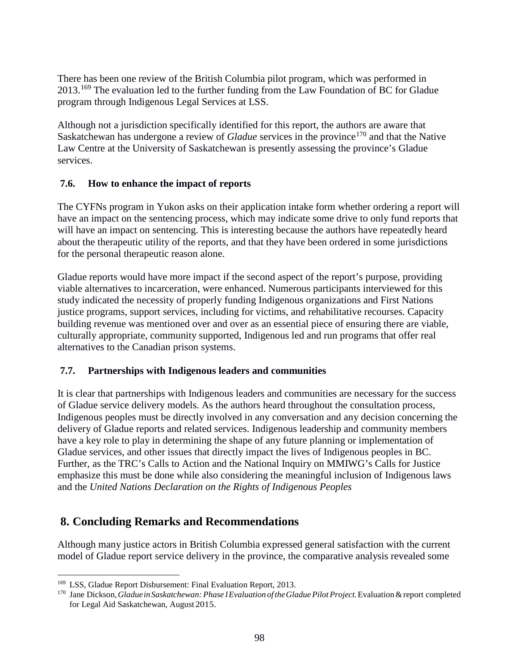There has been one review of the British Columbia pilot program, which was performed in 2013.[169](#page-98-0) The evaluation led to the further funding from the Law Foundation of BC for Gladue program through Indigenous Legal Services at LSS.

Although not a jurisdiction specifically identified for this report, the authors are aware that Saskatchewan has undergone a review of *Gladue* services in the province<sup>[170](#page-98-1)</sup> and that the Native Law Centre at the University of Saskatchewan is presently assessing the province's Gladue services.

## **7.6. How to enhance the impact of reports**

The CYFNs program in Yukon asks on their application intake form whether ordering a report will have an impact on the sentencing process, which may indicate some drive to only fund reports that will have an impact on sentencing. This is interesting because the authors have repeatedly heard about the therapeutic utility of the reports, and that they have been ordered in some jurisdictions for the personal therapeutic reason alone.

Gladue reports would have more impact if the second aspect of the report's purpose, providing viable alternatives to incarceration, were enhanced. Numerous participants interviewed for this study indicated the necessity of properly funding Indigenous organizations and First Nations justice programs, support services, including for victims, and rehabilitative recourses. Capacity building revenue was mentioned over and over as an essential piece of ensuring there are viable, culturally appropriate, community supported, Indigenous led and run programs that offer real alternatives to the Canadian prison systems.

# **7.7. Partnerships with Indigenous leaders and communities**

It is clear that partnerships with Indigenous leaders and communities are necessary for the success of Gladue service delivery models. As the authors heard throughout the consultation process, Indigenous peoples must be directly involved in any conversation and any decision concerning the delivery of Gladue reports and related services. Indigenous leadership and community members have a key role to play in determining the shape of any future planning or implementation of Gladue services, and other issues that directly impact the lives of Indigenous peoples in BC. Further, as the TRC's Calls to Action and the National Inquiry on MMIWG's Calls for Justice emphasize this must be done while also considering the meaningful inclusion of Indigenous laws and the *United Nations Declaration on the Rights of Indigenous Peoples*

# **8. Concluding Remarks and Recommendations**

Although many justice actors in British Columbia expressed general satisfaction with the current model of Gladue report service delivery in the province, the comparative analysis revealed some

<span id="page-98-0"></span> <sup>169</sup> LSS, Gladue Report Disbursement: Final Evaluation Report, 2013.

<span id="page-98-1"></span><sup>170</sup> Jane Dickson,*GladueinSaskatchewan: Phase IEvaluation oftheGladuePilotProject.*Evaluation&report completed for Legal Aid Saskatchewan, August 2015.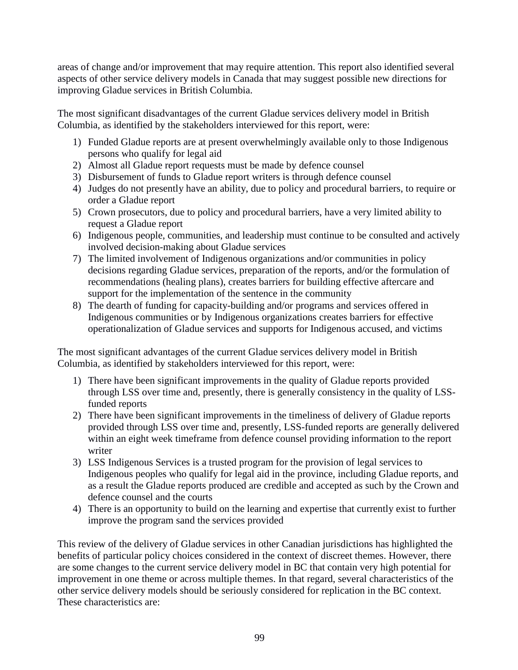areas of change and/or improvement that may require attention. This report also identified several aspects of other service delivery models in Canada that may suggest possible new directions for improving Gladue services in British Columbia.

The most significant disadvantages of the current Gladue services delivery model in British Columbia, as identified by the stakeholders interviewed for this report, were:

- 1) Funded Gladue reports are at present overwhelmingly available only to those Indigenous persons who qualify for legal aid
- 2) Almost all Gladue report requests must be made by defence counsel
- 3) Disbursement of funds to Gladue report writers is through defence counsel
- 4) Judges do not presently have an ability, due to policy and procedural barriers, to require or order a Gladue report
- 5) Crown prosecutors, due to policy and procedural barriers, have a very limited ability to request a Gladue report
- 6) Indigenous people, communities, and leadership must continue to be consulted and actively involved decision-making about Gladue services
- 7) The limited involvement of Indigenous organizations and/or communities in policy decisions regarding Gladue services, preparation of the reports, and/or the formulation of recommendations (healing plans), creates barriers for building effective aftercare and support for the implementation of the sentence in the community
- 8) The dearth of funding for capacity-building and/or programs and services offered in Indigenous communities or by Indigenous organizations creates barriers for effective operationalization of Gladue services and supports for Indigenous accused, and victims

The most significant advantages of the current Gladue services delivery model in British Columbia, as identified by stakeholders interviewed for this report, were:

- 1) There have been significant improvements in the quality of Gladue reports provided through LSS over time and, presently, there is generally consistency in the quality of LSSfunded reports
- 2) There have been significant improvements in the timeliness of delivery of Gladue reports provided through LSS over time and, presently, LSS-funded reports are generally delivered within an eight week timeframe from defence counsel providing information to the report writer
- 3) LSS Indigenous Services is a trusted program for the provision of legal services to Indigenous peoples who qualify for legal aid in the province, including Gladue reports, and as a result the Gladue reports produced are credible and accepted as such by the Crown and defence counsel and the courts
- 4) There is an opportunity to build on the learning and expertise that currently exist to further improve the program sand the services provided

This review of the delivery of Gladue services in other Canadian jurisdictions has highlighted the benefits of particular policy choices considered in the context of discreet themes. However, there are some changes to the current service delivery model in BC that contain very high potential for improvement in one theme or across multiple themes. In that regard, several characteristics of the other service delivery models should be seriously considered for replication in the BC context. These characteristics are: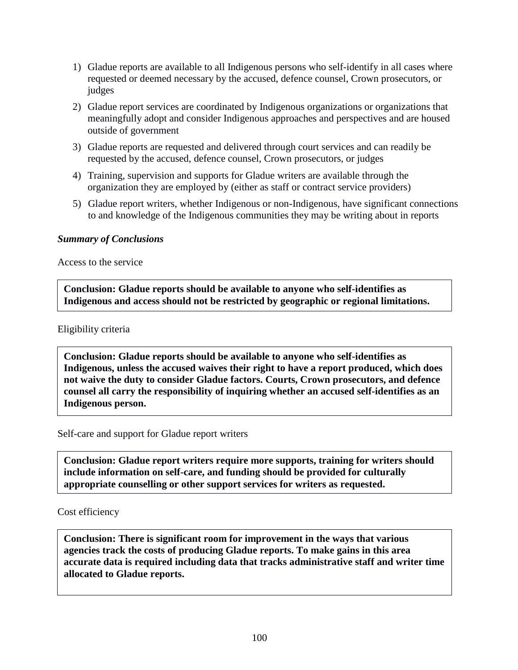- 1) Gladue reports are available to all Indigenous persons who self-identify in all cases where requested or deemed necessary by the accused, defence counsel, Crown prosecutors, or judges
- 2) Gladue report services are coordinated by Indigenous organizations or organizations that meaningfully adopt and consider Indigenous approaches and perspectives and are housed outside of government
- 3) Gladue reports are requested and delivered through court services and can readily be requested by the accused, defence counsel, Crown prosecutors, or judges
- 4) Training, supervision and supports for Gladue writers are available through the organization they are employed by (either as staff or contract service providers)
- 5) Gladue report writers, whether Indigenous or non-Indigenous, have significant connections to and knowledge of the Indigenous communities they may be writing about in reports

#### *Summary of Conclusions*

Access to the service

**Conclusion: Gladue reports should be available to anyone who self-identifies as Indigenous and access should not be restricted by geographic or regional limitations.** 

#### Eligibility criteria

**Conclusion: Gladue reports should be available to anyone who self-identifies as Indigenous, unless the accused waives their right to have a report produced, which does not waive the duty to consider Gladue factors. Courts, Crown prosecutors, and defence counsel all carry the responsibility of inquiring whether an accused self-identifies as an Indigenous person.** 

Self-care and support for Gladue report writers

**Conclusion: Gladue report writers require more supports, training for writers should include information on self-care, and funding should be provided for culturally appropriate counselling or other support services for writers as requested.** 

#### Cost efficiency

**Conclusion: There is significant room for improvement in the ways that various agencies track the costs of producing Gladue reports. To make gains in this area accurate data is required including data that tracks administrative staff and writer time allocated to Gladue reports.**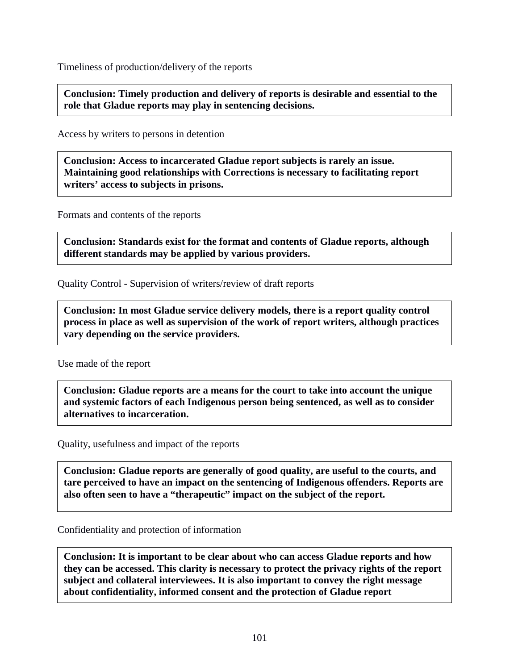Timeliness of production/delivery of the reports

**Conclusion: Timely production and delivery of reports is desirable and essential to the role that Gladue reports may play in sentencing decisions.** 

Access by writers to persons in detention

**Conclusion: Access to incarcerated Gladue report subjects is rarely an issue. Maintaining good relationships with Corrections is necessary to facilitating report writers' access to subjects in prisons.**

Formats and contents of the reports

**Conclusion: Standards exist for the format and contents of Gladue reports, although different standards may be applied by various providers.**

Quality Control - Supervision of writers/review of draft reports

**Conclusion: In most Gladue service delivery models, there is a report quality control process in place as well as supervision of the work of report writers, although practices vary depending on the service providers.**

Use made of the report

**Conclusion: Gladue reports are a means for the court to take into account the unique and systemic factors of each Indigenous person being sentenced, as well as to consider alternatives to incarceration.**

Quality, usefulness and impact of the reports

**Conclusion: Gladue reports are generally of good quality, are useful to the courts, and tare perceived to have an impact on the sentencing of Indigenous offenders. Reports are also often seen to have a "therapeutic" impact on the subject of the report.** 

Confidentiality and protection of information

**Conclusion: It is important to be clear about who can access Gladue reports and how they can be accessed. This clarity is necessary to protect the privacy rights of the report subject and collateral interviewees. It is also important to convey the right message about confidentiality, informed consent and the protection of Gladue report**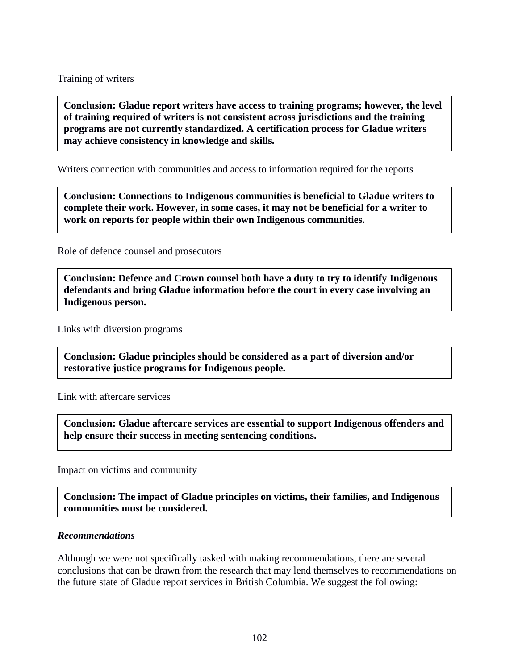Training of writers

**Conclusion: Gladue report writers have access to training programs; however, the level of training required of writers is not consistent across jurisdictions and the training programs are not currently standardized. A certification process for Gladue writers may achieve consistency in knowledge and skills.**

Writers connection with communities and access to information required for the reports

**Conclusion: Connections to Indigenous communities is beneficial to Gladue writers to complete their work. However, in some cases, it may not be beneficial for a writer to work on reports for people within their own Indigenous communities.**

Role of defence counsel and prosecutors

**Conclusion: Defence and Crown counsel both have a duty to try to identify Indigenous defendants and bring Gladue information before the court in every case involving an Indigenous person.** 

Links with diversion programs

**Conclusion: Gladue principles should be considered as a part of diversion and/or restorative justice programs for Indigenous people.**

Link with aftercare services

**Conclusion: Gladue aftercare services are essential to support Indigenous offenders and help ensure their success in meeting sentencing conditions.**

Impact on victims and community

**Conclusion: The impact of Gladue principles on victims, their families, and Indigenous communities must be considered.**

#### *Recommendations*

Although we were not specifically tasked with making recommendations, there are several conclusions that can be drawn from the research that may lend themselves to recommendations on the future state of Gladue report services in British Columbia. We suggest the following: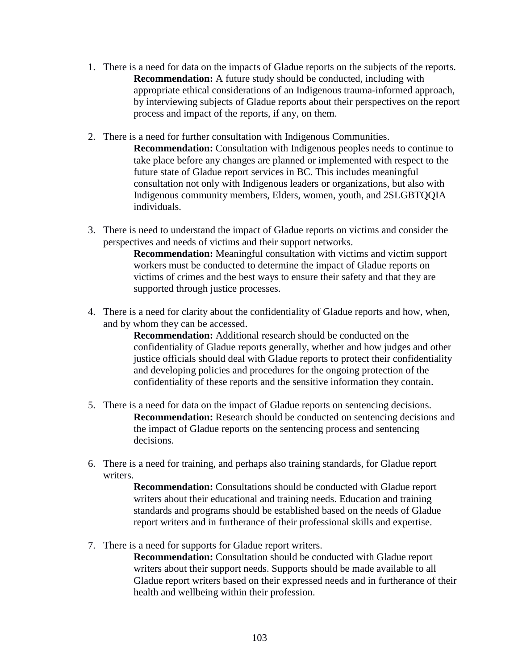- 1. There is a need for data on the impacts of Gladue reports on the subjects of the reports. **Recommendation:** A future study should be conducted, including with appropriate ethical considerations of an Indigenous trauma-informed approach, by interviewing subjects of Gladue reports about their perspectives on the report process and impact of the reports, if any, on them.
- 2. There is a need for further consultation with Indigenous Communities. **Recommendation:** Consultation with Indigenous peoples needs to continue to take place before any changes are planned or implemented with respect to the future state of Gladue report services in BC. This includes meaningful consultation not only with Indigenous leaders or organizations, but also with Indigenous community members, Elders, women, youth, and 2SLGBTQQIA individuals.
- 3. There is need to understand the impact of Gladue reports on victims and consider the perspectives and needs of victims and their support networks.

**Recommendation:** Meaningful consultation with victims and victim support workers must be conducted to determine the impact of Gladue reports on victims of crimes and the best ways to ensure their safety and that they are supported through justice processes.

4. There is a need for clarity about the confidentiality of Gladue reports and how, when, and by whom they can be accessed.

> **Recommendation:** Additional research should be conducted on the confidentiality of Gladue reports generally, whether and how judges and other justice officials should deal with Gladue reports to protect their confidentiality and developing policies and procedures for the ongoing protection of the confidentiality of these reports and the sensitive information they contain.

- 5. There is a need for data on the impact of Gladue reports on sentencing decisions. **Recommendation:** Research should be conducted on sentencing decisions and the impact of Gladue reports on the sentencing process and sentencing decisions.
- 6. There is a need for training, and perhaps also training standards, for Gladue report writers.

**Recommendation:** Consultations should be conducted with Gladue report writers about their educational and training needs. Education and training standards and programs should be established based on the needs of Gladue report writers and in furtherance of their professional skills and expertise.

- 7. There is a need for supports for Gladue report writers.
	- **Recommendation:** Consultation should be conducted with Gladue report writers about their support needs. Supports should be made available to all Gladue report writers based on their expressed needs and in furtherance of their health and wellbeing within their profession.